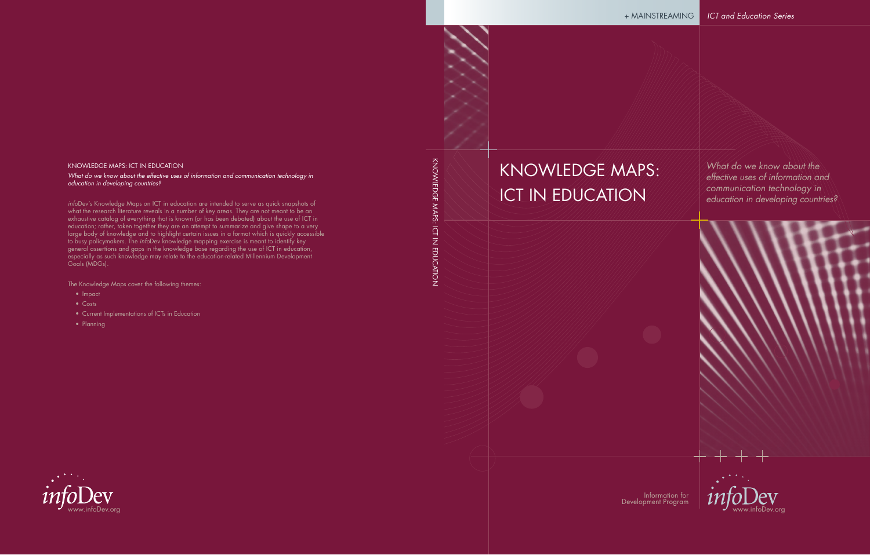# KNOWLEDGE MAPS: ICT IN EDUCATION

*What do we know about the effective uses of information and communication technology in education in developing countries?*

Information for Development Program

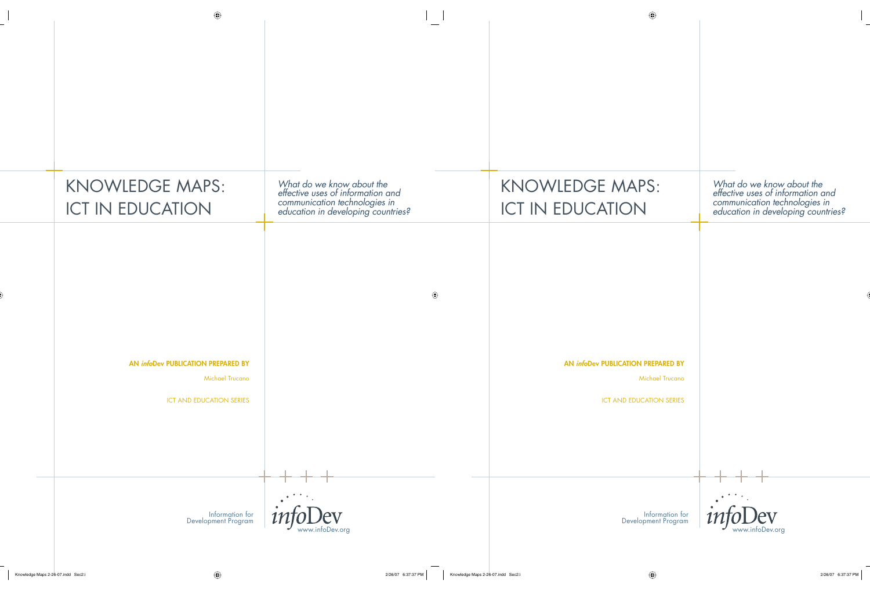| <b>KNOWLEDGE MAPS:</b><br><b>ICT IN EDUCATION</b>                                               | What do we know about the<br>effective uses of information and<br>communication technologies in<br>education in developing countries? |
|-------------------------------------------------------------------------------------------------|---------------------------------------------------------------------------------------------------------------------------------------|
| AN infoDev PUBLICATION PREPARED BY<br><b>Michael Trucano</b><br><b>ICT AND EDUCATION SERIES</b> |                                                                                                                                       |
| Information for<br>Development Program                                                          | $\overline{V}$<br>www.infoDev.org                                                                                                     |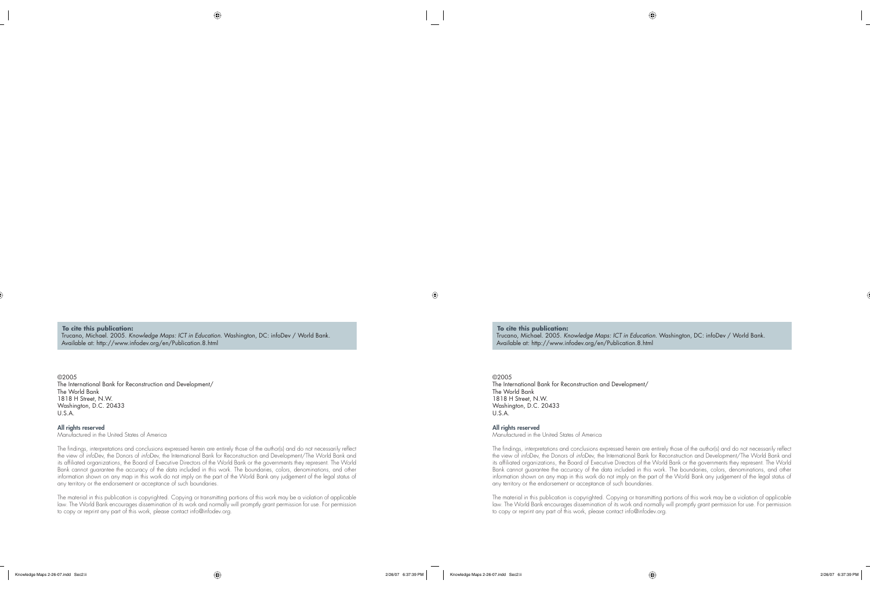**To cite this publication:** Trucano, Michael. 2005. *Knowledge Maps: ICT in Education*. Washington, DC: infoDev / World Bank. Available at: http://www.infodev.org/en/Publication.8.html

©2005 The International Bank for Reconstruction and Development/ The World Bank 1818 H Street, N.W. Washington, D.C. 20433 U.S.A.

#### **All rights reserved** Manufactured in the United States of America

The findings, interpretations and conclusions expressed herein are entirely those of the author(s) and do not necessarily reflect the view of *info*Dev, the Donors of *info*Dev, the International Bank for Reconstruction and Development/The World Bank and its affiliated organizations, the Board of Executive Directors of the World Bank or the governments they represent. The World Bank cannot guarantee the accuracy of the data included in this work. The boundaries, colors, denominations, and other information shown on any map in this work do not imply on the part of the World Bank any judgement of the legal status of any territory or the endorsement or acceptance of such boundaries.

The material in this publication is copyrighted. Copying or transmitting portions of this work may be a violation of applicable law. The World Bank encourages dissemination of its work and normally will promptly grant permission for use. For permission to copy or reprint any part of this work, please contact info@infodev.org.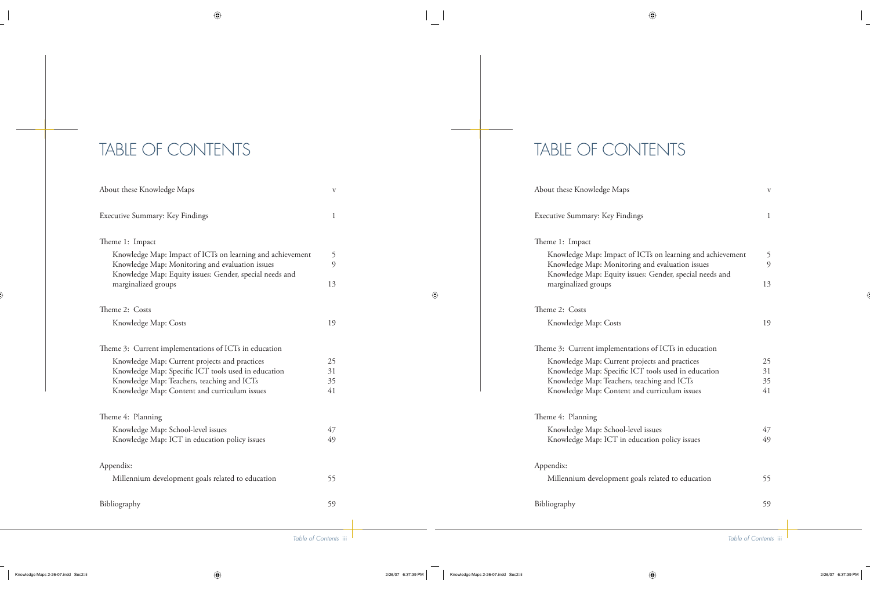# TABLE OF CONTENTS

| About these Knowledge Maps                                                                                                                                              |          |  |
|-------------------------------------------------------------------------------------------------------------------------------------------------------------------------|----------|--|
| Executive Summary: Key Findings                                                                                                                                         |          |  |
| Theme 1: Impact                                                                                                                                                         |          |  |
| Knowledge Map: Impact of ICTs on learning and achievement<br>Knowledge Map: Monitoring and evaluation issues<br>Knowledge Map: Equity issues: Gender, special needs and | 5<br>9   |  |
| marginalized groups                                                                                                                                                     | 13       |  |
| Theme 2: Costs                                                                                                                                                          |          |  |
| Knowledge Map: Costs                                                                                                                                                    | 19       |  |
| Theme 3: Current implementations of ICTs in education                                                                                                                   |          |  |
| Knowledge Map: Current projects and practices                                                                                                                           | 25       |  |
| Knowledge Map: Specific ICT tools used in education                                                                                                                     | 31       |  |
| Knowledge Map: Teachers, teaching and ICTs<br>Knowledge Map: Content and curriculum issues                                                                              | 35<br>41 |  |
| Theme 4: Planning                                                                                                                                                       |          |  |
| Knowledge Map: School-level issues                                                                                                                                      | 47       |  |
| Knowledge Map: ICT in education policy issues                                                                                                                           | 49       |  |
| Appendix:                                                                                                                                                               |          |  |
| Millennium development goals related to education                                                                                                                       | 55       |  |
| Bibliography                                                                                                                                                            |          |  |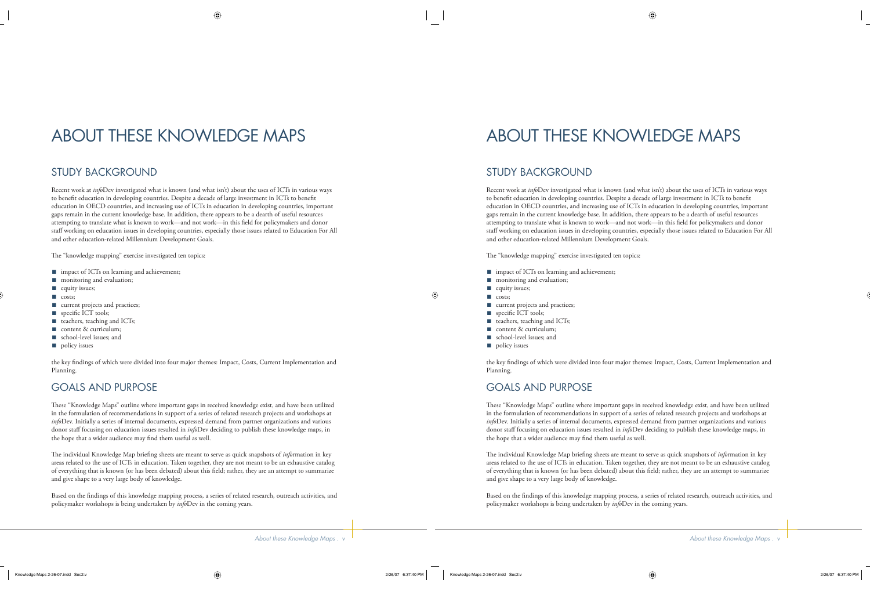# ABOUT THESE KNOWLEDGE MAPS

# STUDY BACKGROUND

Recent work at *info*Dev investigated what is known (and what isn't) about the uses of ICTs in various ways to benefit education in developing countries. Despite a decade of large investment in ICTs to benefit education in OECD countries, and increasing use of ICTs in education in developing countries, important gaps remain in the current knowledge base. In addition, there appears to be a dearth of useful resources attempting to translate what is known to work—and not work—in this field for policymakers and donor staff working on education issues in developing countries, especially those issues related to Education For All and other education-related Millennium Development Goals.

The "knowledge mapping" exercise investigated ten topics:

- impact of ICTs on learning and achievement;
- monitoring and evaluation; ■
- equity issues;
- costs;
- current projects and practices;
- specific ICT tools;
- teachers, teaching and ICTs;
- content & curriculum;
- school-level issues; and ■
- policy issues

the key findings of which were divided into four major themes: Impact, Costs, Current Implementation and Planning.

# GOALS AND PURPOSE

These "Knowledge Maps" outline where important gaps in received knowledge exist, and have been utilized in the formulation of recommendations in support of a series of related research projects and workshops at *info*Dev. Initially a series of internal documents, expressed demand from partner organizations and various donor staff focusing on education issues resulted in *info*Dev deciding to publish these knowledge maps, in the hope that a wider audience may find them useful as well.

The individual Knowledge Map briefing sheets are meant to serve as quick snapshots of *information* in key areas related to the use of ICTs in education. Taken together, they are not meant to be an exhaustive catalog of everything that is known (or has been debated) about this field; rather, they are an attempt to summarize and give shape to a very large body of knowledge.

Based on the findings of this knowledge mapping process, a series of related research, outreach activities, and policymaker workshops is being undertaken by *info*Dev in the coming years.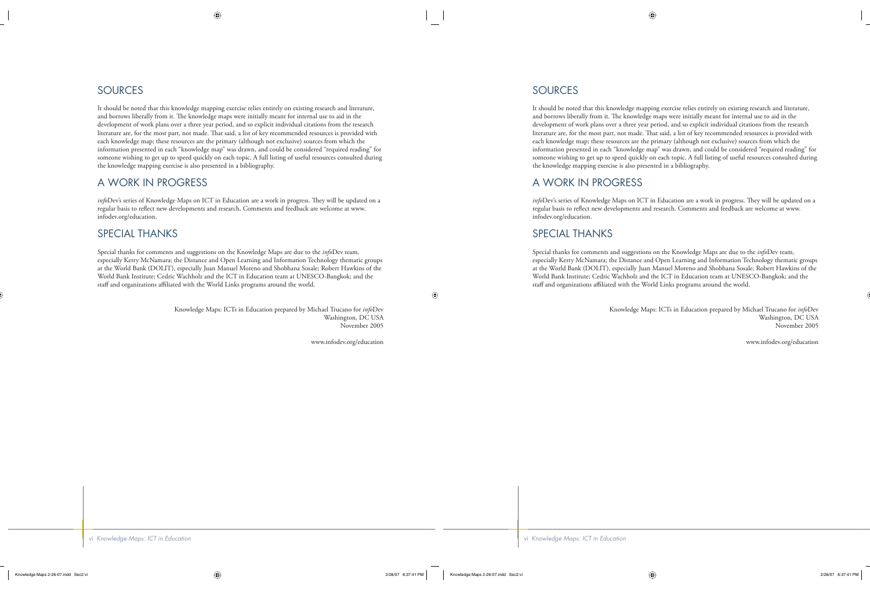# SOURCES

It should be noted that this knowledge mapping exercise relies entirely on existing research and literature, and borrows liberally from it. The knowledge maps were initially meant for internal use to aid in the development of work plans over a three year period, and so explicit individual citations from the research literature are, for the most part, not made. That said, a list of key recommended resources is provided with each knowledge map; these resources are the primary (although not exclusive) sources from which the information presented in each "knowledge map" was drawn, and could be considered "required reading" for someone wishing to get up to speed quickly on each topic. A full listing of useful resources consulted during the knowledge mapping exercise is also presented in a bibliography.

# A WORK IN PROGRESS

*info*Dev's series of Knowledge Maps on ICT in Education are a work in progress. They will be updated on a regular basis to reflect new developments and research. Comments and feedback are welcome at www. infodev.org/education.

## SPECIAL THANKS

Special thanks for comments and suggestions on the Knowledge Maps are due to the *info*Dev team, especially Kerry McNamara; the Distance and Open Learning and Information Technology thematic groups at the World Bank (DOLIT), especially Juan Manuel Moreno and Shobhana Sosale; Robert Hawkins of the World Bank Institute; Cedric Wachholz and the ICT in Education team at UNESCO-Bangkok; and the staff and organizations affiliated with the World Links programs around the world.

> Knowledge Maps: ICTs in Education prepared by Michael Trucano for *info*Dev Washington, DC USA November 2005

> > www.infodev.org/education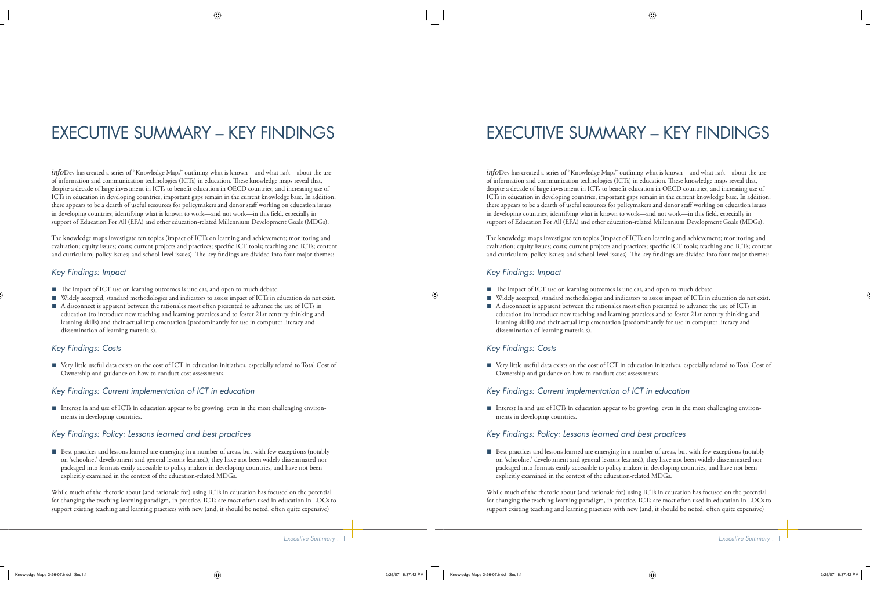# EXECUTIVE SUMMARY – KEY FINDINGS

*info*Dev has created a series of "Knowledge Maps" outlining what is known—and what isn't—about the use of information and communication technologies (ICTs) in education. Th ese knowledge maps reveal that, despite a decade of large investment in ICTs to benefi t education in OECD countries, and increasing use of ICTs in education in developing countries, important gaps remain in the current knowledge base. In addition, there appears to be a dearth of useful resources for policymakers and donor staff working on education issues in developing countries, identifying what is known to work—and not work—in this field, especially in support of Education For All (EFA) and other education-related Millennium Development Goals (MDGs).

The knowledge maps investigate ten topics (impact of ICTs on learning and achievement; monitoring and evaluation; equity issues; costs; current projects and practices; specific ICT tools; teaching and ICTs; content and curriculum; policy issues; and school-level issues). The key findings are divided into four major themes:

### *Key Findings: Impact*

- The impact of ICT use on learning outcomes is unclear, and open to much debate.
- Widely accepted, standard methodologies and indicators to assess impact of ICTs in education do not exist.
- A disconnect is apparent between the rationales most often presented to advance the use of ICTs in education (to introduce new teaching and learning practices and to foster 21st century thinking and learning skills) and their actual implementation (predominantly for use in computer literacy and dissemination of learning materials).

## *Key Findings: Costs*

■ Very little useful data exists on the cost of ICT in education initiatives, especially related to Total Cost of Ownership and guidance on how to conduct cost assessments.

#### *Key Findings: Current implementation of ICT in education*

■ Interest in and use of ICTs in education appear to be growing, even in the most challenging environments in developing countries.

### *Key Findings: Policy: Lessons learned and best practices*

■ Best practices and lessons learned are emerging in a number of areas, but with few exceptions (notably on 'schoolnet' development and general lessons learned), they have not been widely disseminated nor packaged into formats easily accessible to policy makers in developing countries, and have not been explicitly examined in the context of the education-related MDGs.

While much of the rhetoric about (and rationale for) using ICTs in education has focused on the potential for changing the teaching-learning paradigm, in practice, ICTs are most often used in education in LDCs to support existing teaching and learning practices with new (and, it should be noted, often quite expensive)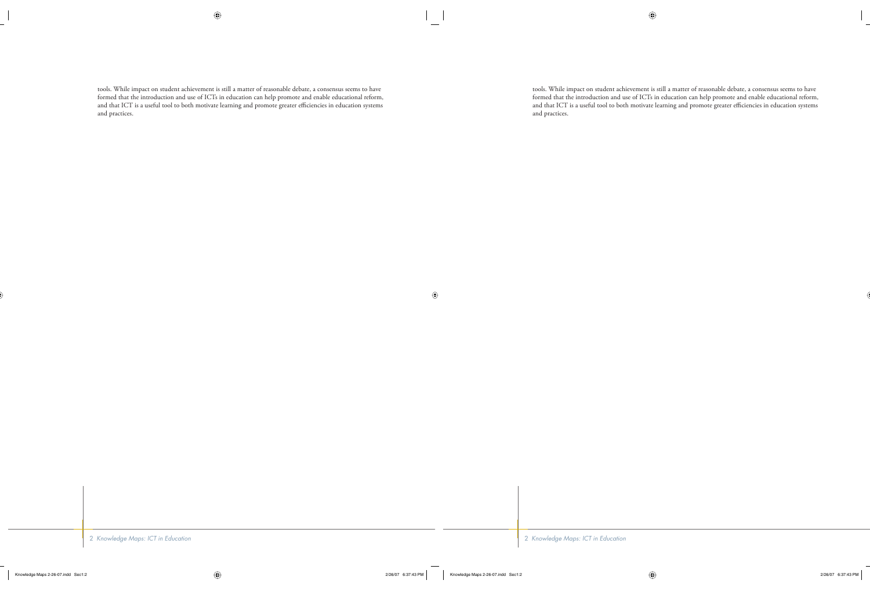tools. While impact on student achievement is still a matter of reasonable debate, a consensus seems to have formed that the introduction and use of ICTs in education can help promote and enable educational reform, and that ICT is a useful tool to both motivate learning and promote greater efficiencies in education systems and practices.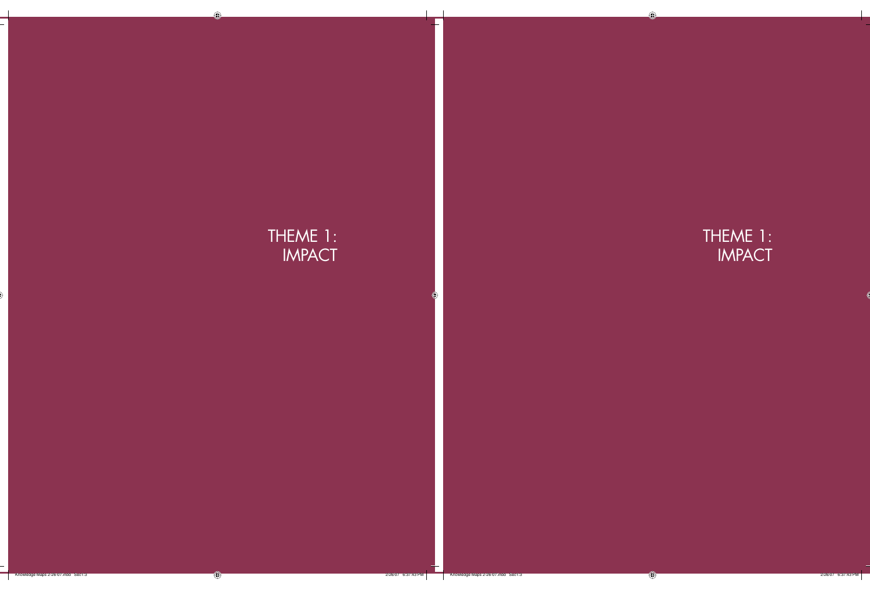# THEME 1: IMPACT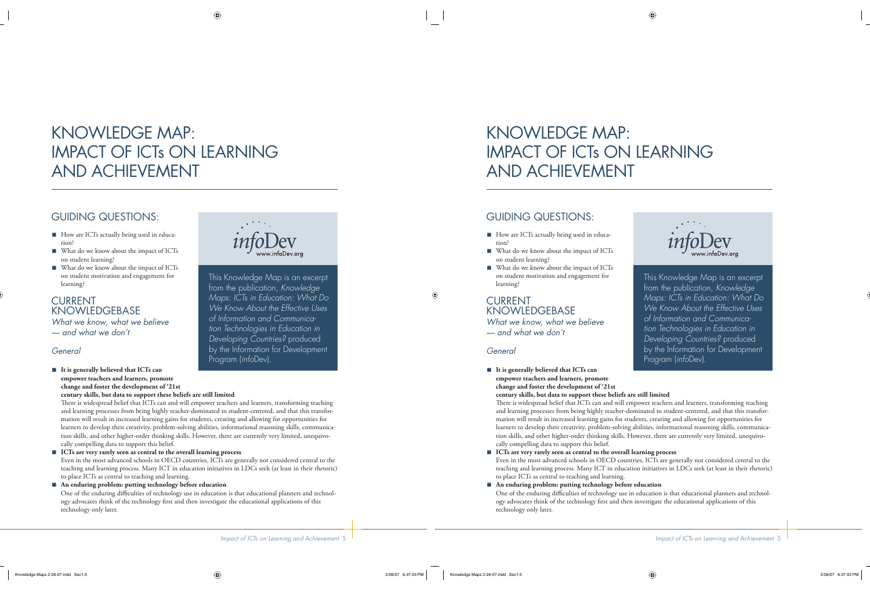# KNOWLEDGE MAP: IMPACT OF ICTs ON LEARNING AND ACHIEVEMENT

## GUIDING QUESTIONS:

- How are ICTs actually being used in education?
- What do we know about the impact of ICTs on student learning?
- What do we know about the impact of ICTs on student motivation and engagement for learning?

CURRENT **KNOWLEDGEBASE** *What we know, what we believe — and what we don't*

### *General*

■ It is generally believed that ICTs can **empower teachers and learners, promote change and foster the development of '21st century skills, but data to support these beliefs are still limited**



This Knowledge Map is an excerpt from the publication, *Knowledge Maps: ICTs in Education: What Do We Know About the Effective Uses of Information and Communication Technologies in Education in Developing Countries?* produced by the Information for Development Program (*info*Dev).

There is widespread belief that ICTs can and will empower teachers and learners, transforming teaching and learning processes from being highly teacher-dominated to student-centered, and that this transformation will result in increased learning gains for students, creating and allowing for opportunities for learners to develop their creativity, problem-solving abilities, informational reasoning skills, communication skills, and other higher-order thinking skills. However, there are currently very limited, unequivocally compelling data to support this belief.

■ ICTs are very rarely seen as central to the overall learning process Even in the most advanced schools in OECD countries, ICTs are generally not considered central to the teaching and learning process. Many ICT in education initiatives in LDCs seek (at least in their rhetoric) to place ICTs as central to teaching and learning. ■

**An enduring problem: putting technology before education** One of the enduring difficulties of technology use in education is that educational planners and technology advocates think of the technology first and then investigate the educational applications of this technology only later.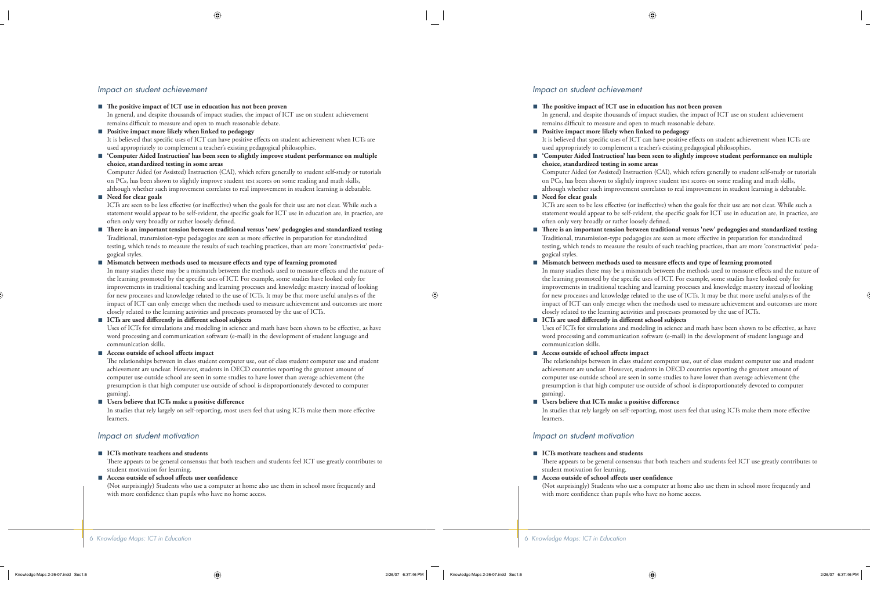#### *Impact on student achievement*

■ The positive impact of ICT use in education has not been proven

In general, and despite thousands of impact studies, the impact of ICT use on student achievement remains difficult to measure and open to much reasonable debate.

**Positive impact more likely when linked to pedagogy** ■

It is believed that specific uses of ICT can have positive effects on student achievement when ICTs are used appropriately to complement a teacher's existing pedagogical philosophies.

■ 'Computer Aided Instruction' has been seen to slightly improve student performance on multiple **choice, standardized testing in some areas**

Computer Aided (or Assisted) Instruction (CAI), which refers generally to student self-study or tutorials on PCs, has been shown to slightly improve student test scores on some reading and math skills, although whether such improvement correlates to real improvement in student learning is debatable.

**Need for clear goals** ■

> ICTs are seen to be less effective (or ineffective) when the goals for their use are not clear. While such a statement would appear to be self-evident, the specific goals for ICT use in education are, in practice, are often only very broadly or rather loosely defined.

- There is an important tension between traditional versus 'new' pedagogies and standardized testing Traditional, transmission-type pedagogies are seen as more effective in preparation for standardized testing, which tends to measure the results of such teaching practices, than are more 'constructivist' pedagogical styles.
- Mismatch between methods used to measure effects and type of learning promoted In many studies there may be a mismatch between the methods used to measure effects and the nature of the learning promoted by the specific uses of ICT. For example, some studies have looked only for improvements in traditional teaching and learning processes and knowledge mastery instead of looking for new processes and knowledge related to the use of ICTs. It may be that more useful analyses of the impact of ICT can only emerge when the methods used to measure achievement and outcomes are more closely related to the learning activities and processes promoted by the use of ICTs. ■

#### ICTs are used differently in different school subjects ■

Uses of ICTs for simulations and modeling in science and math have been shown to be effective, as have word processing and communication software (e-mail) in the development of student language and communication skills.

#### Access outside of school affects impact ■

The relationships between in class student computer use, out of class student computer use and student achievement are unclear. However, students in OECD countries reporting the greatest amount of computer use outside school are seen in some studies to have lower than average achievement (the presumption is that high computer use outside of school is disproportionately devoted to computer gaming).

Users believe that ICTs make a positive difference ■

In studies that rely largely on self-reporting, most users feel that using ICTs make them more effective learners.

#### *Impact on student motivation*

#### ■ **ICTs** motivate teachers and students

There appears to be general consensus that both teachers and students feel ICT use greatly contributes to student motivation for learning.

#### Access outside of school affects user confidence ■

(Not surprisingly) Students who use a computer at home also use them in school more frequently and with more confidence than pupils who have no home access.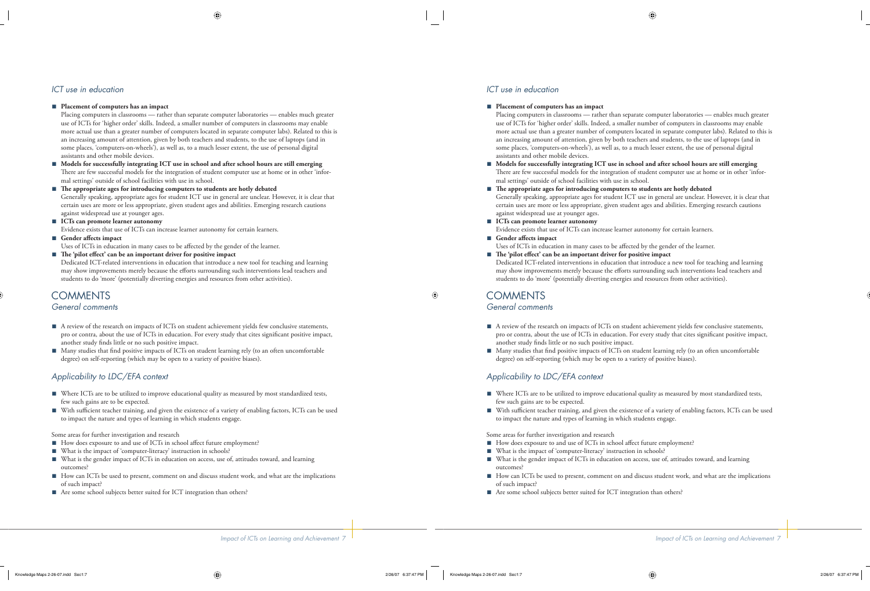## *ICT use in education*

#### ■ Placement of computers has an impact

Placing computers in classrooms — rather than separate computer laboratories — enables much greater use of ICTs for 'higher order' skills. Indeed, a smaller number of computers in classrooms may enable more actual use than a greater number of computers located in separate computer labs). Related to this is an increasing amount of attention, given by both teachers and students, to the use of laptops (and in some places, 'computers-on-wheels'), as well as, to a much lesser extent, the use of personal digital assistants and other mobile devices.

- **Models for successfully integrating ICT use in school and after school hours are still emerging** There are few successful models for the integration of student computer use at home or in other 'informal settings' outside of school facilities with use in school.
- The appropriate ages for introducing computers to students are hotly debated Generally speaking, appropriate ages for student ICT use in general are unclear. However, it is clear that certain uses are more or less appropriate, given student ages and abilities. Emerging research cautions against widespread use at younger ages.
- ICTs can promote learner autonomy Evidence exists that use of ICTs can increase learner autonomy for certain learners.
- Gender affects impact Uses of ICTs in education in many cases to be affected by the gender of the learner.
- The 'pilot effect' can be an important driver for positive impact Dedicated ICT-related interventions in education that introduce a new tool for teaching and learning may show improvements merely because the efforts surrounding such interventions lead teachers and students to do 'more' (potentially diverting energies and resources from other activities).

### **COMMENTS** *General comments*

- A review of the research on impacts of ICTs on student achievement yields few conclusive statements, pro or contra, about the use of ICTs in education. For every study that cites significant positive impact, another study finds little or no such positive impact.
- Many studies that find positive impacts of ICTs on student learning rely (to an often uncomfortable degree) on self-reporting (which may be open to a variety of positive biases).

## *Applicability to LDC/EFA context*

- Where ICTs are to be utilized to improve educational quality as measured by most standardized tests, few such gains are to be expected.
- With sufficient teacher training, and given the existence of a variety of enabling factors, ICTs can be used to impact the nature and types of learning in which students engage.

Some areas for further investigation and research

- How does exposure to and use of ICTs in school affect future employment?
- What is the impact of 'computer-literacy' instruction in schools?
- What is the gender impact of ICTs in education on access, use of, attitudes toward, and learning outcomes?
- How can ICTs be used to present, comment on and discuss student work, and what are the implications of such impact?
- Are some school subjects better suited for ICT integration than others?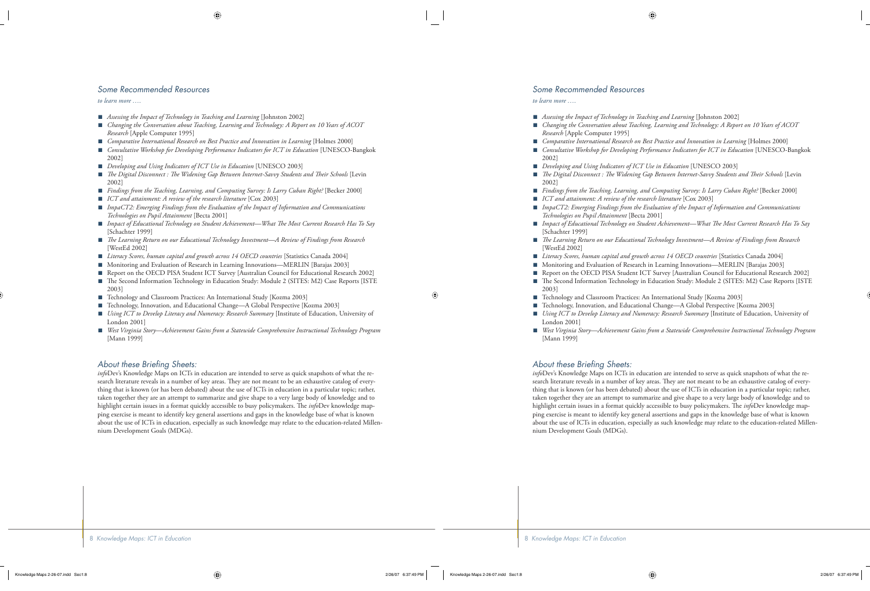#### *Some Recommended Resources*

*to learn more ….*

- *Assessing the Impact of Technology in Teaching and Learning* [Johnston 2002] ■
- *Changing the Conversation about Teaching, Learning and Technology: A Report on 10 Years of ACOT Research* [Apple Computer 1995] ■
- *Comparative International Research on Best Practice and Innovation in Learning* [Holmes 2000]
- *Consultative Workshop for Developing Performance Indicators for ICT in Education* [UNESCO-Bangkok 2002] ■
- *Developing and Using Indicators of ICT Use in Education* [UNESCO 2003] ■
- *The Digital Disconnect : The Widening Gap Between Internet-Savvy Students and Their Schools* [Levin 2002] ■
- *Findings from the Teaching, Learning, and Computing Survey: Is Larry Cuban Right?* [Becker 2000] ■
- *ICT and attainment: A review of the research literature* [Cox 2003] ■
- *ImpaCT2: Emerging Findings from the Evaluation of the Impact of Information and Communications Technologies on Pupil Attainment* [Becta 2001]
- *Impact of Educational Technology on Student Achievement—What Th e Most Current Research Has To Say* [Schachter 1999]
- *Th e Learning Return on our Educational Technology Investment—A Review of Findings from Research* [WestEd 2002] ■
- *Literacy Scores, human capital and growth across 14 OECD countries* [Statistics Canada 2004]
- Monitoring and Evaluation of Research in Learning Innovations—MERLIN [Barajas 2003] ■
- Report on the OECD PISA Student ICT Survey [Australian Council for Educational Research 2002] ■
- The Second Information Technology in Education Study: Module 2 (SITES: M2) Case Reports [ISTE 2003] ■
- Technology and Classroom Practices: An International Study [Kozma 2003] ■
- Technology, Innovation, and Educational Change—A Global Perspective [Kozma 2003] ■
- *Using ICT to Develop Literacy and Numeracy: Research Summary* [Institute of Education, University of London 2001]
- *West Virginia Story—Achievement Gains from a Statewide Comprehensive Instructional Technology Program* [Mann 1999]

#### About these Briefing Sheets:

*info*Dev's Knowledge Maps on ICTs in education are intended to serve as quick snapshots of what the research literature reveals in a number of key areas. They are not meant to be an exhaustive catalog of everything that is known (or has been debated) about the use of ICTs in education in a particular topic; rather, taken together they are an attempt to summarize and give shape to a very large body of knowledge and to highlight certain issues in a format quickly accessible to busy policymakers. The *info*Dev knowledge mapping exercise is meant to identify key general assertions and gaps in the knowledge base of what is known about the use of ICTs in education, especially as such knowledge may relate to the education-related Millennium Development Goals (MDGs).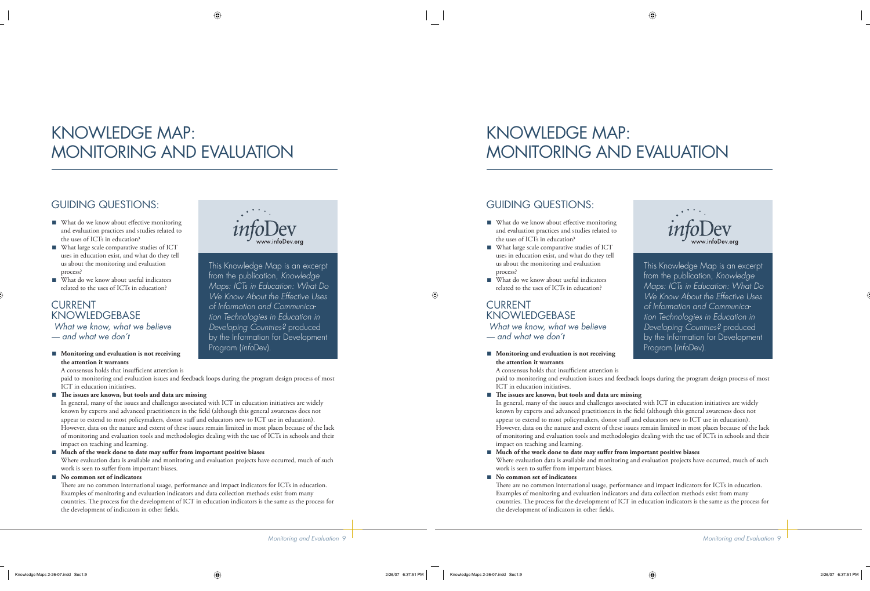# KNOWLEDGE MAP: MONITORING AND EVALUATION

# GUIDING QUESTIONS:

- What do we know about effective monitoring and evaluation practices and studies related to the uses of ICTs in education?
- What large scale comparative studies of ICT uses in education exist, and what do they tell us about the monitoring and evaluation process?
- What do we know about useful indicators related to the uses of ICTs in education?

## CURRENT KNOWLEDGEBASE

 *What we know, what we believe — and what we don't*

■ Monitoring and evaluation is not receiving **the attention it warrants**

A consensus holds that insufficient attention is



This Knowledge Map is an excerpt from the publication, *Knowledge Maps: ICTs in Education: What Do We Know About the Effective Uses of Information and Communication Technologies in Education in Developing Countries?* produced by the Information for Development Program (*info*Dev).

paid to monitoring and evaluation issues and feedback loops during the program design process of most ICT in education initiatives.

#### ■ The issues are known, but tools and data are missing

In general, many of the issues and challenges associated with ICT in education initiatives are widely known by experts and advanced practitioners in the field (although this general awareness does not appear to extend to most policymakers, donor staff and educators new to ICT use in education). However, data on the nature and extent of these issues remain limited in most places because of the lack of monitoring and evaluation tools and methodologies dealing with the use of ICTs in schools and their impact on teaching and learning.

#### ■ Much of the work done to date may suffer from important positive biases

Where evaluation data is available and monitoring and evaluation projects have occurred, much of such work is seen to suffer from important biases.

#### ■ No common set of indicators

There are no common international usage, performance and impact indicators for ICTs in education. Examples of monitoring and evaluation indicators and data collection methods exist from many countries. The process for the development of ICT in education indicators is the same as the process for the development of indicators in other fields.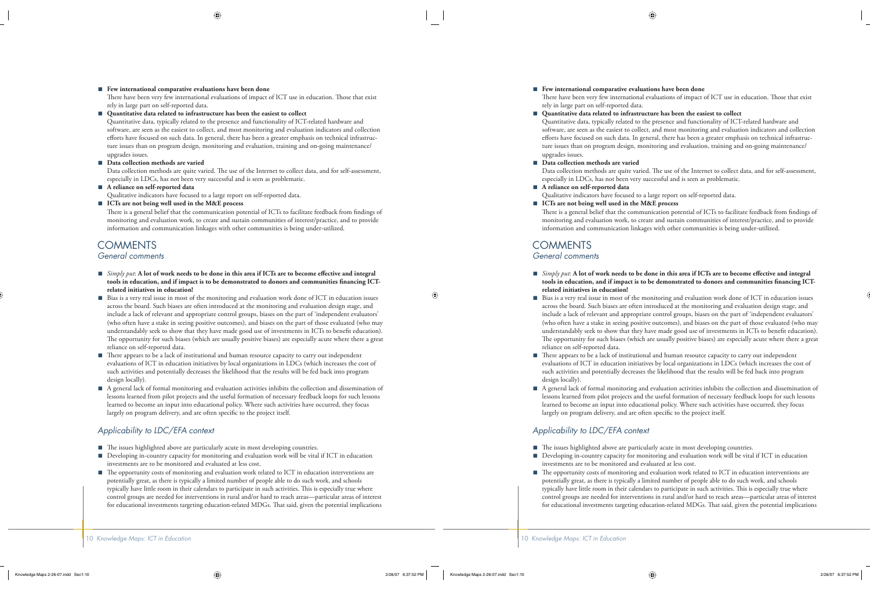#### **Few international comparative evaluations have been done** ■

There have been very few international evaluations of impact of ICT use in education. Those that exist rely in large part on self-reported data.

■ Quantitative data related to infrastructure has been the easiest to collect

Quantitative data, typically related to the presence and functionality of ICT-related hardware and software, are seen as the easiest to collect, and most monitoring and evaluation indicators and collection efforts have focused on such data. In general, there has been a greater emphasis on technical infrastructure issues than on program design, monitoring and evaluation, training and on-going maintenance/ upgrades issues.

**Data collection methods are varied** ■

Data collection methods are quite varied. The use of the Internet to collect data, and for self-assessment, especially in LDCs, has not been very successful and is seen as problematic.

- **A reliance on self-reported data** Qualitative indicators have focused to a large report on self-reported data.
- **ICTs are not being well used in the M&E process** ■

There is a general belief that the communication potential of ICTs to facilitate feedback from findings of monitoring and evaluation work, to create and sustain communities of interest/practice, and to provide information and communication linkages with other communities is being under-utilized.

## **COMMENTS**

#### *General comments*

- *Simply put*: **A** lot of work needs to be done in this area if ICTs are to become effective and integral tools in education, and if impact is to be demonstrated to donors and communities financing ICT**related initiatives in education!**
- Bias is a very real issue in most of the monitoring and evaluation work done of ICT in education issues across the board. Such biases are often introduced at the monitoring and evaluation design stage, and include a lack of relevant and appropriate control groups, biases on the part of 'independent evaluators' (who often have a stake in seeing positive outcomes), and biases on the part of those evaluated (who may understandably seek to show that they have made good use of investments in ICTs to benefi t education). The opportunity for such biases (which are usually positive biases) are especially acute where there a great reliance on self-reported data. ■
- There appears to be a lack of institutional and human resource capacity to carry out independent evaluations of ICT in education initiatives by local organizations in LDCs (which increases the cost of such activities and potentially decreases the likelihood that the results will be fed back into program design locally). ■
- A general lack of formal monitoring and evaluation activities inhibits the collection and dissemination of lessons learned from pilot projects and the useful formation of necessary feedback loops for such lessons learned to become an input into educational policy. Where such activities have occurred, they focus largely on program delivery, and are often specific to the project itself. ■

#### *Applicability to LDC/EFA context*

- The issues highlighted above are particularly acute in most developing countries.
- Developing in-country capacity for monitoring and evaluation work will be vital if ICT in education investments are to be monitored and evaluated at less cost. ■
- The opportunity costs of monitoring and evaluation work related to ICT in education interventions are potentially great, as there is typically a limited number of people able to do such work, and schools typically have little room in their calendars to participate in such activities. This is especially true where control groups are needed for interventions in rural and/or hard to reach areas—particular areas of interest for educational investments targeting education-related MDGs. That said, given the potential implications ■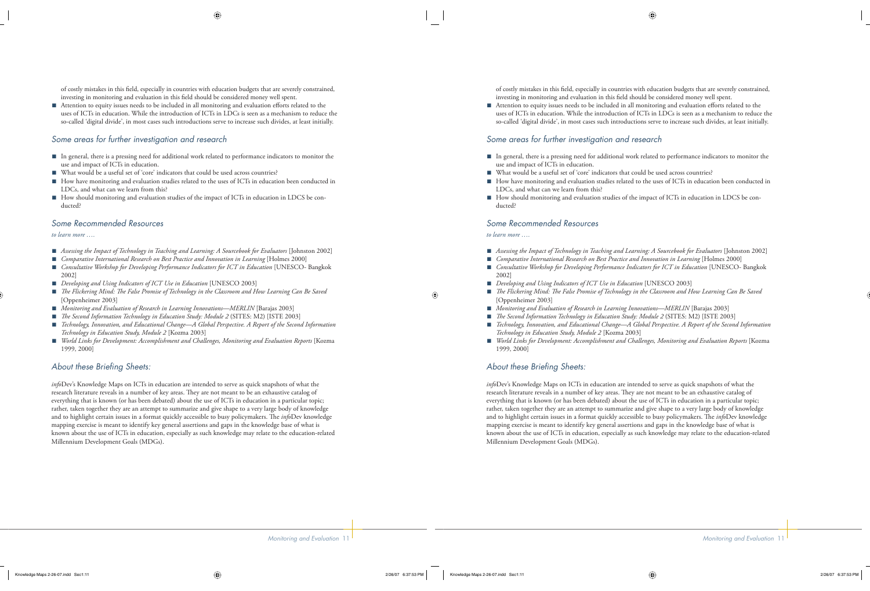of costly mistakes in this field, especially in countries with education budgets that are severely constrained, investing in monitoring and evaluation in this field should be considered money well spent.

Attention to equity issues needs to be included in all monitoring and evaluation efforts related to the uses of ICTs in education. While the introduction of ICTs in LDCs is seen as a mechanism to reduce the so-called 'digital divide', in most cases such introductions serve to increase such divides, at least initially. ■

#### *Some areas for further investigation and research*

- In general, there is a pressing need for additional work related to performance indicators to monitor the use and impact of ICTs in education.
- What would be a useful set of 'core' indicators that could be used across countries?
- How have monitoring and evaluation studies related to the uses of ICTs in education been conducted in LDCs, and what can we learn from this?
- How should monitoring and evaluation studies of the impact of ICTs in education in LDCS be conducted? ■

#### *Some Recommended Resources*

*to learn more ….*

- *Assessing the Impact of Technology in Teaching and Learning: A Sourcebook for Evaluators* [Johnston 2002] ■
- *Comparative International Research on Best Practice and Innovation in Learning* [Holmes 2000] ■
- *Consultative Workshop for Developing Performance Indicators for ICT in Education* [UNESCO- Bangkok 2002]
- *Developing and Using Indicators of ICT Use in Education* [UNESCO 2003] ■
- The Flickering Mind: The False Promise of Technology in the Classroom and How Learning Can Be Savea [Oppenheimer 2003]
- *Monitoring and Evaluation of Research in Learning Innovations—MERLIN* [Barajas 2003] ■
- *Th e Second Information Technology in Education Study: Module 2* (SITES: M2) [ISTE 2003] ■
- *Technology, Innovation, and Educational Change—A Global Perspective. A Report of the Second Information Technology in Education Study, Module 2* [Kozma 2003]
- *World Links for Development: Accomplishment and Challenges, Monitoring and Evaluation Reports* [Kozma 1999, 2000] ■

#### About these Briefing Sheets:

*info*Dev's Knowledge Maps on ICTs in education are intended to serve as quick snapshots of what the research literature reveals in a number of key areas. They are not meant to be an exhaustive catalog of everything that is known (or has been debated) about the use of ICTs in education in a particular topic; rather, taken together they are an attempt to summarize and give shape to a very large body of knowledge and to highlight certain issues in a format quickly accessible to busy policymakers. The *info*Dev knowledge mapping exercise is meant to identify key general assertions and gaps in the knowledge base of what is known about the use of ICTs in education, especially as such knowledge may relate to the education-related Millennium Development Goals (MDGs).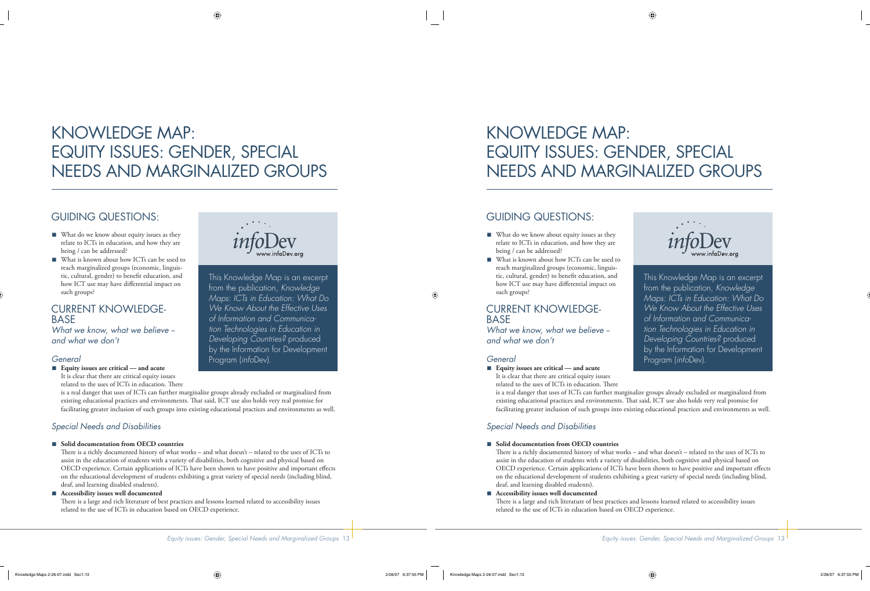# KNOWLEDGE MAP: EQUITY ISSUES: GENDER, SPECIAL NEEDS AND MARGINALIZED GROUPS

## GUIDING QUESTIONS:

- What do we know about equity issues as they relate to ICTs in education, and how they are being / can be addressed?
- What is known about how ICTs can be used to reach marginalized groups (economic, linguistic, cultural, gender) to benefit education, and how ICT use may have differential impact on such groups?

## CURRENT KNOWLEDGE-**BASE**

*What we know, what we believe - and what we don't*

### *General*

■ Equity issues are critical **— and acute** 

It is clear that there are critical equity issues related to the uses of ICTs in education. There



This Knowledge Map is an excerpt from the publication, *Knowledge Maps: ICTs in Education: What Do We Know About the Effective Uses of Information and Communication Technologies in Education in Developing Countries?* produced by the Information for Development Program (*info*Dev).

is a real danger that uses of ICTs can further marginalize groups already excluded or marginalized from existing educational practices and environments. That said, ICT use also holds very real promise for facilitating greater inclusion of such groups into existing educational practices and environments as well.

## *Special Needs and Disabilities*

#### ■ Solid documentation from OECD countries

There is a richly documented history of what works – and what doesn't – related to the uses of ICTs to assist in the education of students with a variety of disabilities, both cognitive and physical based on OECD experience. Certain applications of ICTs have been shown to have positive and important effects on the educational development of students exhibiting a great variety of special needs (including blind, deaf, and learning disabled students).

#### **Accessibility issues well documented** ■

There is a large and rich literature of best practices and lessons learned related to accessibility issues related to the use of ICTs in education based on OECD experience.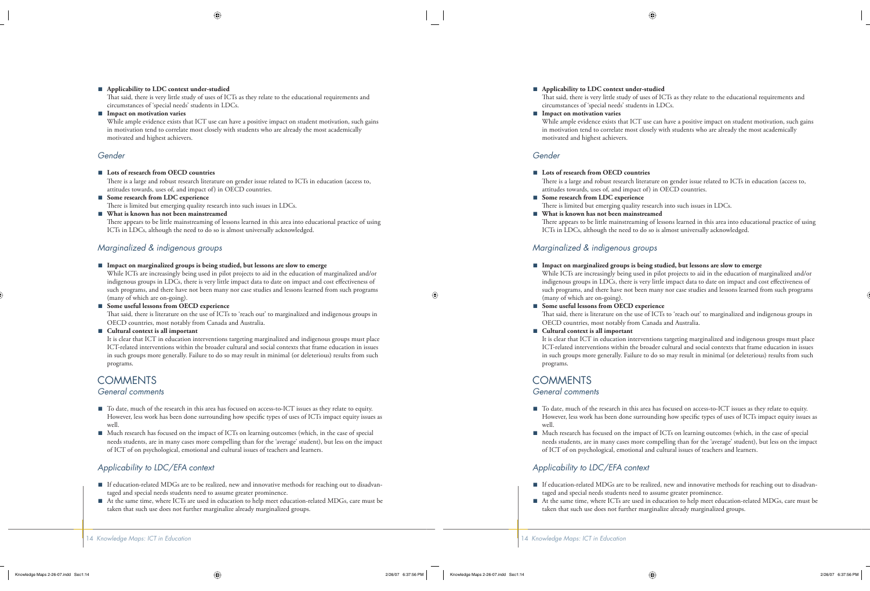#### **Applicability to LDC context under-studied** ■

That said, there is very little study of uses of ICTs as they relate to the educational requirements and circumstances of 'special needs' students in LDCs.

#### ■ Impact on motivation varies

While ample evidence exists that ICT use can have a positive impact on student motivation, such gains in motivation tend to correlate most closely with students who are already the most academically motivated and highest achievers.

#### *Gender*

**Lots of research from OECD countries** ■

There is a large and robust research literature on gender issue related to ICTs in education (access to, attitudes towards, uses of, and impact of) in OECD countries.

- **Some research from LDC experience** There is limited but emerging quality research into such issues in LDCs. ■
- **What is known has not been mainstreamed** ■

There appears to be little mainstreaming of lessons learned in this area into educational practice of using ICTs in LDCs, although the need to do so is almost universally acknowledged.

#### *Marginalized & indigenous groups*

**Impact on marginalized groups is being studied, but lessons are slow to emerge** ■

While ICTs are increasingly being used in pilot projects to aid in the education of marginalized and/or indigenous groups in LDCs, there is very little impact data to date on impact and cost effectiveness of such programs, and there have not been many nor case studies and lessons learned from such programs (many of which are on-going).

**Some useful lessons from OECD experience** ■

That said, there is literature on the use of ICTs to 'reach out' to marginalized and indigenous groups in OECD countries, most notably from Canada and Australia.

#### **Cultural context is all important** ■

It is clear that ICT in education interventions targeting marginalized and indigenous groups must place ICT-related interventions within the broader cultural and social contexts that frame education in issues in such groups more generally. Failure to do so may result in minimal (or deleterious) results from such programs.

## **COMMENTS**

#### *General comments*

- To date, much of the research in this area has focused on access-to-ICT issues as they relate to equity. However, less work has been done surrounding how specific types of uses of ICTs impact equity issues as well.
- Much research has focused on the impact of ICTs on learning outcomes (which, in the case of special needs students, are in many cases more compelling than for the 'average' student), but less on the impact of ICT of on psychological, emotional and cultural issues of teachers and learners.

### *Applicability to LDC/EFA context*

- If education-related MDGs are to be realized, new and innovative methods for reaching out to disadvantaged and special needs students need to assume greater prominence.
- At the same time, where ICTs are used in education to help meet education-related MDGs, care must be taken that such use does not further marginalize already marginalized groups.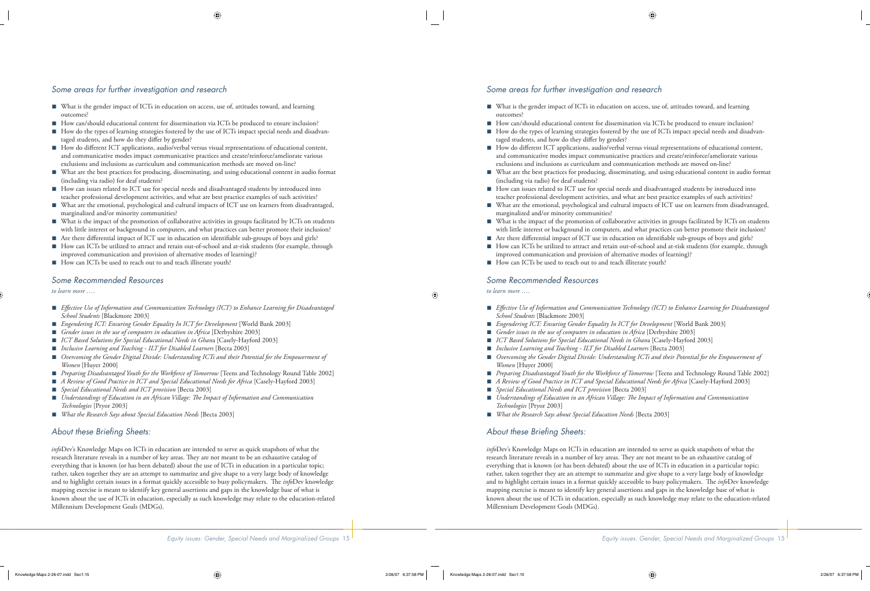## *Some areas for further investigation and research*

- What is the gender impact of ICTs in education on access, use of, attitudes toward, and learning outcomes?
- How can/should educational content for dissemination via ICTs be produced to ensure inclusion?
- How do the types of learning strategies fostered by the use of ICTs impact special needs and disadvantaged students, and how do they differ by gender?
- How do different ICT applications, audio/verbal versus visual representations of educational content, and communicative modes impact communicative practices and create/reinforce/ameliorate various exclusions and inclusions as curriculum and communication methods are moved on-line?
- What are the best practices for producing, disseminating, and using educational content in audio format (including via radio) for deaf students?
- How can issues related to ICT use for special needs and disadvantaged students by introduced into teacher professional development activities, and what are best practice examples of such activities?
- What are the emotional, psychological and cultural impacts of ICT use on learners from disadvantaged, marginalized and/or minority communities? ■
- What is the impact of the promotion of collaborative activities in groups facilitated by ICTs on students with little interest or background in computers, and what practices can better promote their inclusion?
- Are there differential impact of ICT use in education on identifiable sub-groups of boys and girls?
- How can ICTs be utilized to attract and retain out-of-school and at-risk students (for example, through improved communication and provision of alternative modes of learning)?
- How can ICTs be used to reach out to and teach illiterate youth?

#### *Some Recommended Resources*

*to learn more ….*

- Effective Use of Information and Communication Technology (ICT) to Enhance Learning for Disadvantaged *School Students* [Blackmore 2003]
- *Engendering ICT: Ensuring Gender Equality In ICT for Development* [World Bank 2003] ■
- *Gender issues in the use of computers in education in Africa* [Derbyshire 2003] ■
- *ICT Based Solutions for Special Educational Needs in Ghan*a [Casely-Hayford 2003] ■
- *Inclusive Learning and Teaching ILT for Disabled Learners* [Becta 2003] ■
- Overcoming the Gender Digital Divide: Understanding ICTs and their Potential for the Empowerment of *Women* [Huyer 2000]
- *Preparing Disadvantaged Youth for the Workforce of Tomorrow* [Teens and Technology Round Table 2002]
- *A Review of Good Practice in ICT and Special Educational Needs for Africa* [Casely-Hayford 2003]
- *Special Educational Needs and ICT provision* [Becta 2003] ■
- Understandings of Education in an African Village: The Impact of Information and Communication *Technologies* [Pryor 2003]
- *What the Research Says about Special Education Needs* [Becta 2003] ■

### About these Briefing Sheets:

*info*Dev's Knowledge Maps on ICTs in education are intended to serve as quick snapshots of what the research literature reveals in a number of key areas. They are not meant to be an exhaustive catalog of everything that is known (or has been debated) about the use of ICTs in education in a particular topic; rather, taken together they are an attempt to summarize and give shape to a very large body of knowledge and to highlight certain issues in a format quickly accessible to busy policymakers. The *info*Dev knowledge mapping exercise is meant to identify key general assertions and gaps in the knowledge base of what is known about the use of ICTs in education, especially as such knowledge may relate to the education-related Millennium Development Goals (MDGs).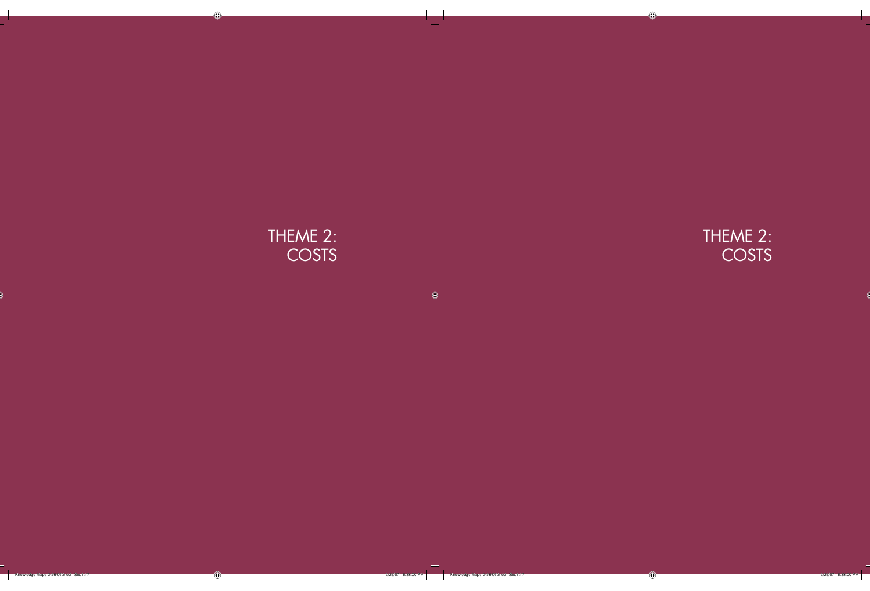# THEME 2: **COSTS**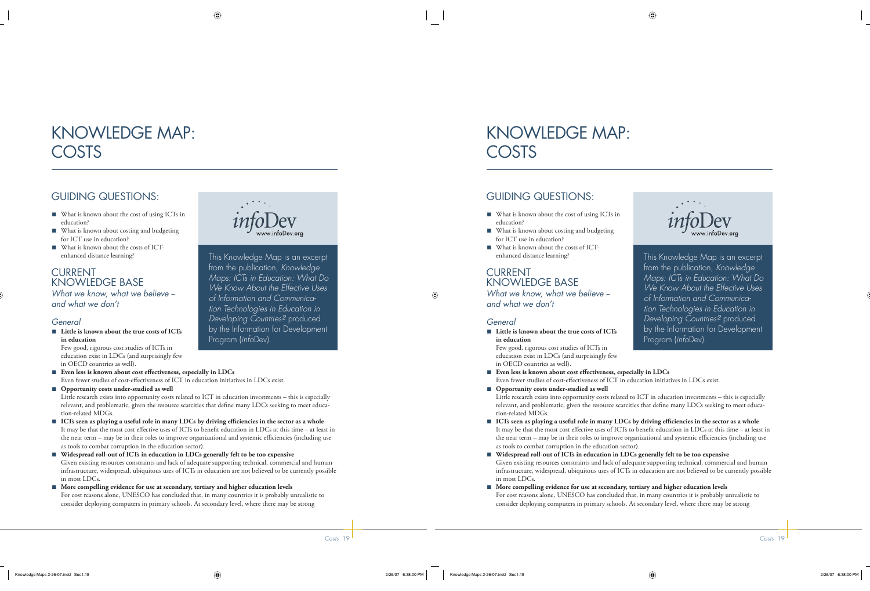# KNOWLEDGE MAP: COSTS

# GUIDING QUESTIONS:

- What is known about the cost of using ICTs in education?
- What is known about costing and budgeting for ICT use in education?
- What is known about the costs of ICTenhanced distance learning?

## CURRENT KNOWLEDGE BASE

*What we know, what we believe - and what we don't*

### *General*

■ Little is known about the true costs of ICTs **in education**

Few good, rigorous cost studies of ICTs in education exist in LDCs (and surprisingly few in OECD countries as well).

- Even less is known about cost effectiveness, especially in LDCs Even fewer studies of cost-effectiveness of ICT in education initiatives in LDCs exist.
- Opportunity costs under-studied as well

Little research exists into opportunity costs related to ICT in education investments – this is especially relevant, and problematic, given the resource scarcities that define many LDCs seeking to meet education-related MDGs.

■ ICTs seen as playing a useful role in many LDCs by driving efficiencies in the sector as a whole It may be that the most cost effective uses of ICTs to benefit education in LDCs at this time – at least in the near term – may be in their roles to improve organizational and systemic efficiencies (including use as tools to combat corruption in the education sector).

**Widespread roll-out of ICTs in education in LDCs generally felt to be too expensive** ■ Given existing resources constraints and lack of adequate supporting technical, commercial and human infrastructure, widespread, ubiquitous uses of ICTs in education are not believed to be currently possible in most LDCs.

■ More compelling evidence for use at secondary, tertiary and higher education levels For cost reasons alone, UNESCO has concluded that, in many countries it is probably unrealistic to consider deploying computers in primary schools. At secondary level, where there may be strong



This Knowledge Map is an excerpt from the publication, *Knowledge Maps: ICTs in Education: What Do We Know About the Effective Uses of Information and Communication Technologies in Education in Developing Countries?* produced by the Information for Development Program (*info*Dev).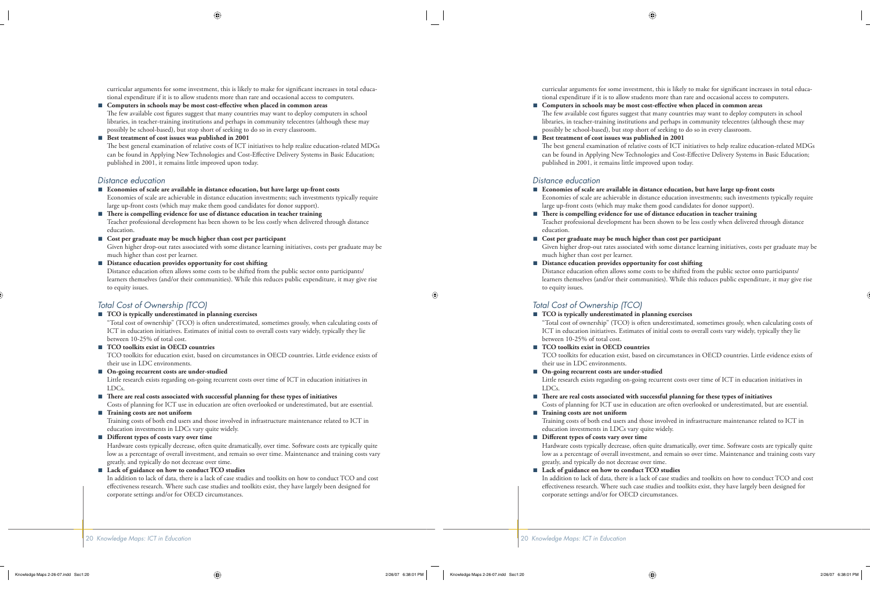curricular arguments for some investment, this is likely to make for significant increases in total educational expenditure if it is to allow students more than rare and occasional access to computers.

- Computers in schools may be most cost-effective when placed in common areas The few available cost figures suggest that many countries may want to deploy computers in school libraries, in teacher-training institutions and perhaps in community telecentres (although these may possibly be school-based), but stop short of seeking to do so in every classroom. ■
- Best treatment of cost issues was published in 2001 The best general examination of relative costs of ICT initiatives to help realize education-related MDGs can be found in Applying New Technologies and Cost-Effective Delivery Systems in Basic Education; published in 2001, it remains little improved upon today.

#### *Distance education*

- **Economies of scale are available in distance education, but have large up-front costs** Economies of scale are achievable in distance education investments; such investments typically require large up-front costs (which may make them good candidates for donor support).
- There is compelling evidence for use of distance education in teacher training Teacher professional development has been shown to be less costly when delivered through distance education. ■
- **Cost per graduate may be much higher than cost per participant** Given higher drop-out rates associated with some distance learning initiatives, costs per graduate may be much higher than cost per learner.
- **Distance education provides opportunity for cost shifting** ■

Distance education often allows some costs to be shifted from the public sector onto participants/ learners themselves (and/or their communities). While this reduces public expenditure, it may give rise to equity issues.

#### *Total Cost of Ownership (TCO)*

#### **TCO is typically underestimated in planning exercises** ■

"Total cost of ownership" (TCO) is often underestimated, sometimes grossly, when calculating costs of ICT in education initiatives. Estimates of initial costs to overall costs vary widely, typically they lie between 10-25% of total cost.

**TCO toolkits exist in OECD countries** ■

TCO toolkits for education exist, based on circumstances in OECD countries. Little evidence exists of their use in LDC environments.

■ On-going recurrent costs are under-studied

Little research exists regarding on-going recurrent costs over time of ICT in education initiatives in LDCs.

■ There are real costs associated with successful planning for these types of initiatives

Costs of planning for ICT use in education are often overlooked or underestimated, but are essential. ■ Training costs are not uniform

Training costs of both end users and those involved in infrastructure maintenance related to ICT in education investments in LDCs vary quite widely.

■ Different types of costs vary over time

Hardware costs typically decrease, often quite dramatically, over time. Software costs are typically quite low as a percentage of overall investment, and remain so over time. Maintenance and training costs vary greatly, and typically do not decrease over time.

**Lack of guidance on how to conduct TCO studies** ■

In addition to lack of data, there is a lack of case studies and toolkits on how to conduct TCO and cost effectiveness research. Where such case studies and toolkits exist, they have largely been designed for corporate settings and/or for OECD circumstances.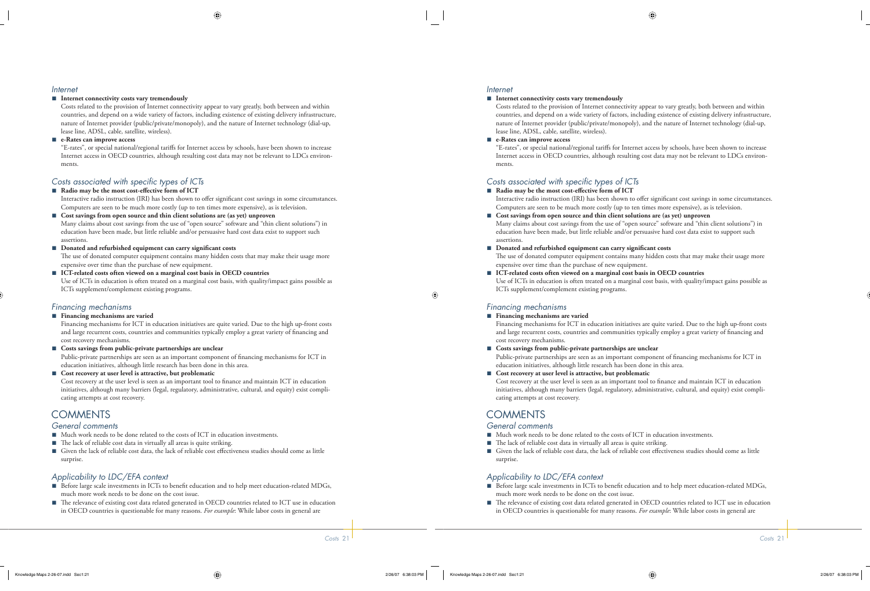#### *Internet*

#### ■ Internet connectivity costs vary tremendously

Costs related to the provision of Internet connectivity appear to vary greatly, both between and within countries, and depend on a wide variety of factors, including existence of existing delivery infrastructure, nature of Internet provider (public/private/monopoly), and the nature of Internet technology (dial-up, lease line, ADSL, cable, satellite, wireless).

■ e-Rates can improve access

"E-rates", or special national/regional tariffs for Internet access by schools, have been shown to increase Internet access in OECD countries, although resulting cost data may not be relevant to LDCs environments.

#### *Costs associated with specific types of ICTs*

#### ■ Radio may be the most cost-effective form of ICT

Interactive radio instruction (IRI) has been shown to offer significant cost savings in some circumstances. Computers are seen to be much more costly (up to ten times more expensive), as is television.

**Cost savings from open source and thin client solutions are (as yet) unproven** ■ Many claims about cost savings from the use of "open source" software and "thin client solutions") in education have been made, but little reliable and/or persuasive hard cost data exist to support such assertions.

- Donated and refurbished equipment can carry significant costs The use of donated computer equipment contains many hidden costs that may make their usage more expensive over time than the purchase of new equipment.
- **ICT-related costs often viewed on a marginal cost basis in OECD countries** Use of ICTs in education is often treated on a marginal cost basis, with quality/impact gains possible as ICTs supplement/complement existing programs.

### *Financing mechanisms*

#### ■ Financing mechanisms are varied

Financing mechanisms for ICT in education initiatives are quite varied. Due to the high up-front costs and large recurrent costs, countries and communities typically employ a great variety of financing and cost recovery mechanisms.

- Costs savings from public-private partnerships are unclear Public-private partnerships are seen as an important component of financing mechanisms for ICT in education initiatives, although little research has been done in this area.
- **Cost recovery at user level is attractive, but problematic** Cost recovery at the user level is seen as an important tool to finance and maintain ICT in education initiatives, although many barriers (legal, regulatory, administrative, cultural, and equity) exist complicating attempts at cost recovery.

# **COMMENTS**

#### *General comments*

- Much work needs to be done related to the costs of ICT in education investments.
- The lack of reliable cost data in virtually all areas is quite striking.
- Given the lack of reliable cost data, the lack of reliable cost effectiveness studies should come as little surprise.

### *Applicability to LDC/EFA context*

- Before large scale investments in ICTs to benefit education and to help meet education-related MDGs, much more work needs to be done on the cost issue.
- The relevance of existing cost data related generated in OECD countries related to ICT use in education in OECD countries is questionable for many reasons. *For example*: While labor costs in general are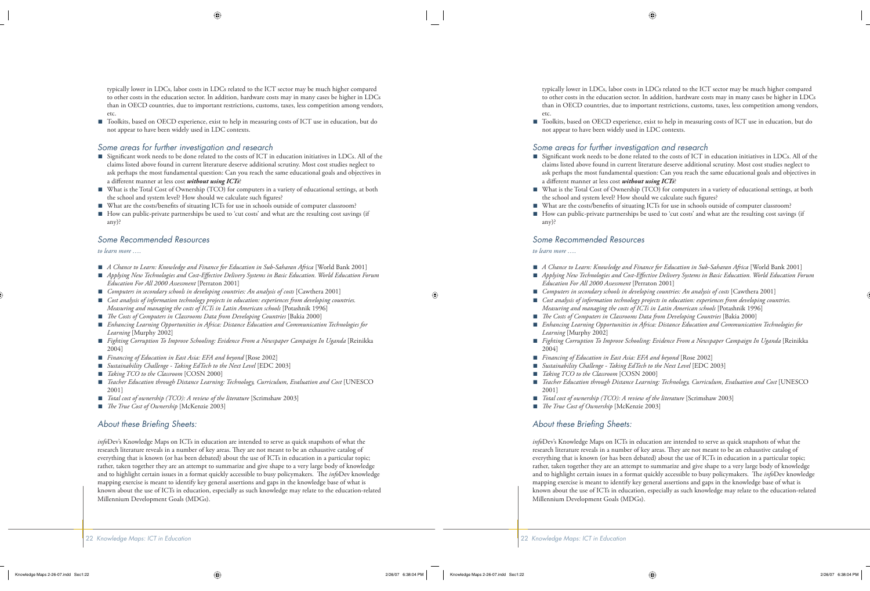typically lower in LDCs, labor costs in LDCs related to the ICT sector may be much higher compared to other costs in the education sector. In addition, hardware costs may in many cases be higher in LDCs than in OECD countries, due to important restrictions, customs, taxes, less competition among vendors, etc.

■ Toolkits, based on OECD experience, exist to help in measuring costs of ICT use in education, but do not appear to have been widely used in LDC contexts.

#### *Some areas for further investigation and research*

- Significant work needs to be done related to the costs of ICT in education initiatives in LDCs. All of the claims listed above found in current literature deserve additional scrutiny. Most cost studies neglect to ask perhaps the most fundamental question: Can you reach the same educational goals and objectives in a different manner at less cost *without using ICTs*?
- What is the Total Cost of Ownership (TCO) for computers in a variety of educational settings, at both the school and system level? How should we calculate such figures? ■
- What are the costs/benefits of situating ICTs for use in schools outside of computer classroom?
- How can public-private partnerships be used to 'cut costs' and what are the resulting cost savings (if any)?

#### *Some Recommended Resources*

#### *to learn more ….*

- *A Chance to Learn: Knowledge and Finance for Education in Sub-Saharan Africa* [World Bank 2001]
- Applying New Technologies and Cost-Effective Delivery Systems in Basic Education. World Education Forum *Education For All 2000 Assessment* [Perraton 2001]
- *Computers in secondary schools in developing countries: An analysis of costs* [Cawthera 2001]
- *Cost analysis of information technology projects in education: experiences from developing countries. Measuring and managing the costs of ICTs in Latin American schools* [Potashnik 1996]
- *The Costs of Computers in Classrooms Data from Developing Countries* [Bakia 2000]
- *Enhancing Learning Opportunities in Africa: Distance Education and Communication Technologies for Learning* [Murphy 2002]
- *Fighting Corruption To Improve Schooling: Evidence From a Newspaper Campaign In Uganda* [Reinikka 2004] ■
- *Financing of Education in East Asia: EFA and beyond* [Rose 2002] ■
- *Sustainability Challenge Taking EdTech to the Next Level* [EDC 2003] ■
- *Taking TCO to the Classroom* [COSN 2000] ■
- *Teacher Education through Distance Learning: Technology, Curriculum, Evaluation and Cost* [UNESCO 2001] ■
- *Total cost of ownership (TCO): A review of the literature* [Scrimshaw 2003] ■
- *The True Cost of Ownership* [McKenzie 2003] ■

#### About these Briefing Sheets:

*info*Dev's Knowledge Maps on ICTs in education are intended to serve as quick snapshots of what the research literature reveals in a number of key areas. They are not meant to be an exhaustive catalog of everything that is known (or has been debated) about the use of ICTs in education in a particular topic; rather, taken together they are an attempt to summarize and give shape to a very large body of knowledge and to highlight certain issues in a format quickly accessible to busy policymakers. The *info*Dev knowledge mapping exercise is meant to identify key general assertions and gaps in the knowledge base of what is known about the use of ICTs in education, especially as such knowledge may relate to the education-related Millennium Development Goals (MDGs).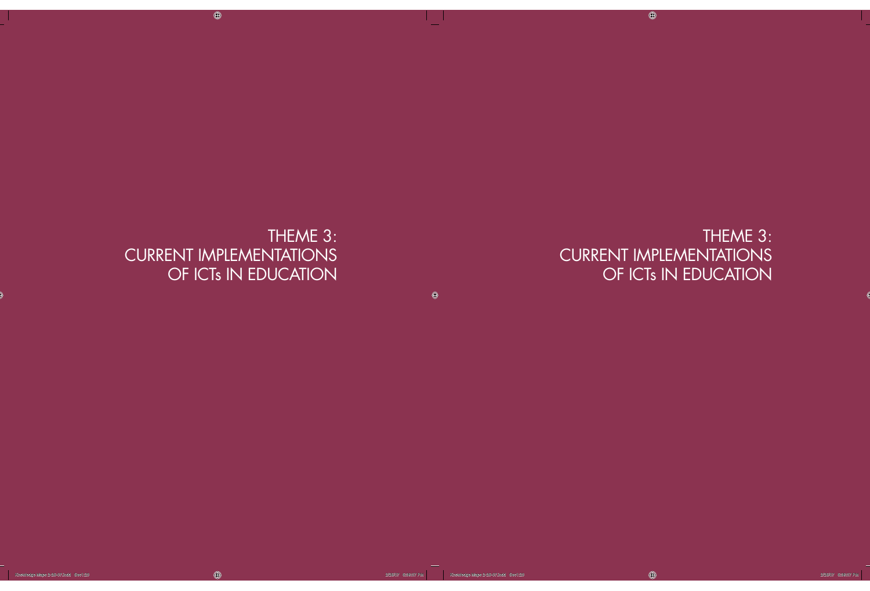# THEME 3: CURRENT IMPLEMENTATIONS OF ICTs IN EDUCATION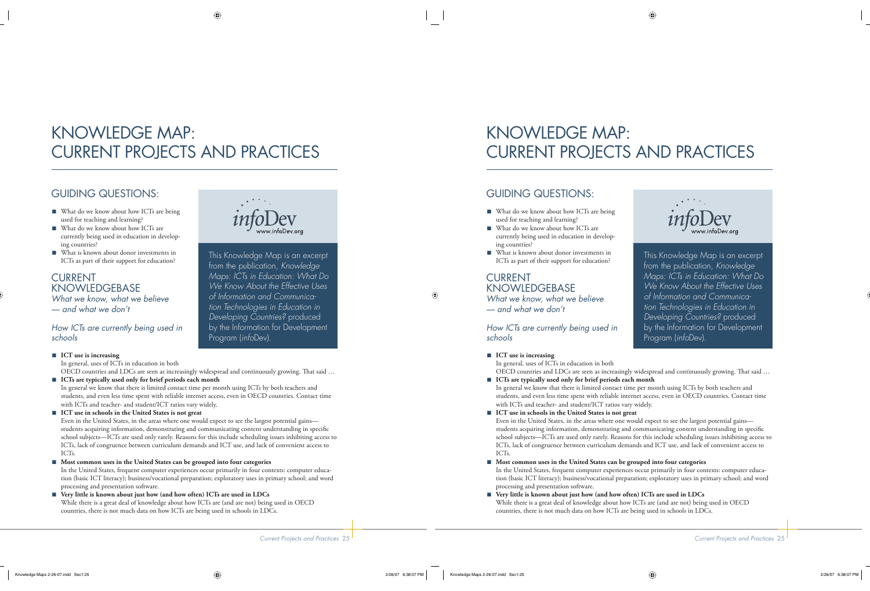# KNOWLEDGE MAP: CURRENT PROJECTS AND PRACTICES

# GUIDING QUESTIONS:

- What do we know about how ICTs are being used for teaching and learning?
- What do we know about how ICTs are currently being used in education in developing countries?
- What is known about donor investments in ICTs as part of their support for education?

## CURRENT **KNOWLEDGEBASE**

*What we know, what we believe — and what we don't*

### *How ICTs are currently being used in schools*



This Knowledge Map is an excerpt from the publication, *Knowledge Maps: ICTs in Education: What Do We Know About the Effective Uses of Information and Communication Technologies in Education in Developing Countries?* produced by the Information for Development Program (*info*Dev).

- ICT use is increasing In general, uses of ICTs in education in both OECD countries and LDCs are seen as increasingly widespread and continuously growing. That said ...
- **ICTs are typically used only for brief periods each month** In general we know that there is limited contact time per month using ICTs by both teachers and students, and even less time spent with reliable internet access, even in OECD countries. Contact time with ICTs and teacher- and student/ICT ratios vary widely.

#### **ICT use in schools in the United States is not great** ■

Even in the United States, in the areas where one would expect to see the largest potential gains students acquiring information, demonstrating and communicating content understanding in specific school subjects—ICTs are used only rarely. Reasons for this include scheduling issues inhibiting access to ICTs, lack of congruence between curriculum demands and ICT use, and lack of convenient access to ICTs.

#### **Most common uses in the United States can be grouped into four categories** ■

In the United States, frequent computer experiences occur primarily in four contexts: computer education (basic ICT literacy); business/vocational preparation; exploratory uses in primary school; and word processing and presentation software.

#### **Very little is known about just how (and how often) ICTs are used in LDCs** While there is a great deal of knowledge about how ICTs are (and are not) being used in OECD countries, there is not much data on how ICTs are being used in schools in LDCs. ■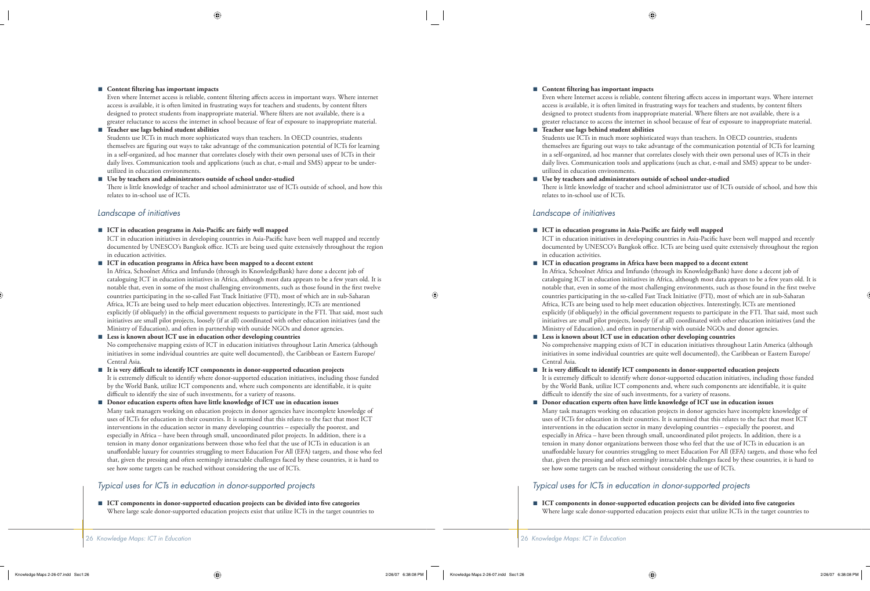#### ■ Content filtering has important impacts

utilized in education environments.

Even where Internet access is reliable, content filtering affects access in important ways. Where internet access is available, it is often limited in frustrating ways for teachers and students, by content filters designed to protect students from inappropriate material. Where filters are not available, there is a greater reluctance to access the internet in school because of fear of exposure to inappropriate material.

**Teacher use lags behind student abilities** ■ Students use ICTs in much more sophisticated ways than teachers. In OECD countries, students themselves are figuring out ways to take advantage of the communication potential of ICTs for learning in a self-organized, ad hoc manner that correlates closely with their own personal uses of ICTs in their daily lives. Communication tools and applications (such as chat, e-mail and SMS) appear to be under-

#### **Use by teachers and administrators outside of school under-studied** ■

There is little knowledge of teacher and school administrator use of ICTs outside of school, and how this relates to in-school use of ICTs.

#### *Landscape of initiatives*

■ ICT in education programs in Asia-Pacific are fairly well mapped

ICT in education initiatives in developing countries in Asia-Pacific have been well mapped and recently documented by UNESCO's Bangkok office. ICTs are being used quite extensively throughout the region in education activities.

**ICT in education programs in Africa have been mapped to a decent extent** ■

In Africa, Schoolnet Africa and Imfundo (through its KnowledgeBank) have done a decent job of cataloguing ICT in education initiatives in Africa, although most data appears to be a few years old. It is notable that, even in some of the most challenging environments, such as those found in the first twelve countries participating in the so-called Fast Track Initiative (FTI), most of which are in sub-Saharan Africa, ICTs are being used to help meet education objectives. Interestingly, ICTs are mentioned explicitly (if obliquely) in the official government requests to participate in the FTI. That said, most such initiatives are small pilot projects, loosely (if at all) coordinated with other education initiatives (and the Ministry of Education), and often in partnership with outside NGOs and donor agencies.

#### **Less is known about ICT use in education other developing countries** ■

No comprehensive mapping exists of ICT in education initiatives throughout Latin America (although initiatives in some individual countries are quite well documented), the Caribbean or Eastern Europe/ Central Asia.

It is very difficult to identify ICT components in donor-supported education projects It is extremely difficult to identify where donor-supported education initiatives, including those funded by the World Bank, utilize ICT components and, where such components are identifiable, it is quite difficult to identify the size of such investments, for a variety of reasons. ■

**Donor education experts often have little knowledge of ICT use in education issues** Many task managers working on education projects in donor agencies have incomplete knowledge of uses of ICTs for education in their countries. It is surmised that this relates to the fact that most ICT interventions in the education sector in many developing countries – especially the poorest, and especially in Africa – have been through small, uncoordinated pilot projects. In addition, there is a tension in many donor organizations between those who feel that the use of ICTs in education is an unaffordable luxury for countries struggling to meet Education For All (EFA) targets, and those who feel that, given the pressing and often seemingly intractable challenges faced by these countries, it is hard to see how some targets can be reached without considering the use of ICTs. ■

#### *Typical uses for ICTs in education in donor-supported projects*

■ ICT components in donor-supported education projects can be divided into five categories Where large scale donor-supported education projects exist that utilize ICTs in the target countries to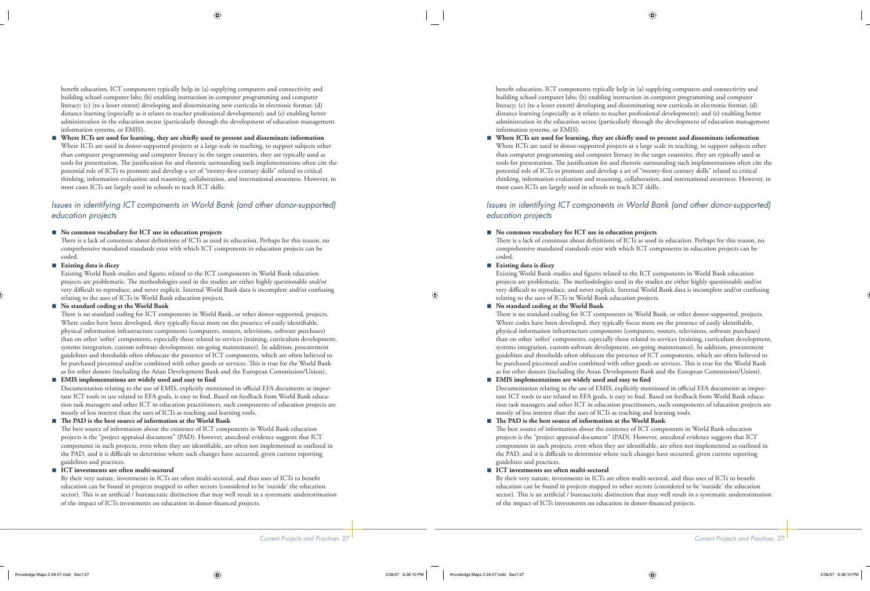benefit education, ICT components typically help in (a) supplying computers and connectivity and building school computer labs; (b) enabling instruction in computer programming and computer literacy; (c) (to a lesser extent) developing and disseminating new curricula in electronic format; (d) distance learning (especially as it relates to teacher professional development); and (e) enabling better administration in the education sector (particularly through the development of education management information systems, or EMIS).

Where ICTs are used for learning, they are chiefly used to present and disseminate information Where ICTs are used in donor-supported projects at a large scale in teaching, to support subjects other than computer programming and computer literacy in the target countries, they are typically used as tools for presentation. The justification for and rhetoric surrounding such implementations often cite the potential role of ICTs to promote and develop a set of "twenty-first century skills" related to critical thinking, information evaluation and reasoning, collaboration, and international awareness. However, in most cases ICTs are largely used in schools to teach ICT skills. ■

### *Issues in identifying ICT components in World Bank (and other donor-supported) education projects*

#### **No common vocabulary for ICT use in education projects** ■

There is a lack of consensus about definitions of ICTs as used in education. Perhaps for this reason, no comprehensive mandated standards exist with which ICT components in education projects can be coded.

#### **Existing data is dicey** ■

Existing World Bank studies and figures related to the ICT components in World Bank education projects are problematic. The methodologies used in the studies are either highly questionable and/or very difficult to reproduce, and never explicit. Internal World Bank data is incomplete and/or confusing relating to the uses of ICTs in World Bank education projects.

#### **No standard coding at the World Bank** ■

There is no standard coding for ICT components in World Bank, or other donor-supported, projects. Where codes have been developed, they typically focus more on the presence of easily identifiable, physical information infrastructure components (computers, routers, televisions, software purchases) than on other 'softer' components, especially those related to services (training, curriculum development, systems integration, custom software development, on-going maintenance). In addition, procurement guidelines and thresholds often obfuscate the presence of ICT components, which are often believed to be purchased piecemeal and/or combined with other goods or services. This is true for the World Bank as for other donors (including the Asian Development Bank and the European Commission/Union).

#### **EMIS** implementations are widely used and easy to find ■

Documentation relating to the use of EMIS, explicitly mentioned in official EFA documents as important ICT tools to use related to EFA goals, is easy to find. Based on feedback from World Bank education task managers and other ICT in education practitioners, such components of education projects are mostly of less interest than the uses of ICTs as teaching and learning tools.

#### The PAD is the best source of information at the World Bank ■

The best source of information about the existence of ICT components in World Bank education projects is the "project appraisal document" (PAD). However, anecdotal evidence suggests that ICT components in such projects, even when they are identifiable, are often not implemented as outlined in the PAD, and it is difficult to determine where such changes have occurred, given current reporting guidelines and practices.

#### **ICT investments are often multi-sectoral** ■

By their very nature, investments in ICTs are often multi-sectoral, and thus uses of ICTs to benefit education can be found in projects mapped to other sectors (considered to be 'outside' the education sector). This is an artificial / bureaucratic distinction that may well result in a systematic underestimation of the impact of ICTs investments on education in donor-financed projects.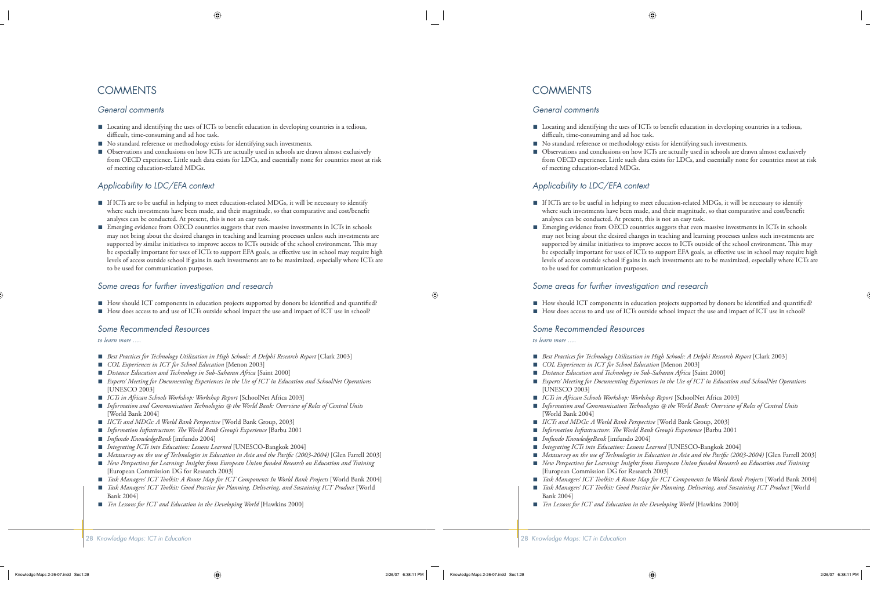## **COMMENTS**

#### *General comments*

- Locating and identifying the uses of ICTs to benefit education in developing countries is a tedious, difficult, time-consuming and ad hoc task.
- No standard reference or methodology exists for identifying such investments. ■
- Observations and conclusions on how ICTs are actually used in schools are drawn almost exclusively from OECD experience. Little such data exists for LDCs, and essentially none for countries most at risk of meeting education-related MDGs. ■

#### *Applicability to LDC/EFA context*

- If ICTs are to be useful in helping to meet education-related MDGs, it will be necessary to identify where such investments have been made, and their magnitude, so that comparative and cost/benefit analyses can be conducted. At present, this is not an easy task.
- Emerging evidence from OECD countries suggests that even massive investments in ICTs in schools may not bring about the desired changes in teaching and learning processes unless such investments are supported by similar initiatives to improve access to ICTs outside of the school environment. This may be especially important for uses of ICTs to support EFA goals, as effective use in school may require high levels of access outside school if gains in such investments are to be maximized, especially where ICTs are to be used for communication purposes.

#### *Some areas for further investigation and research*

- How should ICT components in education projects supported by donors be identified and quantified?
- How does access to and use of ICTs outside school impact the use and impact of ICT use in school?

#### *Some Recommended Resources*

*to learn more ….*

- *Best Practices for Technology Utilization in High Schools: A Delphi Research Report* [Clark 2003]
- *COL Experiences in ICT for School Education* [Menon 2003] ■
- *Distance Education and Technology in Sub-Saharan Africa* [Saint 2000] ■
- *Experts' Meeting for Documenting Experiences in the Use of ICT in Education and SchoolNet Operations* [UNESCO 2003] ■
- *ICTs in African Schools Workshop: Workshop Report* [SchoolNet Africa 2003] ■
- *Information and Communication Technologies @ the World Bank: Overview of Roles of Central Units* [World Bank 2004]
- *IICTs and MDGs: A World Bank Perspective* [World Bank Group, 2003] ■
- *Information Infrastructure: The World Bank Group's Experience* [Barbu 2001
- *Imfundo KnowledgeBank* [imfundo 2004] ■
- *Integrating ICTs into Education: Lessons Learned* [UNESCO-Bangkok 2004] ■
- *Metasurvey on the use of Technologies in Education in Asia and the Pacific (2003-2004)* [Glen Farrell 2003]
- *New Perspectives for Learning: Insights from European Union funded Research on Education and Training* [European Commission DG for Research 2003] ■
- *Task Managers' ICT Toolkit: A Route Map for ICT Components In World Bank Projects* [World Bank 2004] ■
- *Task Managers' ICT Toolkit: Good Practice for Planning, Delivering, and Sustaining ICT Product* [World Bank 2004]
- *Ten Lessons for ICT and Education in the Developing World* [Hawkins 2000] ■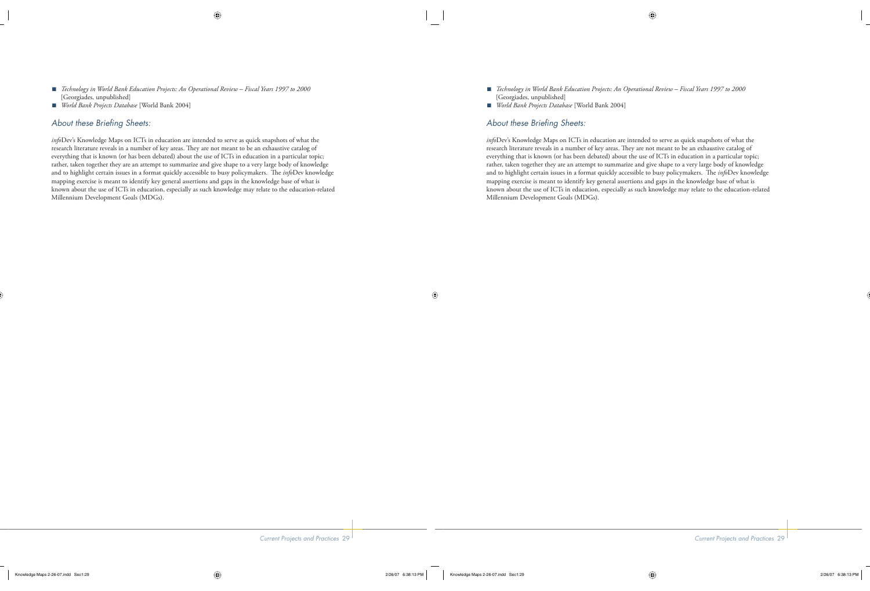- *Technology in World Bank Education Projects: An Operational Review Fiscal Years 1997 to 2000*  [Georgiades, unpublished]
- *World Bank Projects Database* [World Bank 2004] ■

### About these Briefing Sheets:

*info*Dev's Knowledge Maps on ICTs in education are intended to serve as quick snapshots of what the research literature reveals in a number of key areas. They are not meant to be an exhaustive catalog of everything that is known (or has been debated) about the use of ICTs in education in a particular topic; rather, taken together they are an attempt to summarize and give shape to a very large body of knowledge and to highlight certain issues in a format quickly accessible to busy policymakers. The *info*Dev knowledge mapping exercise is meant to identify key general assertions and gaps in the knowledge base of what is known about the use of ICTs in education, especially as such knowledge may relate to the education-related Millennium Development Goals (MDGs).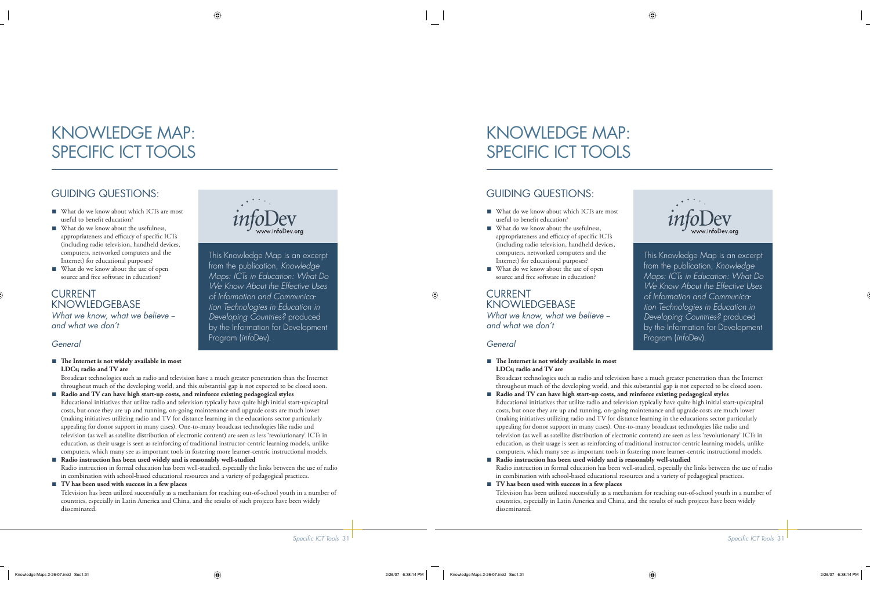# KNOWLEDGE MAP: SPECIFIC ICT TOOLS

# GUIDING QUESTIONS:

- What do we know about which ICTs are most useful to benefit education?
- What do we know about the usefulness, appropriateness and efficacy of specific ICTs (including radio television, handheld devices, computers, networked computers and the Internet) for educational purposes?
- What do we know about the use of open source and free software in education?

### CURRENT **KNOWLEDGEBASE** *What we know, what we believe - and what we don't*

### *General*

#### ■ The Internet is not widely available in most **LDCs; radio and TV are**



This Knowledge Map is an excerpt from the publication, *Knowledge Maps: ICTs in Education: What Do We Know About the Effective Uses of Information and Communication Technologies in Education in Developing Countries?* produced by the Information for Development Program (*info*Dev).

Broadcast technologies such as radio and television have a much greater penetration than the Internet throughout much of the developing world, and this substantial gap is not expected to be closed soon.

- **Radio and TV can have high start-up costs, and reinforce existing pedagogical styles** Educational initiatives that utilize radio and television typically have quite high initial start-up/capital costs, but once they are up and running, on-going maintenance and upgrade costs are much lower (making initiatives utilizing radio and TV for distance learning in the educations sector particularly appealing for donor support in many cases). One-to-many broadcast technologies like radio and television (as well as satellite distribution of electronic content) are seen as less 'revolutionary' ICTs in education, as their usage is seen as reinforcing of traditional instructor-centric learning models, unlike computers, which many see as important tools in fostering more learner-centric instructional models. ■
- **Radio instruction has been used widely and is reasonably well-studied** Radio instruction in formal education has been well-studied, especially the links between the use of radio in combination with school-based educational resources and a variety of pedagogical practices.

#### **TV has been used with success in a few places** ■

Television has been utilized successfully as a mechanism for reaching out-of-school youth in a number of countries, especially in Latin America and China, and the results of such projects have been widely disseminated.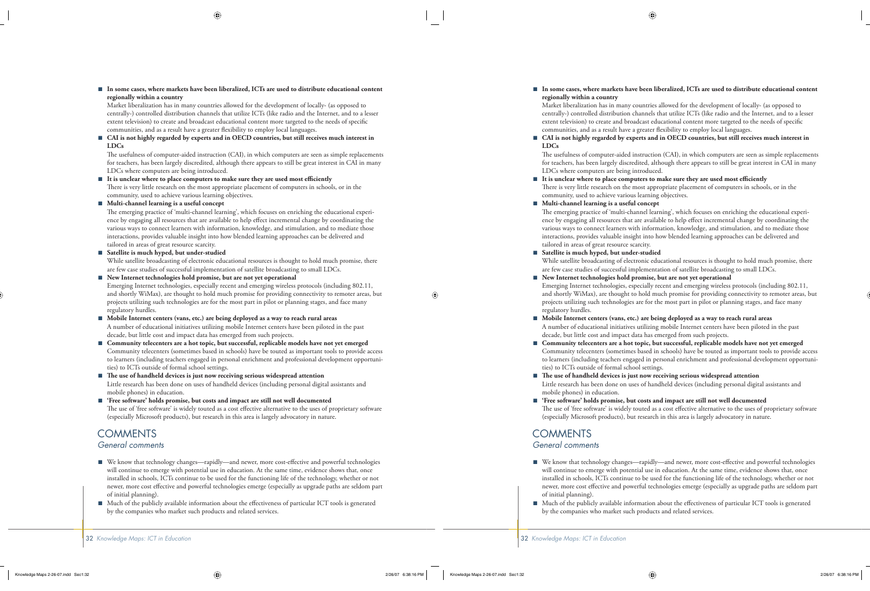■ In some cases, where markets have been liberalized, ICTs are used to distribute educational content **regionally within a country**

Market liberalization has in many countries allowed for the development of locally- (as opposed to centrally-) controlled distribution channels that utilize ICTs (like radio and the Internet, and to a lesser extent television) to create and broadcast educational content more targeted to the needs of specific communities, and as a result have a greater flexibility to employ local languages.

■ CAI is not highly regarded by experts and in OECD countries, but still receives much interest in **LDCs**

The usefulness of computer-aided instruction (CAI), in which computers are seen as simple replacements for teachers, has been largely discredited, although there appears to still be great interest in CAI in many LDCs where computers are being introduced.

It is unclear where to place computers to make sure they are used most efficiently There is very little research on the most appropriate placement of computers in schools, or in the community, used to achieve various learning objectives. ■

#### **Multi-channel learning is a useful concept** ■

The emerging practice of 'multi-channel learning', which focuses on enriching the educational experience by engaging all resources that are available to help effect incremental change by coordinating the various ways to connect learners with information, knowledge, and stimulation, and to mediate those interactions, provides valuable insight into how blended learning approaches can be delivered and tailored in areas of great resource scarcity.

#### **Satellite is much hyped, but under-studied** ■

While satellite broadcasting of electronic educational resources is thought to hold much promise, there are few case studies of successful implementation of satellite broadcasting to small LDCs.

**New Internet technologies hold promise, but are not yet operational** ■

Emerging Internet technologies, especially recent and emerging wireless protocols (including 802.11, and shortly WiMax), are thought to hold much promise for providing connectivity to remoter areas, but projects utilizing such technologies are for the most part in pilot or planning stages, and face many regulatory hurdles.

#### ■ Mobile Internet centers (vans, etc.) are being deployed as a way to reach rural areas A number of educational initiatives utilizing mobile Internet centers have been piloted in the past decade, but little cost and impact data has emerged from such projects.

- **Community telecenters are a hot topic, but successful, replicable models have not yet emerged** Community telecenters (sometimes based in schools) have be touted as important tools to provide access to learners (including teachers engaged in personal enrichment and professional development opportunities) to ICTs outside of formal school settings.
- The use of handheld devices is just now receiving serious widespread attention Little research has been done on uses of handheld devices (including personal digital assistants and mobile phones) in education.
- **'Free software' holds promise, but costs and impact are still not well documented** The use of 'free software' is widely touted as a cost effective alternative to the uses of proprietary software (especially Microsoft products), but research in this area is largely advocatory in nature.

# **COMMENTS**

#### *General comments*

- We know that technology changes—rapidly—and newer, more cost-effective and powerful technologies will continue to emerge with potential use in education. At the same time, evidence shows that, once installed in schools, ICTs continue to be used for the functioning life of the technology, whether or not newer, more cost effective and powerful technologies emerge (especially as upgrade paths are seldom part of initial planning).
- Much of the publicly available information about the effectiveness of particular ICT tools is generated by the companies who market such products and related services. ■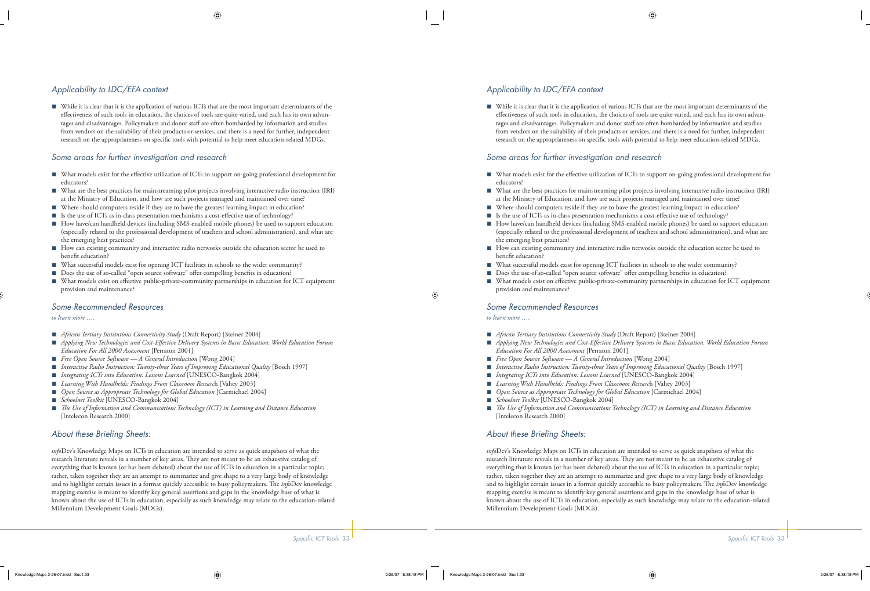## *Applicability to LDC/EFA context*

■ While it is clear that it is the application of various ICTs that are the most important determinants of the effectiveness of such tools in education, the choices of tools are quite varied, and each has its own advantages and disadvantages. Policymakers and donor staff are often bombarded by information and studies from vendors on the suitability of their products or services, and there is a need for further, independent research on the appropriateness on specific tools with potential to help meet education-related MDGs.

### *Some areas for further investigation and research*

- What models exist for the effective utilization of ICTs to support on-going professional development for educators?
- What are the best practices for mainstreaming pilot projects involving interactive radio instruction (IRI) at the Ministry of Education, and how are such projects managed and maintained over time? ■
- Where should computers reside if they are to have the greatest learning impact in education?
- Is the use of ICTs as in-class presentation mechanisms a cost-effective use of technology?
- How have/can handheld devices (including SMS-enabled mobile phones) be used to support education (especially related to the professional development of teachers and school administration), and what are the emerging best practices?
- How can existing community and interactive radio networks outside the education sector be used to benefit education?
- What successful models exist for opening ICT facilities in schools to the wider community?
- Does the use of so-called "open source software" offer compelling benefits in education? ■
- What models exist on effective public-private-community partnerships in education for ICT equipment provision and maintenance? ■

#### *Some Recommended Resources*

#### *to learn more ….*

- *African Tertiary Institutions Connectivity Study* (Draft Report) [Steiner 2004]
- Applying New Technologies and Cost-Effective Delivery Systems in Basic Education. World Education Forum *Education For All 2000 Assessment* [Perraton 2001]
- *Free Open Source Software A General Introduction* [Wong 2004] ■
- *Interactive Radio Instruction: Twenty-three Years of Improving Educational Quality* [Bosch 1997] ■
- *Integrating ICTs into Education: Lessons Learned* [UNESCO-Bangkok 2004] ■
- *Learning With Handhelds: Findings From Classroom Researc*h [Vahey 2003] ■
- *Open Source as Appropriate Technology for Global Education* [Carmichael 2004] ■
- *Schoolnet Toolkit* [UNESCO-Bangkok 2004] ■
- *Th e Use of Information and Communications Technology (ICT) in Learning and Distance Education* [Intelecon Research 2000]

### About these Briefing Sheets:

*info*Dev's Knowledge Maps on ICTs in education are intended to serve as quick snapshots of what the research literature reveals in a number of key areas. They are not meant to be an exhaustive catalog of everything that is known (or has been debated) about the use of ICTs in education in a particular topic; rather, taken together they are an attempt to summarize and give shape to a very large body of knowledge and to highlight certain issues in a format quickly accessible to busy policymakers. The *info*Dev knowledge mapping exercise is meant to identify key general assertions and gaps in the knowledge base of what is known about the use of ICTs in education, especially as such knowledge may relate to the education-related Millennium Development Goals (MDGs).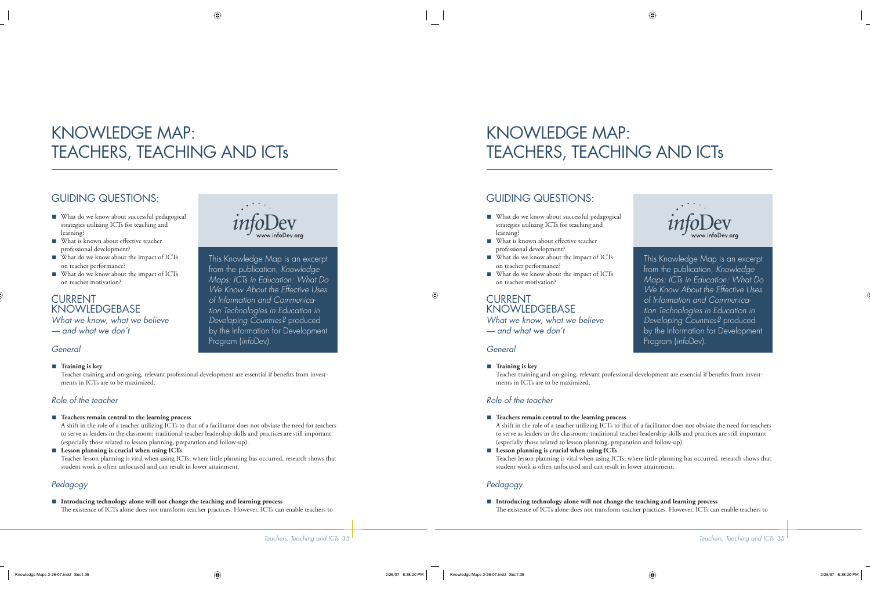# KNOWLEDGE MAP: TEACHERS, TEACHING AND ICTs

# GUIDING QUESTIONS:

- What do we know about successful pedagogical strategies utilizing ICTs for teaching and learning?
- What is known about effective teacher professional development?
- What do we know about the impact of ICTs on teacher performance?
- What do we know about the impact of ICTs on teacher motivation?

CURRENT **KNOWLEDGEBASE** *What we know, what we believe — and what we don't*

### *General*

#### ■ Training is key



This Knowledge Map is an excerpt from the publication, *Knowledge Maps: ICTs in Education: What Do We Know About the Effective Uses of Information and Communication Technologies in Education in Developing Countries?* produced by the Information for Development Program (*info*Dev).

Teacher training and on-going, relevant professional development are essential if benefits from investments in ICTs are to be maximized.

## *Role of the teacher*

#### ■ Teachers remain central to the learning process

A shift in the role of a teacher utilizing ICTs to that of a facilitator does not obviate the need for teachers to serve as leaders in the classroom; traditional teacher leadership skills and practices are still important (especially those related to lesson planning, preparation and follow-up).

■ Lesson planning is crucial when using ICTs Teacher lesson planning is vital when using ICTs; where little planning has occurred, research shows that student work is often unfocused and can result in lower attainment.

## *Pedagogy*

**Introducing technology alone will not change the teaching and learning process** ■ The existence of ICTs alone does not transform teacher practices. However, ICTs can enable teachers to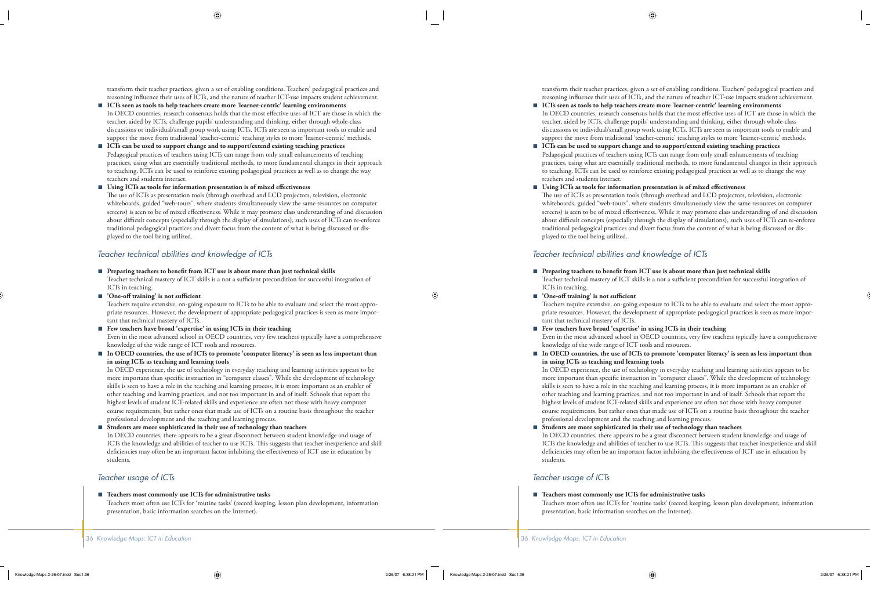transform their teacher practices, given a set of enabling conditions. Teachers' pedagogical practices and reasoning influence their uses of ICTs, and the nature of teacher ICT-use impacts student achievement.

- **ICTs seen as tools to help teachers create more 'learner-centric' learning environments** In OECD countries, research consensus holds that the most effective uses of ICT are those in which the teacher, aided by ICTs, challenge pupils' understanding and thinking, either through whole-class discussions or individual/small group work using ICTs. ICTs are seen as important tools to enable and support the move from traditional 'teacher-centric' teaching styles to more 'learner-centric' methods. ■
- **ICTs can be used to support change and to support/extend existing teaching practices** Pedagogical practices of teachers using ICTs can range from only small enhancements of teaching practices, using what are essentially traditional methods, to more fundamental changes in their approach to teaching. ICTs can be used to reinforce existing pedagogical practices as well as to change the way teachers and students interact. ■

#### ■ Using ICTs as tools for information presentation is of mixed effectiveness

The use of ICTs as presentation tools (through overhead and LCD projectors, television, electronic whiteboards, guided "web-tours", where students simultaneously view the same resources on computer screens) is seen to be of mixed effectiveness. While it may promote class understanding of and discussion about difficult concepts (especially through the display of simulations), such uses of ICTs can re-enforce traditional pedagogical practices and divert focus from the content of what is being discussed or displayed to the tool being utilized.

#### *Teacher technical abilities and knowledge of ICTs*

■ Preparing teachers to benefit from ICT use is about more than just technical skills

Teacher technical mastery of ICT skills is a not a sufficient precondition for successful integration of ICTs in teaching.

■ 'One-off training' is not sufficient

Teachers require extensive, on-going exposure to ICTs to be able to evaluate and select the most appropriate resources. However, the development of appropriate pedagogical practices is seen as more important that technical mastery of ICTs.

#### **Few teachers have broad 'expertise' in using ICTs in their teaching** ■

Even in the most advanced school in OECD countries, very few teachers typically have a comprehensive knowledge of the wide range of ICT tools and resources.

■ In OECD countries, the use of ICTs to promote 'computer literacy' is seen as less important than **in using ICTs as teaching and learning tools**

In OECD experience, the use of technology in everyday teaching and learning activities appears to be more important than specific instruction in "computer classes". While the development of technology skills is seen to have a role in the teaching and learning process, it is more important as an enabler of other teaching and learning practices, and not too important in and of itself. Schools that report the highest levels of student ICT-related skills and experience are often not those with heavy computer course requirements, but rather ones that made use of ICTs on a routine basis throughout the teacher professional development and the teaching and learning process.

#### **Students are more sophisticated in their use of technology than teachers** ■

In OECD countries, there appears to be a great disconnect between student knowledge and usage of ICTs the knowledge and abilities of teacher to use ICTs. This suggests that teacher inexperience and skill deficiencies may often be an important factor inhibiting the effectiveness of ICT use in education by students.

#### *Teacher usage of ICTs*

#### **Teachers most commonly use ICTs for administrative tasks** ■

Teachers most often use ICTs for 'routine tasks' (record keeping, lesson plan development, information presentation, basic information searches on the Internet).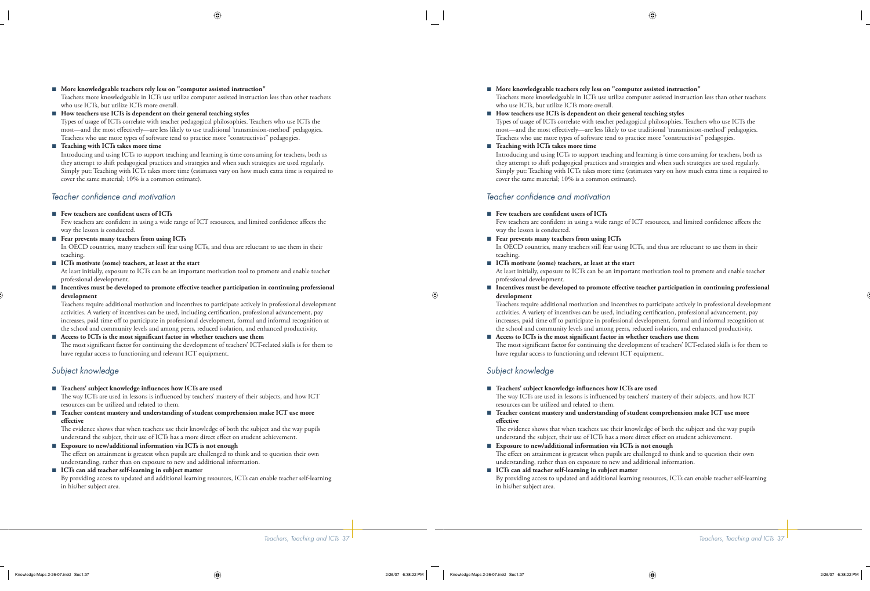#### **More knowledgeable teachers rely less on "computer assisted instruction"** ■

Teachers more knowledgeable in ICTs use utilize computer assisted instruction less than other teachers who use ICTs, but utilize ICTs more overall.

#### **How teachers use ICTs is dependent on their general teaching styles** ■

Types of usage of ICTs correlate with teacher pedagogical philosophies. Teachers who use ICTs the most—and the most effectively—are less likely to use traditional 'transmission-method' pedagogies. Teachers who use more types of software tend to practice more "constructivist" pedagogies.

#### **Teaching with ICTs takes more time** ■

Introducing and using ICTs to support teaching and learning is time consuming for teachers, both as they attempt to shift pedagogical practices and strategies and when such strategies are used regularly. Simply put: Teaching with ICTs takes more time (estimates vary on how much extra time is required to cover the same material; 10% is a common estimate).

#### *Teacher confi dence and motivation*

■ Few teachers are confident users of **ICTs** 

Few teachers are confident in using a wide range of ICT resources, and limited confidence affects the way the lesson is conducted.

■ Fear prevents many teachers from using ICTs In OECD countries, many teachers still fear using ICTs, and thus are reluctant to use them in their teaching.

#### ■ ICTs motivate (some) teachers, at least at the start

At least initially, exposure to ICTs can be an important motivation tool to promote and enable teacher professional development.

■ Incentives must be developed to promote effective teacher participation in continuing professional **development**

Teachers require additional motivation and incentives to participate actively in professional development activities. A variety of incentives can be used, including certification, professional advancement, pay increases, paid time off to participate in professional development, formal and informal recognition at the school and community levels and among peers, reduced isolation, and enhanced productivity.

#### ■ Access to ICTs is the most significant factor in whether teachers use them

The most significant factor for continuing the development of teachers' ICT-related skills is for them to have regular access to functioning and relevant ICT equipment.

#### *Subject knowledge*

- Teachers' subject knowledge influences how ICTs are used The way ICTs are used in lessons is influenced by teachers' mastery of their subjects, and how ICT resources can be utilized and related to them.
- Teacher content mastery and understanding of student comprehension make ICT use more **effective**

The evidence shows that when teachers use their knowledge of both the subject and the way pupils understand the subject, their use of ICTs has a more direct effect on student achievement.

- Exposure to new/additional information via ICTs is not enough The effect on attainment is greatest when pupils are challenged to think and to question their own understanding, rather than on exposure to new and additional information.
- ICTs can aid teacher self-learning in subject matter By providing access to updated and additional learning resources, ICTs can enable teacher self-learning in his/her subject area.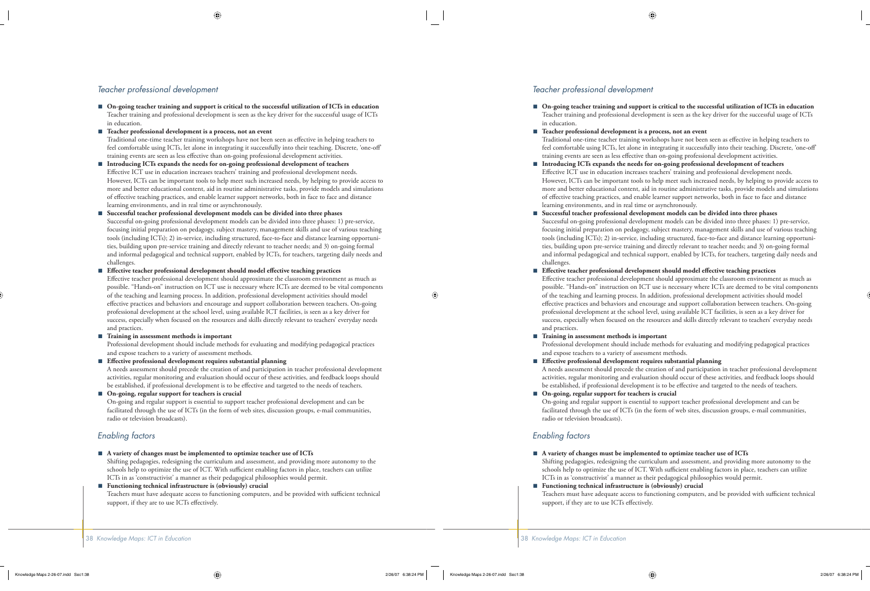#### *Teacher professional development*

- **On-going teacher training and support is critical to the successful utilization of ICTs in education** Teacher training and professional development is seen as the key driver for the successful usage of ICTs in education.
- **Teacher professional development is a process, not an event**  Traditional one-time teacher training workshops have not been seen as effective in helping teachers to feel comfortable using ICTs, let alone in integrating it successfully into their teaching. Discrete, 'one-off ' training events are seen as less effective than on-going professional development activities. ■
- **Introducing ICTs expands the needs for on-going professional development of teachers** Effective ICT use in education increases teachers' training and professional development needs. However, ICTs can be important tools to help meet such increased needs, by helping to provide access to more and better educational content, aid in routine administrative tasks, provide models and simulations of effective teaching practices, and enable learner support networks, both in face to face and distance learning environments, and in real time or asynchronously. ■
- **Successful teacher professional development models can be divided into three phases** Successful on-going professional development models can be divided into three phases: 1) pre-service, focusing initial preparation on pedagogy, subject mastery, management skills and use of various teaching tools (including ICTs); 2) in-service, including structured, face-to-face and distance learning opportunities, building upon pre-service training and directly relevant to teacher needs; and 3) on-going formal and informal pedagogical and technical support, enabled by ICTs, for teachers, targeting daily needs and challenges. ■

#### ■ Effective teacher professional development should model effective teaching practices

Effective teacher professional development should approximate the classroom environment as much as possible. "Hands-on" instruction on ICT use is necessary where ICTs are deemed to be vital components of the teaching and learning process. In addition, professional development activities should model effective practices and behaviors and encourage and support collaboration between teachers. On-going professional development at the school level, using available ICT facilities, is seen as a key driver for success, especially when focused on the resources and skills directly relevant to teachers' everyday needs and practices.

#### **Training in assessment methods is important** ■

Professional development should include methods for evaluating and modifying pedagogical practices and expose teachers to a variety of assessment methods.

■ Effective professional development requires substantial planning

A needs assessment should precede the creation of and participation in teacher professional development activities, regular monitoring and evaluation should occur of these activities, and feedback loops should be established, if professional development is to be effective and targeted to the needs of teachers.

**On-going, regular support for teachers is crucial** ■

On-going and regular support is essential to support teacher professional development and can be facilitated through the use of ICTs (in the form of web sites, discussion groups, e-mail communities, radio or television broadcasts).

#### *Enabling factors*

**A variety of changes must be implemented to optimize teacher use of ICTs** ■

Shifting pedagogies, redesigning the curriculum and assessment, and providing more autonomy to the schools help to optimize the use of ICT. With sufficient enabling factors in place, teachers can utilize ICTs in as 'constructivist' a manner as their pedagogical philosophies would permit.

**Functioning technical infrastructure is (obviously) crucial** ■

Teachers must have adequate access to functioning computers, and be provided with sufficient technical support, if they are to use ICTs effectively.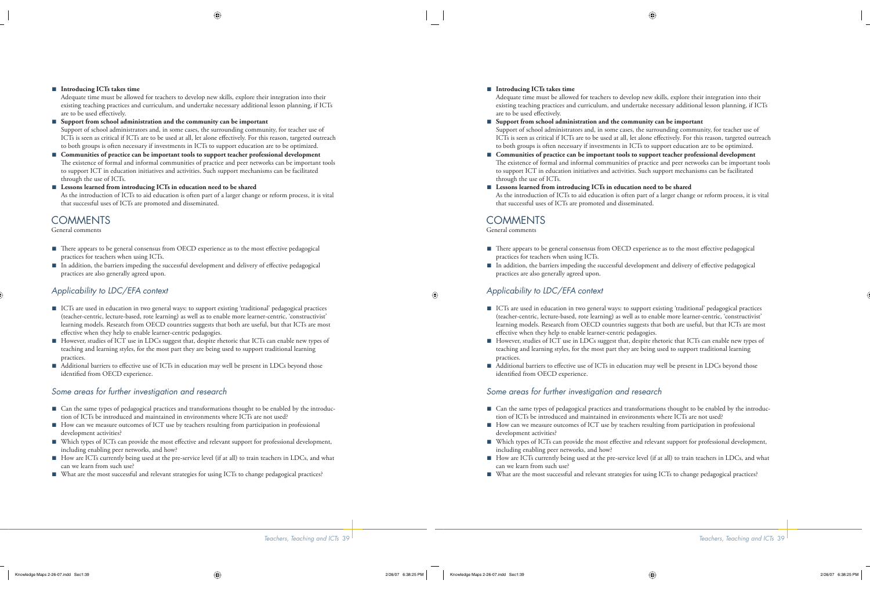#### **Introducing ICTs takes time** ■

Adequate time must be allowed for teachers to develop new skills, explore their integration into their existing teaching practices and curriculum, and undertake necessary additional lesson planning, if ICTs are to be used effectively.

**Support from school administration and the community can be important** ■ Support of school administrators and, in some cases, the surrounding community, for teacher use of ICTs is seen as critical if ICTs are to be used at all, let alone effectively. For this reason, targeted outreach to both groups is often necessary if investments in ICTs to support education are to be optimized.

- **Communities of practice can be important tools to support teacher professional development** The existence of formal and informal communities of practice and peer networks can be important tools to support ICT in education initiatives and activities. Such support mechanisms can be facilitated through the use of ICTs. ■
- Lessons learned from introducing ICTs in education need to be shared As the introduction of ICTs to aid education is often part of a larger change or reform process, it is vital that successful uses of ICTs are promoted and disseminated.

# **COMMENTS**

General comments

- There appears to be general consensus from OECD experience as to the most effective pedagogical practices for teachers when using ICTs.
- In addition, the barriers impeding the successful development and delivery of effective pedagogical practices are also generally agreed upon. ■

### *Applicability to LDC/EFA context*

- ICTs are used in education in two general ways: to support existing 'traditional' pedagogical practices (teacher-centric, lecture-based, rote learning) as well as to enable more learner-centric, 'constructivist' learning models. Research from OECD countries suggests that both are useful, but that ICTs are most effective when they help to enable learner-centric pedagogies.
- However, studies of ICT use in LDCs suggest that, despite rhetoric that ICTs can enable new types of teaching and learning styles, for the most part they are being used to support traditional learning practices.
- Additional barriers to effective use of ICTs in education may well be present in LDCs beyond those identified from OECD experience.

#### *Some areas for further investigation and research*

- Can the same types of pedagogical practices and transformations thought to be enabled by the introduction of ICTs be introduced and maintained in environments where ICTs are not used?
- How can we measure outcomes of ICT use by teachers resulting from participation in professional development activities?
- Which types of ICTs can provide the most effective and relevant support for professional development, including enabling peer networks, and how? ■
- How are ICTs currently being used at the pre-service level (if at all) to train teachers in LDCs, and what can we learn from such use?
- What are the most successful and relevant strategies for using ICTs to change pedagogical practices?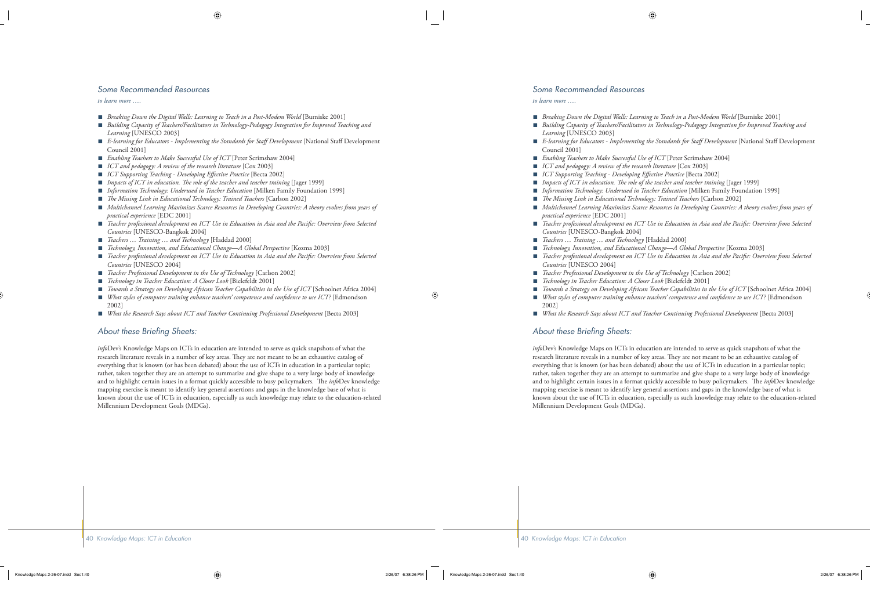#### *Some Recommended Resources*

*to learn more ….*

- *Breaking Down the Digital Walls: Learning to Teach in a Post-Modem World* [Burniske 2001] ■
- *Building Capacity of Teachers/Facilitators in Technology-Pedagogy Integration for Improved Teaching and Learning* [UNESCO 2003] ■
- E-learning for Educators Implementing the Standards for Staff Development [National Staff Development Council 2001]
- *Enabling Teachers to Make Successful Use of ICT* [Peter Scrimshaw 2004] ■
- *ICT and pedagogy: A review of the research literature* [Cox 2003] ■
- *ICT Supporting Teaching Developing Effective Practice* [Becta 2002] ■
- *Impacts of ICT in education. The role of the teacher and teacher training* [Jager 1999] ■
- *Information Technology: Underused in Teacher Education* [Milken Family Foundation 1999] ■
- *The Missing Link in Educational Technology: Trained Teachers* [Carlson 2002] ■
- *Multichannel Learning Maximizes Scarce Resources in Developing Countries: A theory evolves from years of practical experience* [EDC 2001]
- *Teacher professional development on ICT Use in Education in Asia and the Pacifi c: Overview from Selected Countries* [UNESCO-Bangkok 2004]
- *Teachers … Training … and Technology* [Haddad 2000] ■
- *Technology, Innovation, and Educational Change—A Global Perspective* [Kozma 2003] ■
- *Teacher professional development on ICT Use in Education in Asia and the Pacifi c: Overview from Selected Countries* [UNESCO 2004] ■
- *Teacher Professional Development in the Use of Technology* [Carlson 2002] ■
- *Technology in Teacher Education: A Closer Look* [Bielefeldt 2001] ■
- *Towards a Strategy on Developing African Teacher Capabilities in the Use of ICT* [Schoolnet Africa 2004] ■
- *What styles of computer training enhance teachers' competence and confidence to use ICT?* [Edmondson 2002] ■
- *What the Research Says about ICT and Teacher Continuing Professional Development* [Becta 2003] ■

#### About these Briefing Sheets:

*info*Dev's Knowledge Maps on ICTs in education are intended to serve as quick snapshots of what the research literature reveals in a number of key areas. They are not meant to be an exhaustive catalog of everything that is known (or has been debated) about the use of ICTs in education in a particular topic; rather, taken together they are an attempt to summarize and give shape to a very large body of knowledge and to highlight certain issues in a format quickly accessible to busy policymakers. The *info*Dev knowledge mapping exercise is meant to identify key general assertions and gaps in the knowledge base of what is known about the use of ICTs in education, especially as such knowledge may relate to the education-related Millennium Development Goals (MDGs).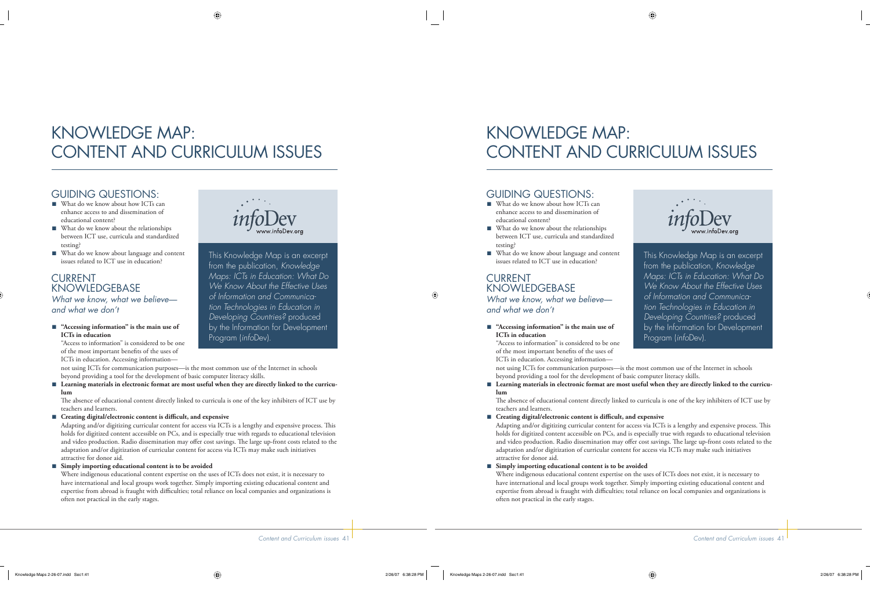# KNOWLEDGE MAP: CONTENT AND CURRICULUM ISSUES

# GUIDING QUESTIONS:

- What do we know about how ICTs can enhance access to and dissemination of educational content?
- What do we know about the relationships between ICT use, curricula and standardized testing?
- What do we know about language and content issues related to ICT use in education?

## CURRENT **KNOWLEDGEBASE**

*What we know, what we believe and what we don't*

■ "Accessing information" is the main use of **ICTs in education**

"Access to information" is considered to be one of the most important benefits of the uses of ICTs in education. Accessing information—



This Knowledge Map is an excerpt from the publication, *Knowledge Maps: ICTs in Education: What Do We Know About the Effective Uses of Information and Communication Technologies in Education in Developing Countries?* produced by the Information for Development Program (*info*Dev).

not using ICTs for communication purposes—is the most common use of the Internet in schools beyond providing a tool for the development of basic computer literacy skills.

■ Learning materials in electronic format are most useful when they are directly linked to the curricu**lum**

The absence of educational content directly linked to curricula is one of the key inhibiters of ICT use by teachers and learners.

■ Creating digital/electronic content is difficult, and expensive

Adapting and/or digitizing curricular content for access via ICTs is a lengthy and expensive process. This holds for digitized content accessible on PCs, and is especially true with regards to educational television and video production. Radio dissemination may offer cost savings. The large up-front costs related to the adaptation and/or digitization of curricular content for access via ICTs may make such initiatives attractive for donor aid.

#### **Simply importing educational content is to be avoided** ■

Where indigenous educational content expertise on the uses of ICTs does not exist, it is necessary to have international and local groups work together. Simply importing existing educational content and expertise from abroad is fraught with difficulties; total reliance on local companies and organizations is often not practical in the early stages.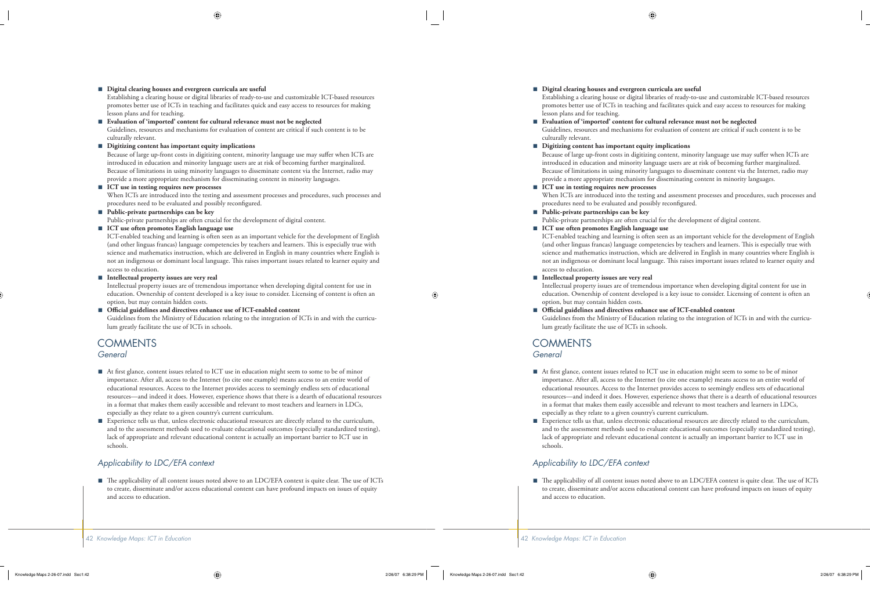#### **Digital clearing houses and evergreen curricula are useful** ■

Establishing a clearing house or digital libraries of ready-to-use and customizable ICT-based resources promotes better use of ICTs in teaching and facilitates quick and easy access to resources for making lesson plans and for teaching.

**Evaluation of 'imported' content for cultural relevance must not be neglected** ■

Guidelines, resources and mechanisms for evaluation of content are critical if such content is to be culturally relevant.

**Digitizing content has important equity implications** ■

Because of large up-front costs in digitizing content, minority language use may suffer when ICTs are introduced in education and minority language users are at risk of becoming further marginalized. Because of limitations in using minority languages to disseminate content via the Internet, radio may provide a more appropriate mechanism for disseminating content in minority languages.

■ ICT use in testing requires new processes

When ICTs are introduced into the testing and assessment processes and procedures, such processes and procedures need to be evaluated and possibly reconfigured.

**Public-private partnerships can be key** ■

Public-private partnerships are often crucial for the development of digital content.

**ICT use often promotes English language use** ■

ICT-enabled teaching and learning is often seen as an important vehicle for the development of English (and other linguas francas) language competencies by teachers and learners. This is especially true with science and mathematics instruction, which are delivered in English in many countries where English is not an indigenous or dominant local language. This raises important issues related to learner equity and access to education.

#### **Intellectual property issues are very real** ■

Intellectual property issues are of tremendous importance when developing digital content for use in education. Ownership of content developed is a key issue to consider. Licensing of content is often an option, but may contain hidden costs.

Official guidelines and directives enhance use of ICT-enabled content ■

Guidelines from the Ministry of Education relating to the integration of ICTs in and with the curriculum greatly facilitate the use of ICTs in schools.

#### **COMMENTS** *General*

- At first glance, content issues related to ICT use in education might seem to some to be of minor importance. After all, access to the Internet (to cite one example) means access to an entire world of educational resources. Access to the Internet provides access to seemingly endless sets of educational resources—and indeed it does. However, experience shows that there is a dearth of educational resources in a format that makes them easily accessible and relevant to most teachers and learners in LDCs, especially as they relate to a given country's current curriculum.
- Experience tells us that, unless electronic educational resources are directly related to the curriculum, and to the assessment methods used to evaluate educational outcomes (especially standardized testing), lack of appropriate and relevant educational content is actually an important barrier to ICT use in schools. ■

### *Applicability to LDC/EFA context*

 $\blacksquare$  The applicability of all content issues noted above to an LDC/EFA context is quite clear. The use of ICTs to create, disseminate and/or access educational content can have profound impacts on issues of equity and access to education.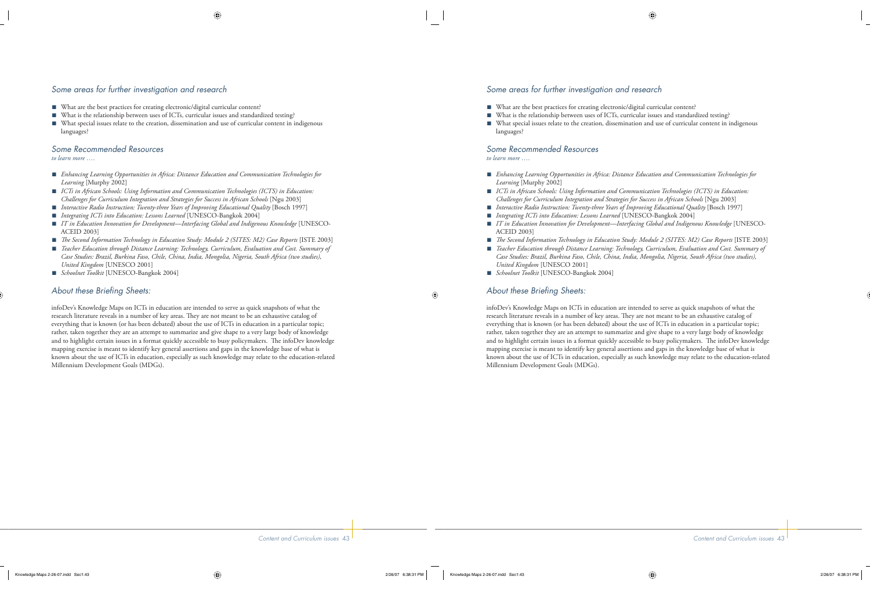### *Some areas for further investigation and research*

- What are the best practices for creating electronic/digital curricular content?
- What is the relationship between uses of ICTs, curricular issues and standardized testing?
- What special issues relate to the creation, dissemination and use of curricular content in indigenous languages? ■

#### *Some Recommended Resources*

*to learn more ….*

- *Enhancing Learning Opportunities in Africa: Distance Education and Communication Technologies for Learning* [Murphy 2002]
- *ICTs in African Schools: Using Information and Communication Technologies (ICTS) in Education: Challenges for Curriculum Integration and Strategies for Success in African Schools* [Ngu 2003]
- *Interactive Radio Instruction: Twenty-three Years of Improving Educational Quality* [Bosch 1997] ■
- *Integrating ICTs into Education: Lessons Learned* [UNESCO-Bangkok 2004]
- *IT in Education Innovation for Development—Interfacing Global and Indigenous Knowledge* [UNESCO-ACEID 2003]
- *The Second Information Technology in Education Study: Module 2 (SITES: M2) Case Reports* [ISTE 2003]
- *Teacher Education through Distance Learning: Technology, Curriculum, Evaluation and Cost. Summary of Case Studies: Brazil, Burkina Faso, Chile, China, India, Mongolia, Nigeria, South Africa (two studies), United Kingdom* [UNESCO 2001]
- *Schoolnet Toolkit* [UNESCO-Bangkok 2004] ■

### About these Briefing Sheets:

infoDev's Knowledge Maps on ICTs in education are intended to serve as quick snapshots of what the research literature reveals in a number of key areas. They are not meant to be an exhaustive catalog of everything that is known (or has been debated) about the use of ICTs in education in a particular topic; rather, taken together they are an attempt to summarize and give shape to a very large body of knowledge and to highlight certain issues in a format quickly accessible to busy policymakers. The infoDev knowledge mapping exercise is meant to identify key general assertions and gaps in the knowledge base of what is known about the use of ICTs in education, especially as such knowledge may relate to the education-related Millennium Development Goals (MDGs).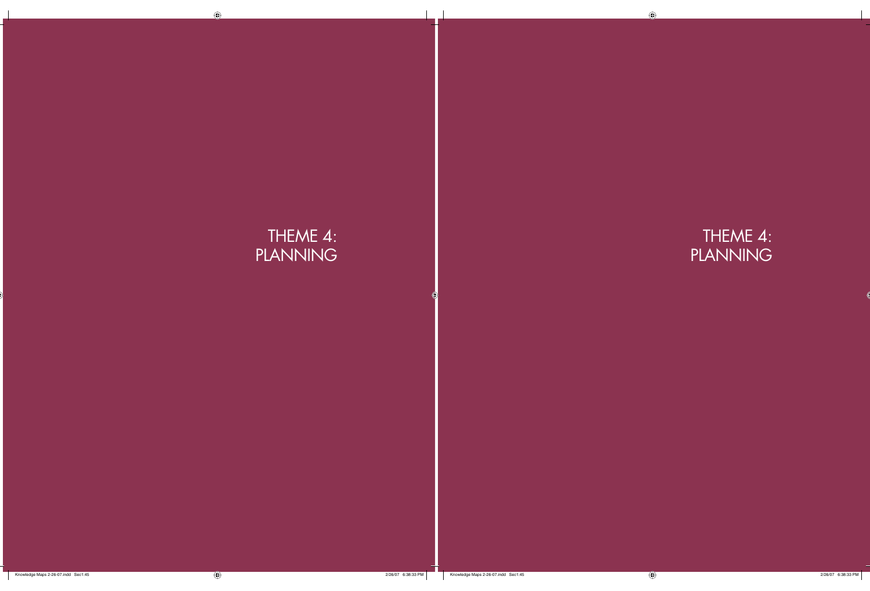# THEME 4: PLANNING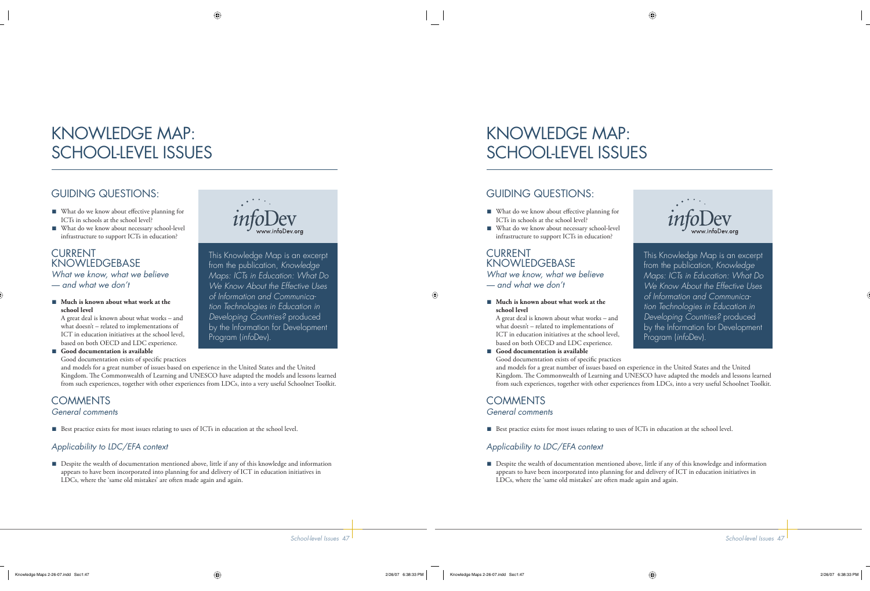# KNOWLEDGE MAP: SCHOOL-LEVEL ISSUES

# GUIDING QUESTIONS:

- What do we know about effective planning for ICTs in schools at the school level?
- What do we know about necessary school-level infrastructure to support ICTs in education?

### CURRENT **KNOWLEDGEBASE** *What we know, what we believe*

*— and what we don't*

■ Much is known about what work at the **school level**

A great deal is known about what works – and what doesn't – related to implementations of ICT in education initiatives at the school level, based on both OECD and LDC experience.

■ Good documentation is available Good documentation exists of specific practices



This Knowledge Map is an excerpt from the publication, *Knowledge Maps: ICTs in Education: What Do We Know About the Effective Uses of Information and Communication Technologies in Education in Developing Countries?* produced by the Information for Development Program (*info*Dev).

and models for a great number of issues based on experience in the United States and the United Kingdom. The Commonwealth of Learning and UNESCO have adapted the models and lessons learned from such experiences, together with other experiences from LDCs, into a very useful Schoolnet Toolkit.

## **COMMENTS** *General comments*

■ Best practice exists for most issues relating to uses of ICTs in education at the school level.

## *Applicability to LDC/EFA context*

■ Despite the wealth of documentation mentioned above, little if any of this knowledge and information appears to have been incorporated into planning for and delivery of ICT in education initiatives in LDCs, where the 'same old mistakes' are often made again and again.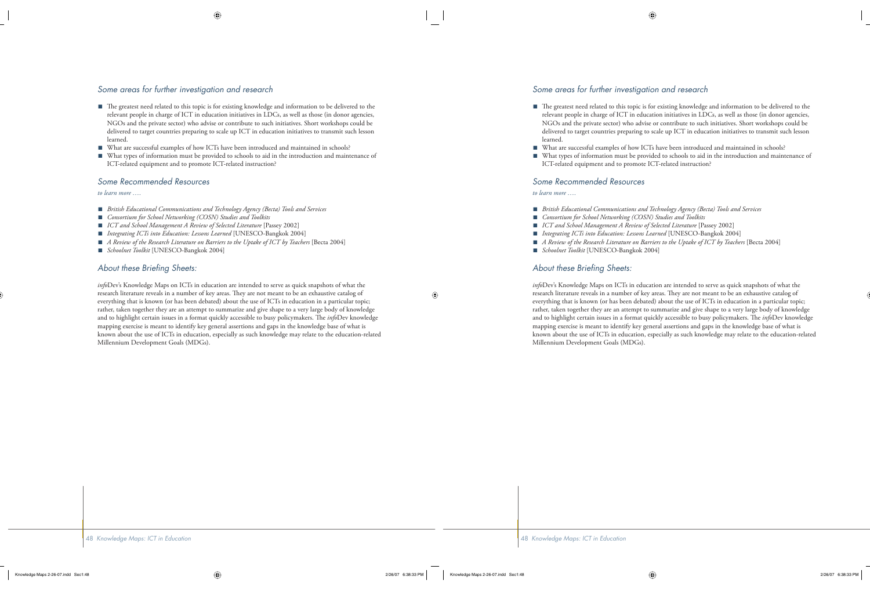### *Some areas for further investigation and research*

- The greatest need related to this topic is for existing knowledge and information to be delivered to the relevant people in charge of ICT in education initiatives in LDCs, as well as those (in donor agencies, NGOs and the private sector) who advise or contribute to such initiatives. Short workshops could be delivered to target countries preparing to scale up ICT in education initiatives to transmit such lesson learned.
- What are successful examples of how ICTs have been introduced and maintained in schools? ■
- What types of information must be provided to schools to aid in the introduction and maintenance of ICT-related equipment and to promote ICT-related instruction?

#### *Some Recommended Resources*

*to learn more ….*

- *British Educational Communications and Technology Agency (Becta) Tools and Services* ■
- *Consortium for School Networking (COSN) Studies and Toolkits* ■
- *ICT and School Management A Review of Selected Literature* [Passey 2002] ■
- *Integrating ICTs into Education: Lessons Learned* [UNESCO-Bangkok 2004] ■
- *A Review of the Research Literature on Barriers to the Uptake of ICT by Teachers* [Becta 2004] ■
- *Schoolnet Toolkit* [UNESCO-Bangkok 2004] ■

#### About these Briefing Sheets:

*info*Dev's Knowledge Maps on ICTs in education are intended to serve as quick snapshots of what the research literature reveals in a number of key areas. They are not meant to be an exhaustive catalog of everything that is known (or has been debated) about the use of ICTs in education in a particular topic; rather, taken together they are an attempt to summarize and give shape to a very large body of knowledge and to highlight certain issues in a format quickly accessible to busy policymakers. The *info*Dev knowledge mapping exercise is meant to identify key general assertions and gaps in the knowledge base of what is known about the use of ICTs in education, especially as such knowledge may relate to the education-related Millennium Development Goals (MDGs).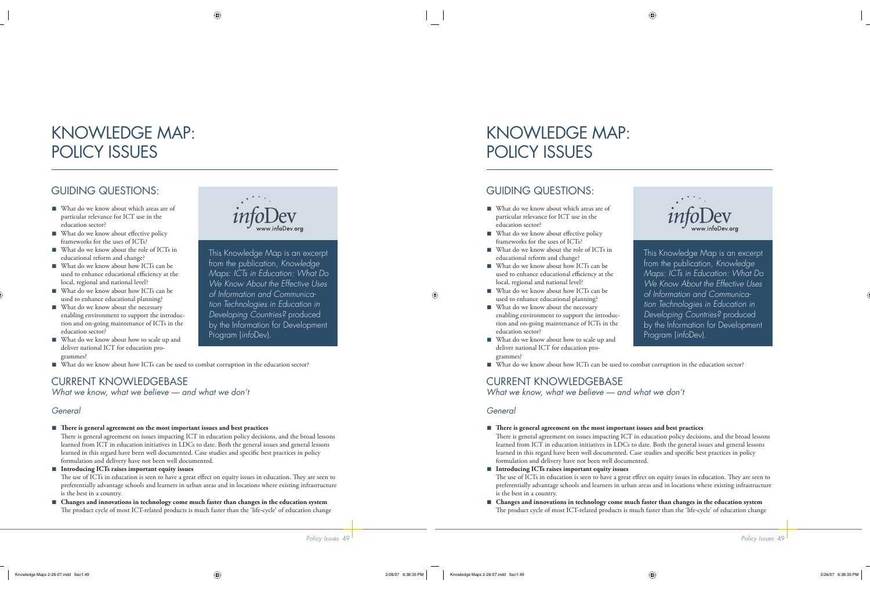# KNOWLEDGE MAP: POLICY ISSUES

# GUIDING QUESTIONS:

- What do we know about which areas are of particular relevance for ICT use in the education sector?
- What do we know about effective policy frameworks for the uses of ICTs? ■
- What do we know about the role of ICTs in educational reform and change?
- What do we know about how ICTs can be used to enhance educational efficiency at the local, regional and national level?
- What do we know about how ICTs can be used to enhance educational planning?
- What do we know about the necessary enabling environment to support the introduction and on-going maintenance of ICTs in the education sector?
- What do we know about how to scale up and deliver national ICT for education programmes?



This Knowledge Map is an excerpt from the publication, *Knowledge Maps: ICTs in Education: What Do We Know About the Effective Uses of Information and Communication Technologies in Education in Developing Countries?* produced by the Information for Development Program (*info*Dev).

■ What do we know about how ICTs can be used to combat corruption in the education sector?

# CURRENT KNOWLEDGEBASE

*What we know, what we believe — and what we don't*

### *General*

- There is general agreement on the most important issues and best practices There is general agreement on issues impacting ICT in education policy decisions, and the broad lessons learned from ICT in education initiatives in LDCs to date. Both the general issues and general lessons learned in this regard have been well documented. Case studies and specific best practices in policy
- formulation and delivery have not been well documented. **Introducing ICTs raises important equity issues** ■ The use of ICTs in education is seen to have a great effect on equity issues in education. They are seen to preferentially advantage schools and learners in urban areas and in locations where existing infrastructure is the best in a country.
- **Changes and innovations in technology come much faster than changes in the education system** The product cycle of most ICT-related products is much faster than the 'life-cycle' of education change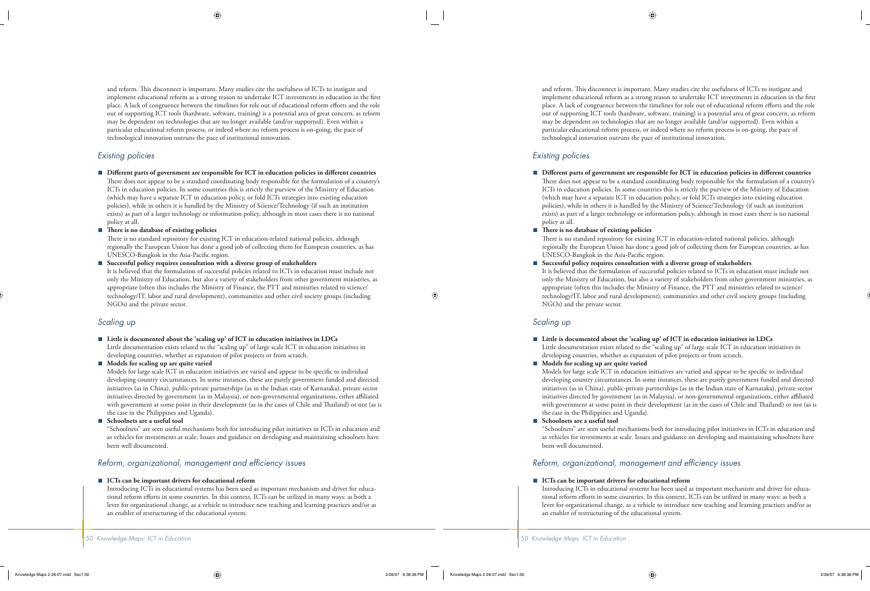and reform. This disconnect is important. Many studies cite the usefulness of ICTs to instigate and implement educational reform as a strong reason to undertake ICT investments in education in the first place. A lack of congruence between the timelines for role out of educational reform efforts and the role out of supporting ICT tools (hardware, software, training) is a potential area of great concern, as reform may be dependent on technologies that are no longer available (and/or supported). Even within a particular educational reform process, or indeed where no reform process is on-going, the pace of technological innovation outruns the pace of institutional innovation.

#### *Existing policies*

- Different parts of government are responsible for ICT in education policies in different countries There does not appear to be a standard coordinating body responsible for the formulation of a country's ICTs in education policies. In some countries this is strictly the purview of the Ministry of Education (which may have a separate ICT in education policy, or fold ICTs strategies into existing education policies), while in others it is handled by the Ministry of Science/Technology (if such an institution exists) as part of a larger technology or information policy, although in most cases there is no national policy at all.
- There is no database of existing policies

There is no standard repository for existing ICT in education-related national policies, although regionally the European Union has done a good job of collecting them for European countries, as has UNESCO-Bangkok in the Asia-Pacific region.

**Successful policy requires consultation with a diverse group of stakeholders** ■

It is believed that the formulation of successful policies related to ICTs in education must include not only the Ministry of Education, but also a variety of stakeholders from other government ministries, as appropriate (often this includes the Ministry of Finance, the PTT and ministries related to science/ technology/IT, labor and rural development), communities and other civil society groups (including NGOs) and the private sector.

#### *Scaling up*

**Little is documented about the 'scaling up' of ICT in education initiatives in LDCs** ■

Little documentation exists related to the "scaling up" of large scale ICT in education initiatives in developing countries, whether as expansion of pilot projects or from scratch.

#### **Models for scaling up are quite varied** ■

Models for large scale ICT in education initiatives are varied and appear to be specific to individual developing country circumstances. In some instances, these are purely government funded and directed initiatives (as in China), public-private partnerships (as in the Indian state of Karnataka), private sector initiatives directed by government (as in Malaysia), or non-governmental organizations, either affiliated with government at some point in their development (as in the cases of Chile and Thailand) or not (as is the case in the Philippines and Uganda).

**Schoolnets are a useful tool** ■

"Schoolnets" are seen useful mechanisms both for introducing pilot initiatives in ICTs in education and as vehicles for investments at scale. Issues and guidance on developing and maintaining schoolnets have been well documented.

#### *Reform, organizational, management and efficiency issues*

#### ■ ICTs can be important drivers for educational reform

Introducing ICTs in educational systems has been used as important mechanism and driver for educational reform efforts in some countries. In this context, ICTs can be utilized in many ways: as both a lever for organizational change, as a vehicle to introduce new teaching and learning practices and/or as an enabler of restructuring of the educational system.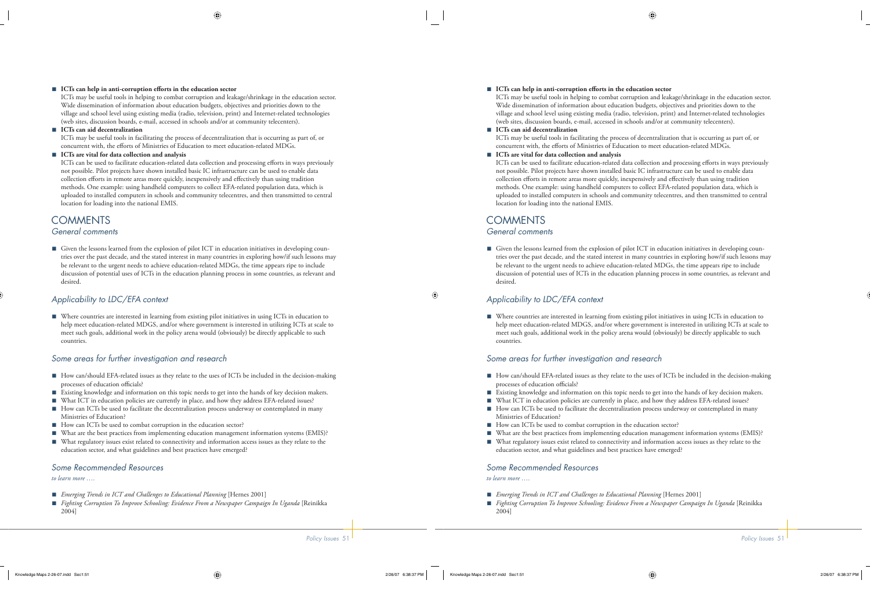#### ■ ICTs can help in anti-corruption efforts in the education sector

ICTs may be useful tools in helping to combat corruption and leakage/shrinkage in the education sector. Wide dissemination of information about education budgets, objectives and priorities down to the village and school level using existing media (radio, television, print) and Internet-related technologies (web sites, discussion boards, e-mail, accessed in schools and/or at community telecenters).

■ ICTs can aid decentralization

ICTs may be useful tools in facilitating the process of decentralization that is occurring as part of, or concurrent with, the efforts of Ministries of Education to meet education-related MDGs.

#### **ICTs are vital for data collection and analysis** ■

ICTs can be used to facilitate education-related data collection and processing efforts in ways previously not possible. Pilot projects have shown installed basic IC infrastructure can be used to enable data collection efforts in remote areas more quickly, inexpensively and effectively than using tradition methods. One example: using handheld computers to collect EFA-related population data, which is uploaded to installed computers in schools and community telecentres, and then transmitted to central location for loading into the national EMIS.

## **COMMENTS** *General comments*

■ Given the lessons learned from the explosion of pilot ICT in education initiatives in developing countries over the past decade, and the stated interest in many countries in exploring how/if such lessons may be relevant to the urgent needs to achieve education-related MDGs, the time appears ripe to include discussion of potential uses of ICTs in the education planning process in some countries, as relevant and desired.

#### *Applicability to LDC/EFA context*

■ Where countries are interested in learning from existing pilot initiatives in using ICTs in education to help meet education-related MDGS, and/or where government is interested in utilizing ICTs at scale to meet such goals, additional work in the policy arena would (obviously) be directly applicable to such countries.

#### *Some areas for further investigation and research*

- How can/should EFA-related issues as they relate to the uses of ICTs be included in the decision-making processes of education officials?
- Existing knowledge and information on this topic needs to get into the hands of key decision makers.
- What ICT in education policies are currently in place, and how they address EFA-related issues?
- How can ICTs be used to facilitate the decentralization process underway or contemplated in many Ministries of Education?
- How can ICTs be used to combat corruption in the education sector?
- What are the best practices from implementing education management information systems (EMIS)? ■
- What regulatory issues exist related to connectivity and information access issues as they relate to the education sector, and what guidelines and best practices have emerged? ■

#### *Some Recommended Resources*

#### *to learn more ….*

- *Emerging Trends in ICT and Challenges to Educational Planning* [Hernes 2001] ■
- *Fighting Corruption To Improve Schooling: Evidence From a Newspaper Campaign In Uganda* [Reinikka 2004]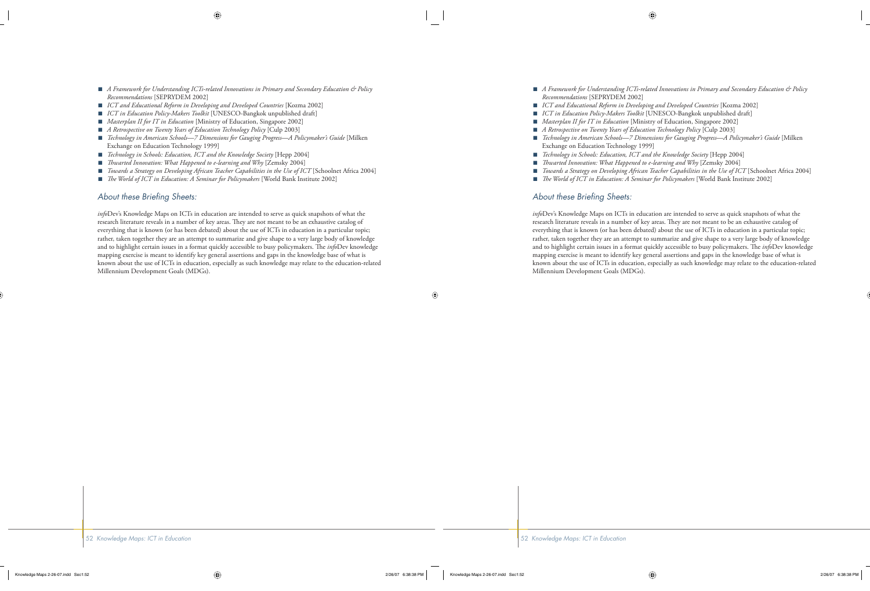- *A Framework for Understanding ICTs-related Innovations in Primary and Secondary Education & Policy Recommendations* [SEPRYDEM 2002] ■
- *ICT and Educational Reform in Developing and Developed Countries* [Kozma 2002] ■
- *ICT in Education Policy-Makers Toolkit* [UNESCO-Bangkok unpublished draft] ■
- *Masterplan II for IT in Education* [Ministry of Education, Singapore 2002] ■
- *A Retrospective on Twenty Years of Education Technology Policy* [Culp 2003] ■
- *Technology in American Schools—7 Dimensions for Gauging Progress—A Policymaker's Guide* [Milken Exchange on Education Technology 1999] ■
- *Technology in Schools: Education, ICT and the Knowledge Society* [Hepp 2004] ■
- *Th warted Innovation: What Happened to e-learning and Why* [Zemsky 2004] ■
- *Towards a Strategy on Developing African Teacher Capabilities in the Use of ICT* [Schoolnet Africa 2004] ■
- *The World of ICT in Education: A Seminar for Policymakers* [World Bank Institute 2002] ■

#### About these Briefing Sheets:

*info*Dev's Knowledge Maps on ICTs in education are intended to serve as quick snapshots of what the research literature reveals in a number of key areas. They are not meant to be an exhaustive catalog of everything that is known (or has been debated) about the use of ICTs in education in a particular topic; rather, taken together they are an attempt to summarize and give shape to a very large body of knowledge and to highlight certain issues in a format quickly accessible to busy policymakers. The *info*Dev knowledge mapping exercise is meant to identify key general assertions and gaps in the knowledge base of what is known about the use of ICTs in education, especially as such knowledge may relate to the education-related Millennium Development Goals (MDGs).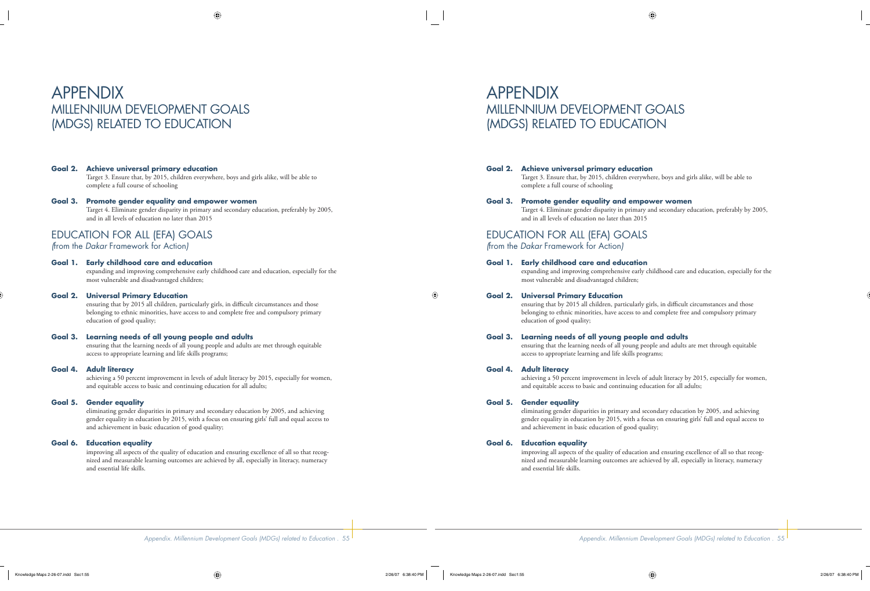# APPENDIX MILLENNIUM DEVELOPMENT GOALS (MDGS) RELATED TO EDUCATION

#### **Goal 2. Achieve universal primary education**

Target 3. Ensure that, by 2015, children everywhere, boys and girls alike, will be able to complete a full course of schooling

#### **Goal 3. Promote gender equality and empower women**

 Target 4. Eliminate gender disparity in primary and secondary education, preferably by 2005, and in all levels of education no later than 2015

# EDUCATION FOR ALL (EFA) GOALS

*(*from the *Dakar* Framework for Action*)*

#### **Goal 1. Early childhood care and education**

 expanding and improving comprehensive early childhood care and education, especially for the most vulnerable and disadvantaged children;

#### **Goal 2. Universal Primary Education**

ensuring that by 2015 all children, particularly girls, in difficult circumstances and those belonging to ethnic minorities, have access to and complete free and compulsory primary education of good quality;

#### **Goal 3. Learning needs of all young people and adults**

 ensuring that the learning needs of all young people and adults are met through equitable access to appropriate learning and life skills programs;

#### **Goal 4. Adult literacy**

 achieving a 50 percent improvement in levels of adult literacy by 2015, especially for women, and equitable access to basic and continuing education for all adults;

#### **Goal 5. Gender equality**

 eliminating gender disparities in primary and secondary education by 2005, and achieving gender equality in education by 2015, with a focus on ensuring girls' full and equal access to and achievement in basic education of good quality;

#### **Goal 6. Education equality**

 improving all aspects of the quality of education and ensuring excellence of all so that recognized and measurable learning outcomes are achieved by all, especially in literacy, numeracy and essential life skills.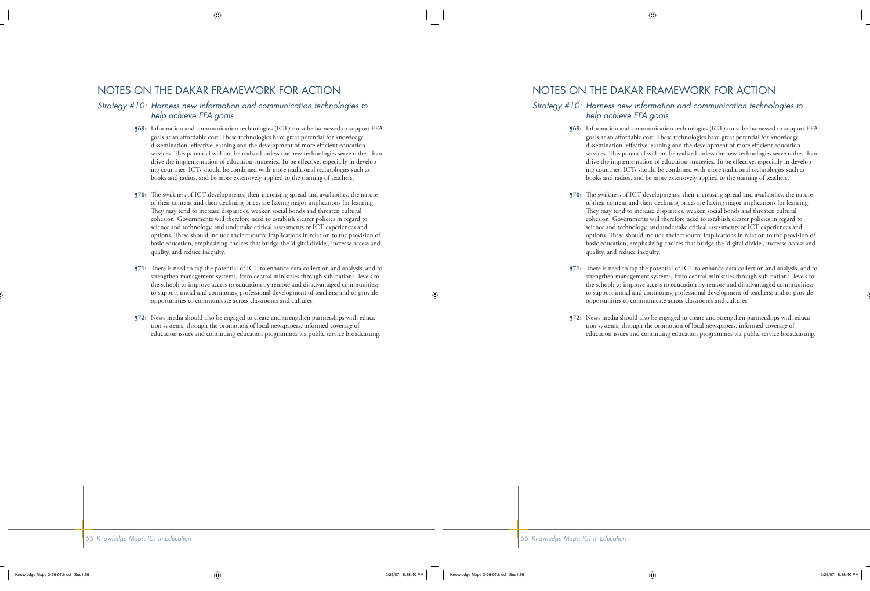# NOTES ON THE DAKAR FRAMEWORK FOR ACTION

#### *Strategy #10: Harness new information and communication technologies to help achieve EFA goals*

- **¶69:** Information and communication technologies (ICT) must be harnessed to support EFA goals at an affordable cost. These technologies have great potential for knowledge dissemination, effective learning and the development of more efficient education services. This potential will not be realized unless the new technologies serve rather than drive the implementation of education strategies. To be effective, especially in developing countries, ICTs should be combined with more traditional technologies such as books and radios, and be more extensively applied to the training of teachers.
- **[70:** The swiftness of ICT developments, their increasing spread and availability, the nature of their content and their declining prices are having major implications for learning. They may tend to increase disparities, weaken social bonds and threaten cultural cohesion. Governments will therefore need to establish clearer policies in regard to science and technology, and undertake critical assessments of ICT experiences and options. These should include their resource implications in relation to the provision of basic education, emphasizing choices that bridge the 'digital divide', increase access and quality, and reduce inequity.
- **¶71:** There is need to tap the potential of ICT to enhance data collection and analysis, and to strengthen management systems, from central ministries through sub-national levels to the school; to improve access to education by remote and disadvantaged communities; to support initial and continuing professional development of teachers; and to provide opportunities to communicate across classrooms and cultures.
- **¶72:** News media should also be engaged to create and strengthen partnerships with education systems, through the promotion of local newspapers, informed coverage of education issues and continuing education programmes via public service broadcasting.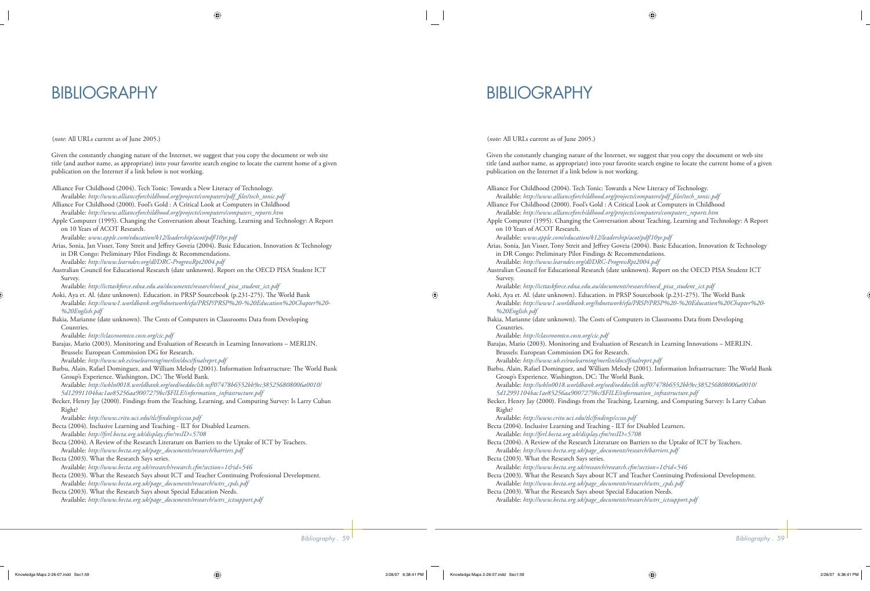# BIBLIOGRAPHY

(*note*: All URLs current as of June 2005.)

Given the constantly changing nature of the Internet, we suggest that you copy the document or web site title (and author name, as appropriate) into your favorite search engine to locate the current home of a given publication on the Internet if a link below is not working.

- Alliance For Childhood (2004). Tech Tonic: Towards a New Literacy of Technology.
- Available: *http://www.allianceforchildhood.org/projects/computers/pdf\_fi les/tech\_tonic.pdf* Alliance For Childhood (2000). Fool's Gold : A Critical Look at Computers in Childhood

Available: *http://www.allianceforchildhood.org/projects/computers/computers\_reports.htm*

- Apple Computer (1995). Changing the Conversation about Teaching, Learning and Technology: A Report on 10 Years of ACOT Research.
- Available: *www.apple.com/education/k12/leadership/acot/pdf/10yr.pdf*
- Arias, Sonia, Jan Visser, Tony Streit and Jeffrey Goveia (2004). Basic Education, Innovation & Technology in DR Congo: Preliminary Pilot Findings & Recommendations. Available: *http://www.learndev.org/dl/DRC-ProgressRpt2004.pdf*
- Australian Council for Educational Research (date unknown). Report on the OECD PISA Student ICT Survey.

Available: *http://icttaskforce.edna.edu.au/documents/research/oecd\_pisa\_student\_ict.pdf*

- Aoki, Aya et. Al. (date unknown). Education. in PRSP Sourcebook (p.231-275). The World Bank Available: *http://www1.worldbank.org/hdnetwork/efa/PRSP/PRSP%20-%20Education%20Chapter%20- %20English.pdf*
- Bakia, Marianne (date unknown). The Costs of Computers in Classrooms Data from Developing Countries.

Available: *http://classroomtco.cosn.org/cic.pdf*

- Barajas, Mario (2003). Monitoring and Evaluation of Research in Learning Innovations MERLIN. Brussels: European Commission DG for Research.
- Available: http://www.ub.es/euelearning/merlin/docs/finalreprt.pdf Barbu, Alain, Rafael Dominguez, and William Melody (2001). Information Infrastructure: The World Bank Group's Experience. Washington, DC: The World Bank. Available: *http://wbln0018.worldbank.org/oed/oeddoclib.nsf/07478b6552bb9ec385256808006a0010/*

*5d12991104bac1ae85256aa9007279bc/\$FILE/information\_infrastructure.pdf*

Becker, Henry Jay (2000). Findings from the Teaching, Learning, and Computing Survey: Is Larry Cuban Right?

Available: http://www.crito.uci.edu/tlc/findings/ccsso.pdf

- Becta (2004). Inclusive Learning and Teaching ILT for Disabled Learners. Available: *http://ferl.becta.org.uk/display.cfm?resID=5708*
- Becta (2004). A Review of the Research Literature on Barriers to the Uptake of ICT by Teachers. Available: *http://www.becta.org.uk/page\_documents/research/barriers.pdf*
- Becta (2003). What the Research Says series.

Available: *http://www.becta.org.uk/research/research.cfm?section=1&id=546*

- Becta (2003). What the Research Says about ICT and Teacher Continuing Professional Development. Available: *http://www.becta.org.uk/page\_documents/research/wtrs\_cpds.pdf*
- Becta (2003). What the Research Says about Special Education Needs. Available: *http://www.becta.org.uk/page\_documents/research/wtrs\_ictsupport.pdf*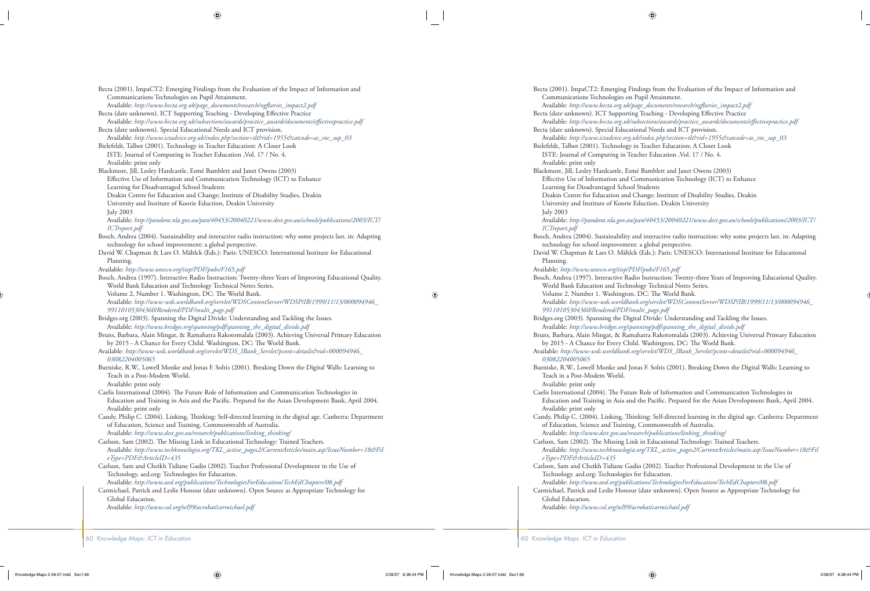Becta (2001). ImpaCT2: Emerging Findings from the Evaluation of the Impact of Information and Communications Technologies on Pupil Attainment.

 Available: *http://www.becta.org.uk/page\_documents/research/ngfl series\_impact2.pdf* Becta (date unknown). ICT Supporting Teaching - Developing Effective Practice

 Available: *http://www.becta.org.uk/subsections/awards/practice\_awards/documents/eff ectivepractice.pdf* Becta (date unknown). Special Educational Needs and ICT provision.

Available: *http://www.ictadvice.org.uk/index.php?section=tl&rid=1955&catcode=as\_inc\_sup\_03*

Bielefeldt, Talbot (2001). Technology in Teacher Education: A Closer Look ISTE: Journal of Computing in Teacher Education ,Vol. 17 / No. 4.

Available: print only

Blackmore, Jill, Lesley Hardcastle, Esmé Bamblett and Janet Owens (2003)

Effective Use of Information and Communication Technology (ICT) to Enhance Learning for Disadvantaged School Students

Deakin Centre for Education and Change; Institute of Disability Studies, Deakin

University and Institute of Koorie Eduction, Deakin University

July 2003

 Available: *http://pandora.nla.gov.au/pan/40453/20040221/www.dest.gov.au/schools/publications/2003/ICT/ ICTreport.pdf*

- Bosch, Andrea (2004). Sustainability and interactive radio instruction: why some projects last. in: Adapting technology for school improvement: a global perspective.
- David W. Chapman & Lars O. Mählck (Eds.): Paris: UNESCO: International Institute for Educational Planning.

Available: *http://www.unesco.org/iiep/PDF/pubs/F165.pdf*

Bosch, Andrea (1997). Interactive Radio Instruction: Twenty-three Years of Improving Educational Quality. World Bank Education and Technology Technical Notes Series,

Volume 2, Number 1. Washington, DC: The World Bank.

 Available: *http://www-wds.worldbank.org/servlet/WDSContentServer/WDSP/IB/1999/11/13/000094946\_ 99110105304360/Rendered/PDF/multi\_page.pdf*

- Bridges.org (2003). Spanning the Digital Divide: Understanding and Tackling the Issues. Available: *http://www.bridges.org/spanning/pdf/spanning\_the\_digital\_divide.pdf*
- Bruns, Barbara, Alain Mingat, & Ramahatra Rakotomalala (2003). Achieving Universal Primary Education by 2015 - A Chance for Every Child. Washington, DC: The World Bank.

Available: *http://www-wds.worldbank.org/servlet/WDS\_IBank\_Servlet?pcont=details&eid=000094946\_ 03082204005065*

Burniske, R.W., Lowell Monke and Jonas F. Soltis (2001). Breaking Down the Digital Walls: Learning to Teach in a Post-Modem World.

 Available: print only Caelis International (2004). The Future Role of Information and Communication Technologies in Education and Training in Asia and the Pacific. Prepared for the Asian Development Bank, April 2004.

- Available: print only Candy, Philip C. (2004). Linking, Thinking: Self-directed learning in the digital age. Canberra: Department
	- of Education, Science and Training, Commonwealth of Australia. Available: *http://www.dest.gov.au/research/publications/linking\_thinking/*

Carlson, Sam (2002). The Missing Link in Educational Technology: Trained Teachers. Available: *http://www.techknowlogia.org/TKL\_active\_pages2/CurrentArticles/main.asp?IssueNumber=18&Fil eType=PDF&ArticleID=435*

Carlson, Sam and Cheikh Tidiane Gadio (2002). Teacher Professional Development in the Use of Technology. aed.org: Technologies for Education.

Available: *http://www.aed.org/publications/TechnologiesForEducation/TechEdChapters/08.pdf*

Carmichael, Patrick and Leslie Honour (date unknown). Open Source as Appropriate Technology for Global Education.

Available: *http://www.col.org/tel99/acrobat/carmichael.pdf*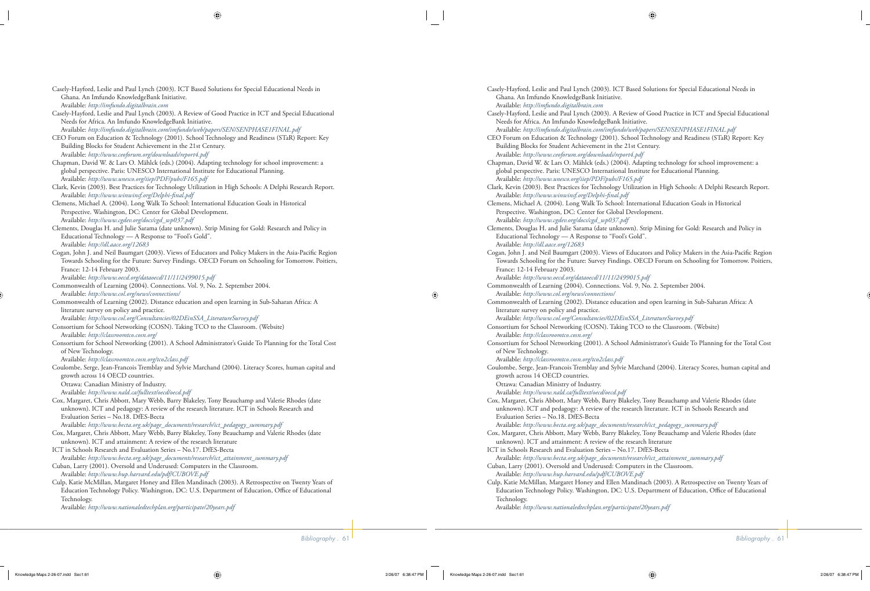Casely-Hayford, Leslie and Paul Lynch (2003). ICT Based Solutions for Special Educational Needs in Ghana. An Imfundo KnowledgeBank Initiative. Available: *http://imfundo.digitalbrain.com*

Casely-Hayford, Leslie and Paul Lynch (2003). A Review of Good Practice in ICT and Special Educational Needs for Africa. An Imfundo KnowledgeBank Initiative. Available: *http://imfundo.digitalbrain.com/imfundo/web/papers/SEN/SENPHASE1FINAL.pdf*

CEO Forum on Education & Technology (2001). School Technology and Readiness (STaR) Report: Key Building Blocks for Student Achievement in the 21st Century. Available: *http://www.ceoforum.org/downloads/report4.pdf*

Chapman, David W. & Lars O. Mählck (eds.) (2004). Adapting technology for school improvement: a global perspective. Paris: UNESCO International Institute for Educational Planning. Available: *http://www.unesco.org/iiep/PDF/pubs/F165.pdf*

Clark, Kevin (2003). Best Practices for Technology Utilization in High Schools: A Delphi Research Report. Available: http://www.winwinsf.org/Delphi-final.pdf

Clemens, Michael A. (2004). Long Walk To School: International Education Goals in Historical Perspective. Washington, DC: Center for Global Development. Available: *http://www.cgdev.org/docs/cgd\_wp037.pdf*

Clements, Douglas H. and Julie Sarama (date unknown). Strip Mining for Gold: Research and Policy in Educational Technology — A Response to "Fool's Gold". Available: *http://dl.aace.org/12683*

Cogan, John J. and Neil Baumgart (2003). Views of Educators and Policy Makers in the Asia-Pacific Region Towards Schooling for the Future: Survey Findings. OECD Forum on Schooling for Tomorrow. Poitiers, France: 12-14 February 2003.

Available: *http://www.oecd.org/dataoecd/11/11/2499015.pdf*

Commonwealth of Learning (2004). Connections. Vol. 9, No. 2. September 2004. Available: *http://www.col.org/news/connections/*

Commonwealth of Learning (2002). Distance education and open learning in Sub-Saharan Africa: A literature survey on policy and practice.

Available: *http://www.col.org/Consultancies/02DEinSSA\_LiteratureSurvey.pdf*

Consortium for School Networking (COSN). Taking TCO to the Classroom. (Website) Available: *http://classroomtco.cosn.org/*

Consortium for School Networking (2001). A School Administrator's Guide To Planning for the Total Cost of New Technology.

Available: *http://classroomtco.cosn.org/tco2class.pdf*

Coulombe, Serge, Jean-Francois Tremblay and Sylvie Marchand (2004). Literacy Scores, human capital and growth across 14 OECD countries.

Ottawa: Canadian Ministry of Industry.

Available: *http://www.nald.ca/fulltext/oecd/oecd.pdf*

Cox, Margaret, Chris Abbott, Mary Webb, Barry Blakeley, Tony Beauchamp and Valerie Rhodes (date unknown). ICT and pedagogy: A review of the research literature. ICT in Schools Research and Evaluation Series – No.18. DfES-Becta

Available: *http://www.becta.org.uk/page\_documents/research/ict\_pedagogy\_summary.pdf*

Cox, Margaret, Chris Abbott, Mary Webb, Barry Blakeley, Tony Beauchamp and Valerie Rhodes (date unknown). ICT and attainment: A review of the research literature

ICT in Schools Research and Evaluation Series – No.17. DfES-Becta Available: *http://www.becta.org.uk/page\_documents/research/ict\_attainment\_summary.pdf*

- Cuban, Larry (2001). Oversold and Underused: Computers in the Classroom. Available: *http://www.hup.harvard.edu/pdf/CUBOVE.pdf*
- Culp, Katie McMillan, Margaret Honey and Ellen Mandinach (2003). A Retrospective on Twenty Years of Education Technology Policy. Washington, DC: U.S. Department of Education, Office of Educational Technology.

Available: *http://www.nationaledtechplan.org/participate/20years.pdf*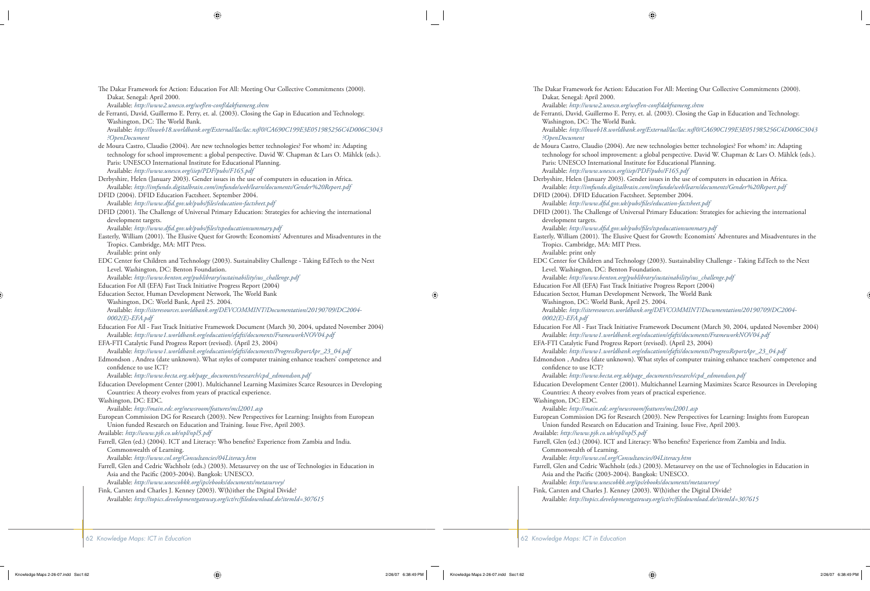- The Dakar Framework for Action: Education For All: Meeting Our Collective Commitments (2000). Dakar, Senegal: April 2000. Available: *http://www2.unesco.org/wef/en-conf/dakframeng.shtm*
- de Ferranti, David, Guillermo E. Perry, et. al. (2003). Closing the Gap in Education and Technology. Washington, DC: The World Bank. Available: *http://lnweb18.worldbank.org/External/lac/lac.nsf/0/CA690C199E3E051985256C4D006C3043*
- *?OpenDocument* de Moura Castro, Claudio (2004). Are new technologies better technologies? For whom? in: Adapting technology for school improvement: a global perspective. David W. Chapman & Lars O. Mählck (eds.). Paris: UNESCO International Institute for Educational Planning. Available: *http://www.unesco.org/iiep/PDF/pubs/F165.pdf*

Derbyshire, Helen (January 2003). Gender issues in the use of computers in education in Africa. Available: *http://imfundo.digitalbrain.com/imfundo/web/learn/documents/Gender%20Report.pdf*

DFID (2004). DFID Education Factsheet. September 2004. Available: http://www.dfid.gov.uk/pubs/files/education-factsheet.pdf

DFID (2001). The Challenge of Universal Primary Education: Strategies for achieving the international development targets.

Available: http://www.dfid.gov.uk/pubs/files/tspeducationsummary.pdf

Easterly, William (2001). The Elusive Quest for Growth: Economists' Adventures and Misadventures in the Tropics. Cambridge, MA: MIT Press.

Available: print only

EDC Center for Children and Technology (2003). Sustainability Challenge - Taking EdTech to the Next Level. Washington, DC: Benton Foundation.

Available: *http://www.benton.org/publibrary/sustainability/sus\_challenge.pdf*

Education For All (EFA) Fast Track Initiative Progress Report (2004)

Education Sector, Human Development Network, The World Bank Washington, DC: World Bank, April 25. 2004. Available: *http://siteresources.worldbank.org/DEVCOMMINT/Documentation/20190709/DC2004- 0002(E)-EFA.pdf*

- Education For All Fast Track Initiative Framework Document (March 30, 2004, updated November 2004) Available: *http://www1.worldbank.org/education/efafti/documents/FrameworkNOV04.pdf*
- EFA-FTI Catalytic Fund Progress Report (revised). (April 23, 2004)

Available: *http://www1.worldbank.org/education/efafti/documents/ProgressReportApr\_23\_04.pdf*

Edmondson , Andrea (date unknown). What styles of computer training enhance teachers' competence and confidence to use ICT?

Available: *http://www.becta.org.uk/page\_documents/research/cpd\_edmondson.pdf*

Education Development Center (2001). Multichannel Learning Maximizes Scarce Resources in Developing Countries: A theory evolves from years of practical experience.

Washington, DC: EDC.

```
 Available: http://main.edc.org/newsroom/features/mcl2001.asp
```
European Commission DG for Research (2003). New Perspectives for Learning: Insights from European Union funded Research on Education and Training. Issue Five, April 2003.

Available: *http://www.pjb.co.uk/npl/npl5.pdf*

Farrell, Glen (ed.) (2004). ICT and Literacy: Who benefits? Experience from Zambia and India. Commonwealth of Learning.

Available: *http://www.col.org/Consultancies/04Literacy.htm*

Farrell, Glen and Cedric Wachholz (eds.) (2003). Metasurvey on the use of Technologies in Education in Asia and the Pacific (2003-2004). Bangkok: UNESCO.

Available: *http://www.unescobkk.org/ips/ebooks/documents/metasurvey/*

Fink, Carsten and Charles J. Kenney (2003). W(h)ither the Digital Divide?

Available: *http://topics.developmentgateway.org/ict/rc/fi ledownload.do?itemId=307615*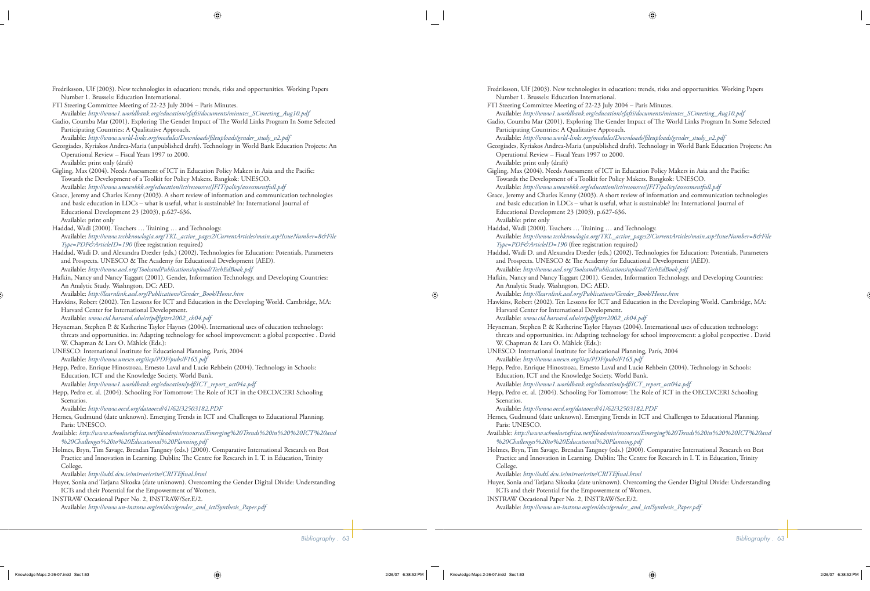- Fredriksson, Ulf (2003). New technologies in education: trends, risks and opportunities. Working Papers Number 1. Brussels: Education International.
- FTI Steering Committee Meeting of 22-23 July 2004 Paris Minutes.
- Available: *http://www1.worldbank.org/education/efafti/documents/minutes\_SCmeeting\_Aug10.pdf*
- Gadio, Coumba Mar (2001). Exploring The Gender Impact of The World Links Program In Some Selected Participating Countries: A Qualitative Approach.
- Available: *http://www.world-links.org/modules/Downloads/fi leuploads/gender\_study\_v2.pdf*
- Georgiades, Kyriakos Andrea-Maria (unpublished draft). Technology in World Bank Education Projects: An Operational Review – Fiscal Years 1997 to 2000. Available: print only (draft)
- Gigling, Max (2004). Needs Assessment of ICT in Education Policy Makers in Asia and the Pacific: Towards the Development of a Toolkit for Policy Makers. Bangkok: UNESCO.
- Available: *http://www.unescobkk.org/education/ict/resources/JFIT/policy/assessmentfull.pdf* Grace, Jeremy and Charles Kenny (2003). A short review of information and communication technologies and basic education in LDCs – what is useful, what is sustainable? In: International Journal of Educational Development 23 (2003), p.627-636. Available: print only
- Haddad, Wadi (2000). Teachers … Training … and Technology. Available: *http://www.techknowlogia.org/TKL\_active\_pages2/CurrentArticles/main.asp?IssueNumber=8&File Type=PDF&ArticleID=190* (free registration required)
- Haddad, Wadi D. and Alexandra Drexler (eds.) (2002). Technologies for Education: Potentials, Parameters and Prospects. UNESCO & The Academy for Educational Development (AED). Available: *http://www.aed.org/ToolsandPublications/upload/TechEdBook.pdf*
- Hafkin, Nancy and Nancy Taggart (2001). Gender, Information Technology, and Developing Countries: An Analytic Study. Washngton, DC: AED.
- Available: *http://learnlink.aed.org/Publications/Gender\_Book/Home.htm*
- Hawkins, Robert (2002). Ten Lessons for ICT and Education in the Developing World. Cambridge, MA: Harvard Center for International Development.
- Available: *www.cid.harvard.edu/cr/pdf/gitrr2002\_ch04.pdf*
- Heyneman, Stephen P. & Katherine Taylor Haynes (2004). International uses of education technology: threats and opportunities. in: Adapting technology for school improvement: a global perspective . David W. Chapman & Lars O. Mählck (Eds.):
- UNESCO: International Institute for Educational Planning, París, 2004 Available: *http://www.unesco.org/iiep/PDF/pubs/F165.pdf*
- Hepp, Pedro, Enrique Hinostroza, Ernesto Laval and Lucio Rehbein (2004). Technology in Schools: Education, ICT and the Knowledge Society. World Bank. Available: *http://www1.worldbank.org/education/pdf/ICT\_report\_oct04a.pdf*
- Hepp, Pedro et. al. (2004). Schooling For Tomorrow: The Role of ICT in the OECD/CERI Schooling Scenarios.
- Available: *http://www.oecd.org/dataoecd/41/62/32503182.PDF*
- Hernes, Gudmund (date unknown). Emerging Trends in ICT and Challenges to Educational Planning. Paris: UNESCO.
- Available: *http://www.schoolnetafrica.net/fi leadmin/resources/Emerging%20Trends%20in%20%20ICT%20and %20Challenges%20to%20Educational%20Planning.pdf*
- Holmes, Bryn, Tim Savage, Brendan Tangney (eds.) (2000). Comparative International Research on Best Practice and Innovation in Learning. Dublin: The Centre for Research in I. T. in Education, Trinity College.
	- Available: http://odtl.dcu.ie/mirror/crite/CRITEfinal.html
- Huyer, Sonia and Tatjana Sikoska (date unknown). Overcoming the Gender Digital Divide: Understanding ICTs and their Potential for the Empowerment of Women.
- INSTRAW Occasional Paper No. 2, INSTRAW/Ser.E/2. Available: *http://www.un-instraw.org/en/docs/gender\_and\_ict/Synthesis\_Paper.pdf*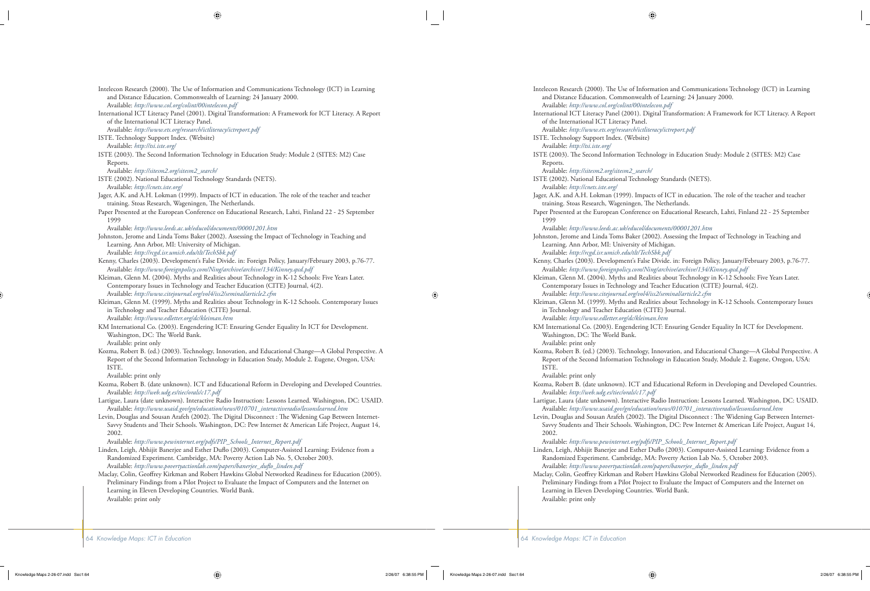Intelecon Research (2000). The Use of Information and Communications Technology (ICT) in Learning and Distance Education. Commonwealth of Learning: 24 January 2000. Available: *http://www.col.org/colint/00intelecon.pdf*

International ICT Literacy Panel (2001). Digital Transformation: A Framework for ICT Literacy. A Report of the International ICT Literacy Panel.

Available: *http://www.ets.org/research/ictliteracy/ictreport.pdf*

ISTE. Technology Support Index. (Website)

Available: *http://tsi.iste.org/*

ISTE (2003). The Second Information Technology in Education Study: Module 2 (SITES: M2) Case Reports.

Available: *http://sitesm2.org/sitesm2\_search/*

ISTE (2002). National Educational Technology Standards (NETS). Available: *http://cnets.iste.org/*

- Jager, A.K. and A.H. Lokman (1999). Impacts of ICT in education. The role of the teacher and teacher training. Stoas Research, Wageningen, The Netherlands.
- Paper Presented at the European Conference on Educational Research, Lahti, Finland 22 25 September 1999

Available: *http://www.leeds.ac.uk/educol/documents/00001201.htm*

Johnston, Jerome and Linda Toms Baker (2002). Assessing the Impact of Technology in Teaching and Learning. Ann Arbor, MI: University of Michigan.

Available: *http://rcgd.isr.umich.edu/tlt/TechSbk.pdf*

- Kenny, Charles (2003). Development's False Divide. in: Foreign Policy, January/February 2003, p.76-77. Available: *http://www.foreignpolicy.com/Ning/archive/archive/134/Kinney.qxd.pdf*
- Kleiman, Glenn M. (2004). Myths and Realities about Technology in K-12 Schools: Five Years Later. Contemporary Issues in Technology and Teacher Education (CITE) Journal, 4(2). Available: *http://www.citejournal.org/vol4/iss2/seminal/article2.cfm*
- Kleiman, Glenn M. (1999). Myths and Realities about Technology in K-12 Schools. Contemporary Issues in Technology and Teacher Education (CITE) Journal. Available: *http://www.edletter.org/dc/kleiman.htm*
- KM International Co. (2003). Engendering ICT: Ensuring Gender Equality In ICT for Development. Washington, DC: The World Bank.

Available: print only

Kozma, Robert B. (ed.) (2003). Technology, Innovation, and Educational Change—A Global Perspective. A Report of the Second Information Technology in Education Study, Module 2. Eugene, Oregon, USA: ISTE.

Available: print only

- Kozma, Robert B. (date unknown). ICT and Educational Reform in Developing and Developed Countries. Available: *http://web.udg.es/tiec/orals/c17.pdf*
- Lartigue, Laura (date unknown). Interactive Radio Instruction: Lessons Learned. Washington, DC: USAID. Available: *http://www.usaid.gov/gn/education/news/010701\_interactiveradio/lessonslearned.htm*
- Levin, Douglas and Sousan Arafeh (2002). The Digital Disconnect : The Widening Gap Between Internet-Savvy Students and Their Schools. Washington, DC: Pew Internet & American Life Project, August 14, 2002.

Available: *http://www.pewinternet.org/pdfs/PIP\_Schools\_Internet\_Report.pdf*

Linden, Leigh, Abhijit Banerjee and Esther Duflo (2003). Computer-Assisted Learning: Evidence from a Randomized Experiment. Cambridge, MA: Poverty Action Lab No. 5, October 2003. Available: http://www.povertyactionlab.com/papers/banerjee\_duflo\_linden.pdf

Maclay, Colin, Geoffrey Kirkman and Robert Hawkins Global Networked Readiness for Education (2005). Preliminary Findings from a Pilot Project to Evaluate the Impact of Computers and the Internet on Learning in Eleven Developing Countries. World Bank. Available: print only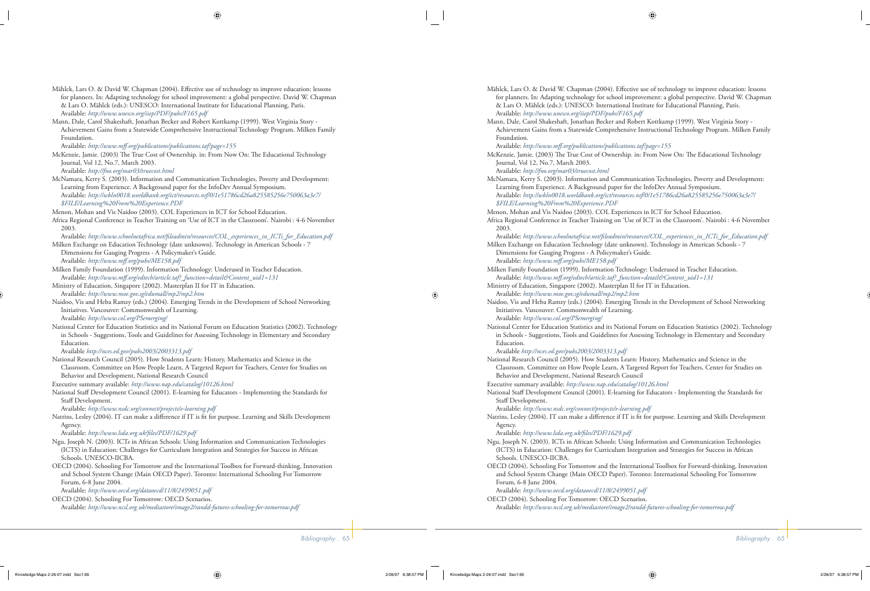- Mählck, Lars O. & David W. Chapman (2004). Effective use of technology to improve education: lessons for planners. In: Adapting technology for school improvement: a global perspective. David W. Chapman & Lars O. Mählck (eds.): UNESCO: International Institute for Educational Planning, París. Available: *http://www.unesco.org/iiep/PDF/pubs/F165.pdf*
- Mann, Dale, Carol Shakeshaft, Jonathan Becker and Robert Kottkamp (1999). West Virginia Story Achievement Gains from a Statewide Comprehensive Instructional Technology Program. Milken Family Foundation.

Available: *http://www.mff .org/publications/publications.taf?page=155*

McKenzie, Jamie. (2003) The True Cost of Ownership. in: From Now On: The Educational Technology Journal, Vol 12, No.7, March 2003.

Available: *http://fno.org/mar03/truecost.html*

McNamara, Kerry S. (2003). Information and Communication Technologies, Poverty and Development: Learning from Experience. A Background paper for the InfoDev Annual Symposium. Available: *http://wbln0018.worldbank.org/ict/resources.nsf/0/1e51786cd26a825585256e750063a3e7/ \$FILE/Learning%20From%20Experience.PDF*

Menon, Mohan and Vis Naidoo (2003). COL Experiences in ICT for School Education.

Africa Regional Conference in Teacher Training on 'Use of ICT in the Classroom'. Nairobi : 4-6 November 2003.

Available: *http://www.schoolnetafrica.net/fi leadmin/resources/COL\_experiences\_in\_ICTs\_for\_Education.pdf*

- Milken Exchange on Education Technology (date unknown). Technology in American Schools 7 Dimensions for Gauging Progress - A Policymaker's Guide. Available: *http://www.mff .org/pubs/ME158.pdf*
- Milken Family Foundation (1999). Information Technology: Underused in Teacher Education. Available: *http://www.mff .org/edtech/article.taf?\_function=detail&Content\_uid1=131*
- Ministry of Education, Singapore (2002). Masterplan II for IT in Education. Available: *http://www.moe.gov.sg/edumall/mp2/mp2.htm*
- Naidoo, Vis and Heba Ramzy (eds.) (2004). Emerging Trends in the Development of School Networking Initiatives. Vancouver: Commonwealth of Learning. Available: *http://www.col.org/PSemerging/*
- National Center for Education Statistics and its National Forum on Education Statistics (2002). Technology in Schools - Suggestions, Tools and Guidelines for Assessing Technology in Elementary and Secondary Education.

Available *http://nces.ed.gov/pubs2003/2003313.pdf*

National Research Council (2005). How Students Learn: History, Mathematics and Science in the Classroom. Committee on How People Learn, A Targeted Report for Teachers, Center for Studies on Behavior and Development, National Research Council

Executive summary available: *http://www.nap.edu/catalog/10126.html*

National Staff Development Council (2001). E-learning for Educators - Implementing the Standards for Staff Development.

Available: *http://www.nsdc.org/connect/projects/e-learning.pdf*

Natrins, Lesley (2004). IT can make a difference if IT is fit for purpose. Learning and Skills Development Agency.

Available: http://www.lsda.org.uk/files/PDF/1629.pdf

- Ngu, Joseph N. (2003). ICTs in African Schools: Using Information and Communication Technologies (ICTS) in Education: Challenges for Curriculum Integration and Strategies for Success in African Schools. UNESCO-IICBA.
- OECD (2004). Schooling For Tomorrow and the International Toolbox for Forward-thinking, Innovation and School System Change (Main OECD Paper). Toronto: International Schooling For Tomorrow Forum, 6-8 June 2004.

Available: *http://www.oecd.org/dataoecd/11/8/2499051.pdf*

OECD (2004). Schooling For Tomorrow: OECD Scenarios. Available: *http://www.ncsl.org.uk/mediastore/image2/randd-futures-schooling-for-tomorrow.pdf*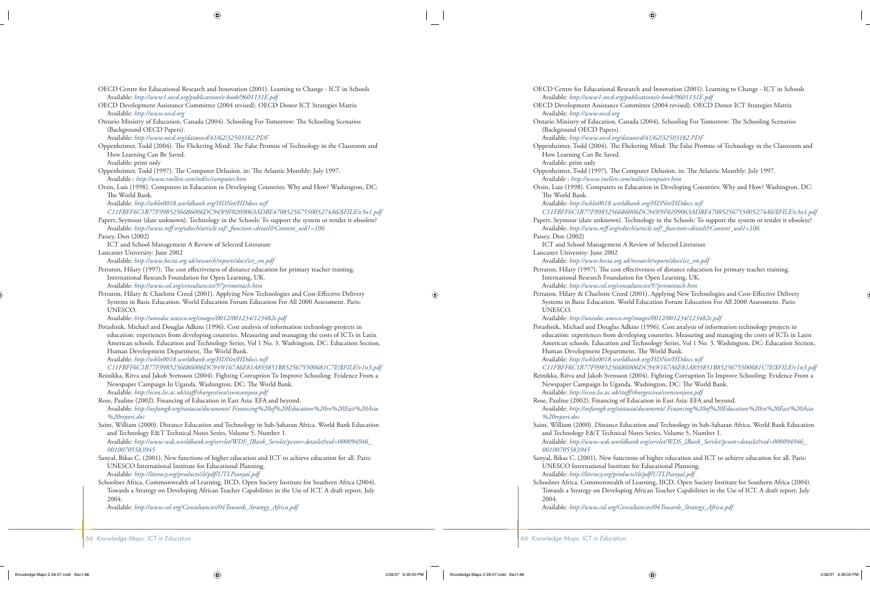- OECD Centre for Educational Research and Innovation (2001). Learning to Change ICT in Schools Available: *http://www1.oecd.org/publications/e-book/9601131E.pdf*
- OECD Development Assistance Committee (2004 revised). OECD Donor ICT Strategies Matrix Available: *http://www.oecd.org*
- Ontario Ministry of Education, Canada (2004). Schooling For Tomorrow: The Schooling Scenarios (Background OECD Papers).
	- Available: *http://www.oecd.org/dataoecd/41/62/32503182.PDF*
- Oppenheimer, Todd (2004). The Flickering Mind: The False Promise of Technology in the Classroom and How Learning Can Be Saved.
	- Available: print only
- Oppenheimer, Todd (1997). The Computer Delusion. in: The Atlantic Monthly: July 1997. Available : *http://www.tnellen.com/ted/tc/computer.htm*
- Orsin, Luis (1998). Computers in Education in Developing Countries: Why and How? Washington, DC: The World Bank.

 Available: *http://wbln0018.worldbank.org/HDNet/HDdocs.nsf/ C11FBFF6C1B77F9985256686006DC949/9F0209063ADBE47085256755005274A6/\$FILE/v3n1.pdf*

- Papert, Seymour (date unknown). Technology in the Schools: To support the system or render it obsolete? Available: *http://www.mff .org/edtech/article.taf?\_function=detail&Content\_uid1=106*
- Passey, Don (2002)
- ICT and School Management A Review of Selected Literature
- Lancaster University: June 2002

Available: *http://www.becta.org.uk/research/reports/docs/ict\_sm.pdf*

- Perraton, Hilary (1997). The cost effectiveness of distance education for primary teacher training. International Research Foundation for Open Learning, UK. Available: *http://www.col.org/consultancies/97primeteach.htm*
- Perraton, Hilary & Charlotte Creed (2001). Applying New Technologies and Cost-Effective Delivery Systems in Basic Education. World Education Forum Education For All 2000 Assessment. Paris: UNESCO.

Available: *http://unesdoc.unesco.org/images/0012/001234/123482e.pdf*

Potashnik, Michael and Douglas Adkins (1996). Cost analysis of information technology projects in education: experiences from developing countries. Measuring and managing the costs of ICTs in Latin American schools. Education and Technology Series, Vol 1 No. 3. Washington, DC: Education Section, Human Development Department, The World Bank.

 Available: *http://wbln0018.worldbank.org/HDNet/HDdocs.nsf/ C11FBFF6C1B77F9985256686006DC949/167A6E81A893851B8525675500681C7E/\$FILE/v1n3.pdf*

Reinikka, Ritva and Jakob Svensson (2004). Fighting Corruption To Improve Schooling: Evidence From a Newspaper Campaign In Uganda. Washington, DC: The World Bank.

Available: *http://econ.lse.ac.uk/staff /rburgess/eea/svenssonjeea.pdf*

- Rose, Pauline (2002). Financing of Education in East Asia: EFA and beyond. Available: *http://oxfamgb.org/eastasia/documents/ Financing%20of%20Education%20in%20East%20Asia %20report.doc*
- Saint, William (2000). Distance Education and Technology in Sub-Saharan Africa. World Bank Education and Technology E&T Technical Notes Series, Volume 5, Number 1.

 Available: *http://www-wds.worldbank.org/servlet/WDS\_IBank\_Servlet?pcont=details&eid=000094946\_ 00100705583945*

- Sanyal, Bikas C. (2001). New functions of higher education and ICT to achieve education for all. Paris: UNESCO International Institute for Educational Planning. Available: *http://literacy.org/products/ili/pdf/UTLPsanyal.pdf*
- Schoolnet Africa, Commonwealth of Learning, IICD, Open Society Institute for Southern Africa (2004). Towards a Strategy on Developing African Teacher Capabilities in the Use of ICT. A draft report, July 2004.

Available: *http://www.col.org/Consultancies/04Towards\_Strategy\_Africa.pdf*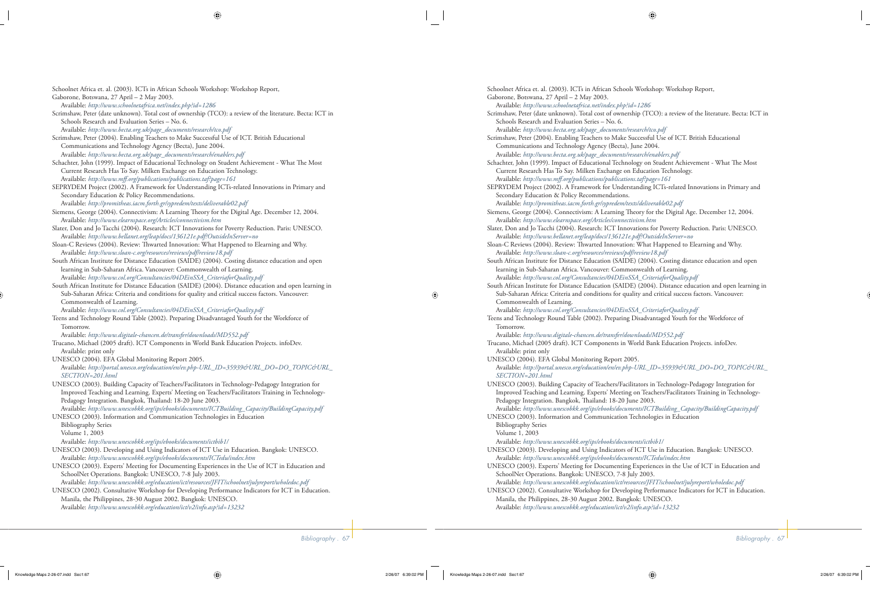Available: *http://www.schoolnetafrica.net/index.php?id=1286* Scrimshaw, Peter (date unknown). Total cost of ownership (TCO): a review of the literature. Becta: ICT in Schools Research and Evaluation Series – No. 6. Available: *http://www.becta.org.uk/page\_documents/research/tco.pdf* Scrimshaw, Peter (2004). Enabling Teachers to Make Successful Use of ICT. British Educational Communications and Technology Agency (Becta), June 2004. Available: *http://www.becta.org.uk/page\_documents/research/enablers.pdf* Schachter, John (1999). Impact of Educational Technology on Student Achievement - What The Most Current Research Has To Say. Milken Exchange on Education Technology. Available: *http://www.mff .org/publications/publications.taf?page=161* SEPRYDEM Project (2002). A Framework for Understanding ICTs-related Innovations in Primary and Secondary Education & Policy Recommendations. Available: *http://promitheas.iacm.forth.gr/sypredem/texts/deliverable02.pdf* Siemens, George (2004). Connectivism: A Learning Theory for the Digital Age. December 12, 2004. Available: *http://www.elearnspace.org/Articles/connectivism.htm* Slater, Don and Jo Tacchi (2004). Research: ICT Innovations for Poverty Reduction. Paris: UNESCO. Available: *http://www.bellanet.org/leap/docs/136121e.pdf?OutsideInServer=no* Sloan-C Reviews (2004). Review: Thwarted Innovation: What Happened to Elearning and Why. Available: *http://www.sloan-c.org/resources/reviews/pdf/review18.pdf*

Schoolnet Africa et. al. (2003). ICTs in African Schools Workshop: Workshop Report,

Gaborone, Botswana, 27 April – 2 May 2003.

- South African Institute for Distance Education (SAIDE) (2004). Costing distance education and open learning in Sub-Saharan Africa. Vancouver: Commonwealth of Learning. Available: *http://www.col.org/Consultancies/04DEinSSA\_CriteriaforQuality.pdf*
- South African Institute for Distance Education (SAIDE) (2004). Distance education and open learning in Sub-Saharan Africa: Criteria and conditions for quality and critical success factors. Vancouver: Commonwealth of Learning.

Available: *http://www.col.org/Consultancies/04DEinSSA\_CriteriaforQuality.pdf*

Teens and Technology Round Table (2002). Preparing Disadvantaged Youth for the Workforce of Tomorrow.

Available: *http://www.digitale-chancen.de/transfer/downloads/MD552.pdf*

Trucano, Michael (2005 draft). ICT Components in World Bank Education Projects. infoDev. Available: print only

UNESCO (2004). EFA Global Monitoring Report 2005. Available: *http://portal.unesco.org/education/en/ev.php-URL\_ID=35939&URL\_DO=DO\_TOPIC&URL\_ SECTION=201.html*

UNESCO (2003). Building Capacity of Teachers/Facilitators in Technology-Pedagogy Integration for Improved Teaching and Learning. Experts' Meeting on Teachers/Facilitators Training in Technology-Pedagogy Integration. Bangkok, Thailand: 18-20 June 2003.

 Available: *http://www.unescobkk.org/ips/ebooks/documents/ICTBuilding\_Capacity/BuildingCapacity.pdf* UNESCO (2003). Information and Communication Technologies in Education

 Bibliography Series Volume 1, 2003

- Available: *http://www.unescobkk.org/ips/ebooks/documents/ictbib1/*
- UNESCO (2003). Developing and Using Indicators of ICT Use in Education. Bangkok: UNESCO. Available: *http://www.unescobkk.org/ips/ebooks/documents/ICTedu/index.htm*
- UNESCO (2003). Experts' Meeting for Documenting Experiences in the Use of ICT in Education and SchoolNet Operations. Bangkok: UNESCO, 7-8 July 2003. Available: *http://www.unescobkk.org/education/ict/resources/JFIT/schoolnet/julyreport/wholedoc.pdf*

UNESCO (2002). Consultative Workshop for Developing Performance Indicators for ICT in Education. Manila, the Philippines, 28-30 August 2002. Bangkok: UNESCO. Available: *http://www.unescobkk.org/education/ict/v2/info.asp?id=13232*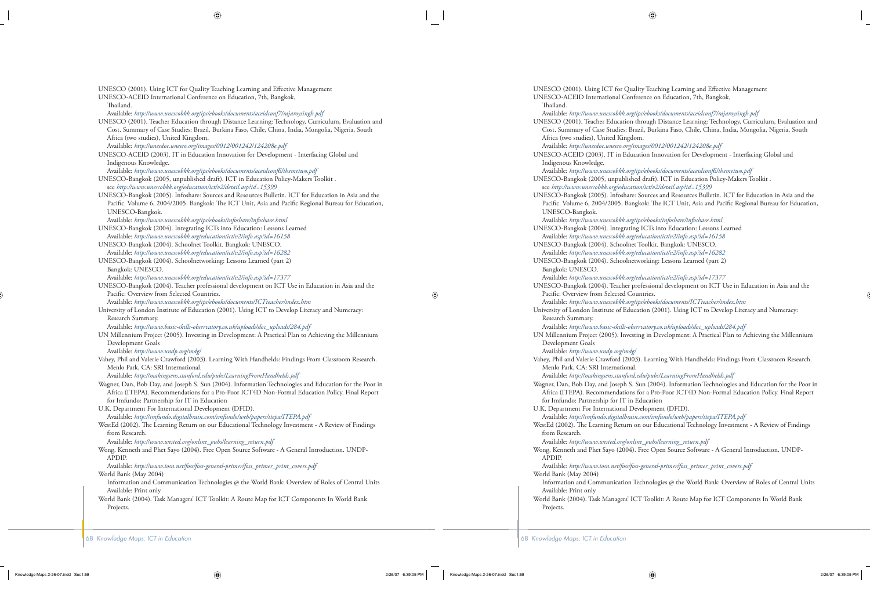UNESCO (2001). Using ICT for Quality Teaching Learning and Effective Management

UNESCO-ACEID International Conference on Education, 7th, Bangkok, Thailand.

Available: *http://www.unescobkk.org/ips/ebooks/documents/aceidconf7/rajaroysingh.pdf*

UNESCO (2001). Teacher Education through Distance Learning: Technology, Curriculum, Evaluation and Cost. Summary of Case Studies: Brazil, Burkina Faso, Chile, China, India, Mongolia, Nigeria, South Africa (two studies), United Kingdom.

Available: *http://unesdoc.unesco.org/images/0012/001242/124208e.pdf*

UNESCO-ACEID (2003). IT in Education Innovation for Development - Interfacing Global and Indigenous Knowledge.

Available: *http://www.unescobkk.org/ips/ebooks/documents/aceidconf6/themetwo.pdf*

UNESCO-Bangkok (2005, unpublished draft). ICT in Education Policy-Makers Toolkit . see *http://www.unescobkk.org/education/ict/v2/detail.asp?id=15399*

UNESCO-Bangkok (2005). Infoshare: Sources and Resources Bulletin. ICT for Education in Asia and the Pacific. Volume 6, 2004/2005. Bangkok: The ICT Unit, Asia and Pacific Regional Bureau for Education, UNESCO-Bangkok.

Available: *http://www.unescobkk.org/ips/ebooks/infoshare/infoshare.html*

- UNESCO-Bangkok (2004). Integrating ICTs into Education: Lessons Learned Available: *http://www.unescobkk.org/education/ict/v2/info.asp?id=16158*
- UNESCO-Bangkok (2004). Schoolnet Toolkit. Bangkok: UNESCO. Available: *http://www.unescobkk.org/education/ict/v2/info.asp?id=16282*
- UNESCO-Bangkok (2004). Schoolnetworking: Lessons Learned (part 2) Bangkok: UNESCO.

Available: *http://www.unescobkk.org/education/ict/v2/info.asp?id=17377*

UNESCO-Bangkok (2004). Teacher professional development on ICT Use in Education in Asia and the Pacific: Overview from Selected Countries.

Available: *http://www.unescobkk.org/ips/ebooks/documents/ICTteacher/index.htm*

University of London Institute of Education (2001). Using ICT to Develop Literacy and Numeracy: Research Summary.

Available: *http://www.basic-skills-observatory.co.uk/uploads/doc\_uploads/284.pdf*

UN Millennium Project (2005). Investing in Development: A Practical Plan to Achieving the Millennium Development Goals

Available: *http://www.undp.org/mdg/*

Vahey, Phil and Valerie Crawford (2003). Learning With Handhelds: Findings From Classroom Research. Menlo Park, CA: SRI International.

Available: *http://makingsens.stanford.edu/pubs/LearningFromHandhelds.pdf*

- Wagner, Dan, Bob Day, and Joseph S. Sun (2004). Information Technologies and Education for the Poor in Africa (ITEPA). Recommendations for a Pro-Poor ICT4D Non-Formal Education Policy. Final Report for Imfundo: Partnership for IT in Education
- U.K. Department For International Development (DFID). Available: *http://imfundo.digitalbrain.com/imfundo/web/papers/itepa/ITEPA.pdf*
- WestEd (2002). The Learning Return on our Educational Technology Investment A Review of Findings from Research.

Available: *http://www.wested.org/online\_pubs/learning\_return.pdf*

Wong, Kenneth and Phet Sayo (2004). Free Open Source Software - A General Introduction. UNDP-APDIP.

 Available: *http://www.iosn.net/foss/foss-general-primer/foss\_primer\_print\_covers.pdf* World Bank (May 2004)

- Information and Communication Technologies @ the World Bank: Overview of Roles of Central Units Available: Print only
- World Bank (2004). Task Managers' ICT Toolkit: A Route Map for ICT Components In World Bank Projects.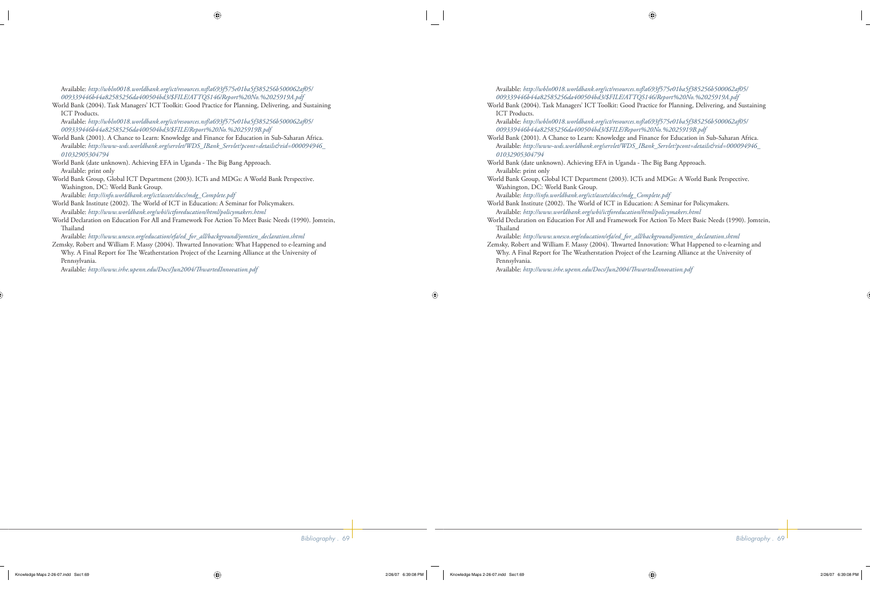Available: *http://wbln0018.worldbank.org/ict/resources.nsf/a693f575e01ba5f385256b500062af05/ 009339446b44a82585256da400504bd3/\$FILE/ATTQS146/Report%20No.%2025919A.pdf*

World Bank (2004). Task Managers' ICT Toolkit: Good Practice for Planning, Delivering, and Sustaining ICT Products.

 Available: *http://wbln0018.worldbank.org/ict/resources.nsf/a693f575e01ba5f385256b500062af05/ 009339446b44a82585256da400504bd3/\$FILE/Report%20No.%2025919B.pdf*

- World Bank (2001). A Chance to Learn: Knowledge and Finance for Education in Sub-Saharan Africa. Available: *http://www-wds.worldbank.org/servlet/WDS\_IBank\_Servlet?pcont=details&eid=000094946\_ 01032905304794*
- World Bank (date unknown). Achieving EFA in Uganda The Big Bang Approach. Available: print only
- World Bank Group, Global ICT Department (2003). ICTs and MDGs: A World Bank Perspective. Washington, DC: World Bank Group.

Available: *http://info.worldbank.org/ict/assets/docs/mdg\_Complete.pdf*

- World Bank Institute (2002). The World of ICT in Education: A Seminar for Policymakers. Available: *http://www.worldbank.org/wbi/ictforeducation/html/policymakers.html*
- World Declaration on Education For All and Framework For Action To Meet Basic Needs (1990). Jomtein, **Thailand**

Available: *http://www.unesco.org/education/efa/ed\_for\_all/background/jomtien\_declaration.shtml*

Zemsky, Robert and William F. Massy (2004). Thwarted Innovation: What Happened to e-learning and Why. A Final Report for The Weatherstation Project of the Learning Alliance at the University of Pennsylvania.

Available: http://www.irhe.upenn.edu/Docs/Jun2004/ThwartedInnovation.pdf